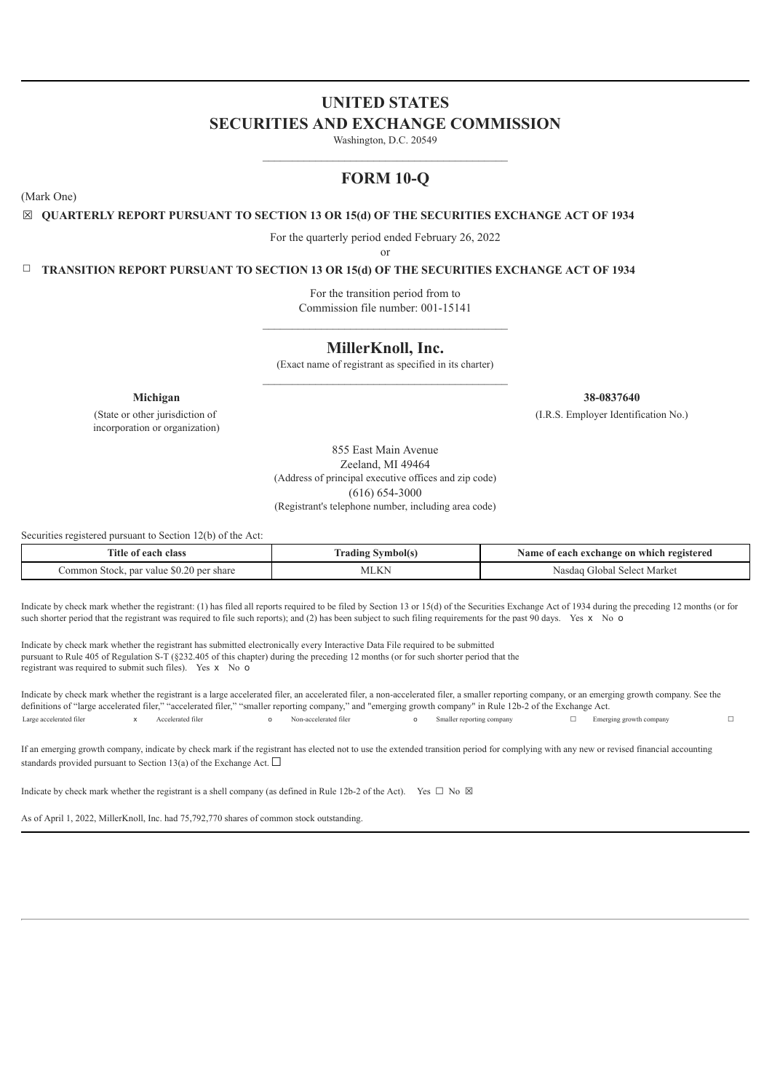## **UNITED STATES SECURITIES AND EXCHANGE COMMISSION**

Washington, D.C. 20549  $\mathcal{L}_\text{max}$ 

## **FORM 10-Q**

(Mark One)

#### ☒ **QUARTERLY REPORT PURSUANT TO SECTION 13 OR 15(d) OF THE SECURITIES EXCHANGE ACT OF 1934**

For the quarterly period ended February 26, 2022

or

☐ **TRANSITION REPORT PURSUANT TO SECTION 13 OR 15(d) OF THE SECURITIES EXCHANGE ACT OF 1934**

For the transition period from to Commission file number: 001-15141

\_\_\_\_\_\_\_\_\_\_\_\_\_\_\_\_\_\_\_\_\_\_\_\_\_\_\_\_\_\_\_\_\_\_\_\_\_\_\_\_\_\_

## **MillerKnoll, Inc.**

(Exact name of registrant as specified in its charter)

(State or other jurisdiction of incorporation or organization)

**Michigan 38-0837640**

(I.R.S. Employer Identification No.)

855 East Main Avenue Zeeland, MI 49464 (Address of principal executive offices and zip code) (616) 654-3000 (Registrant's telephone number, including area code)

Securities registered pursuant to Section 12(b) of the Act:

| Title of each class                      | <b>Symbol</b> (s)<br>rading ' | Name of each exchange on which registered |
|------------------------------------------|-------------------------------|-------------------------------------------|
| Common Stock, par value \$0.20 per share | MLKN                          | ı Global Select Market<br>Nasdaq          |

Indicate by check mark whether the registrant: (1) has filed all reports required to be filed by Section 13 or 15(d) of the Securities Exchange Act of 1934 during the preceding 12 months (or for such shorter period that the registrant was required to file such reports); and (2) has been subject to such filing requirements for the past 90 days. Yes x No 0

Indicate by check mark whether the registrant has submitted electronically every Interactive Data File required to be submitted pursuant to Rule 405 of Regulation S-T (§232.405 of this chapter) during the preceding 12 months (or for such shorter period that the registrant was required to submit such files). Yes x No o

Indicate by check mark whether the registrant is a large accelerated filer, an accelerated filer, a non-accelerated filer, a smaller reporting company, or an emerging growth company. See the definitions of "large accelerated filer," "accelerated filer," "smaller reporting company," and "emerging growth company" in Rule 12b-2 of the Exchange Act. Large accelerated filer x Accelerated filer o Non-accelerated filer o Smaller reporting company □ Emerging growth company □

If an emerging growth company, indicate by check mark if the registrant has elected not to use the extended transition period for complying with any new or revised financial accounting standards provided pursuant to Section 13(a) of the Exchange Act.  $\Box$ 

Indicate by check mark whether the registrant is a shell company (as defined in Rule 12b-2 of the Act). Yes  $\Box$  No  $\boxtimes$ 

As of April 1, 2022, MillerKnoll, Inc. had 75,792,770 shares of common stock outstanding.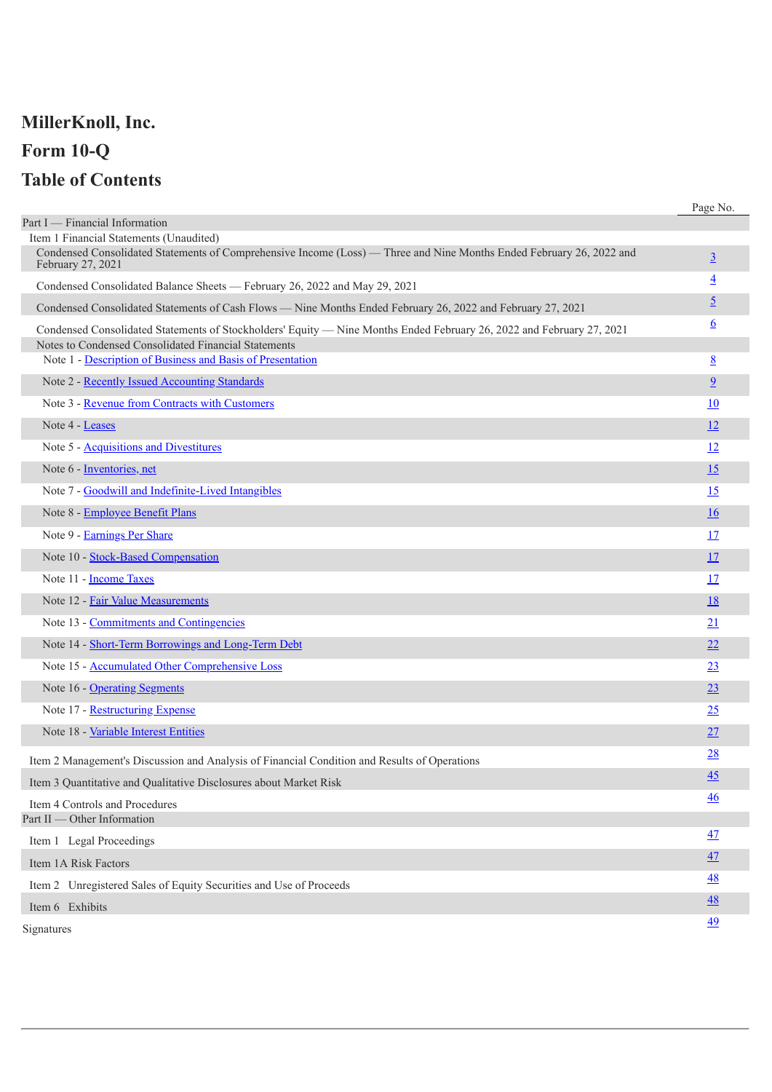# **MillerKnoll, Inc. Form 10-Q Table of Contents**

|                                                                                                                                                                               | Page No.        |
|-------------------------------------------------------------------------------------------------------------------------------------------------------------------------------|-----------------|
| Part I — Financial Information                                                                                                                                                |                 |
| Item 1 Financial Statements (Unaudited)<br>Condensed Consolidated Statements of Comprehensive Income (Loss) — Three and Nine Months Ended February 26, 2022 and               |                 |
| February 27, 2021                                                                                                                                                             | $\overline{3}$  |
| Condensed Consolidated Balance Sheets - February 26, 2022 and May 29, 2021                                                                                                    | $\overline{4}$  |
| Condensed Consolidated Statements of Cash Flows — Nine Months Ended February 26, 2022 and February 27, 2021                                                                   | $\overline{2}$  |
| Condensed Consolidated Statements of Stockholders' Equity — Nine Months Ended February 26, 2022 and February 27, 2021<br>Notes to Condensed Consolidated Financial Statements | 6               |
| Note 1 - Description of Business and Basis of Presentation                                                                                                                    | 8               |
| Note 2 - Recently Issued Accounting Standards                                                                                                                                 | $\overline{9}$  |
| Note 3 - Revenue from Contracts with Customers                                                                                                                                | 10              |
| Note 4 - Leases                                                                                                                                                               | 12              |
| Note 5 - Acquisitions and Divestitures                                                                                                                                        | 12              |
| Note 6 - Inventories, net                                                                                                                                                     | 15              |
| Note 7 - Goodwill and Indefinite-Lived Intangibles                                                                                                                            | <u>15</u>       |
| Note 8 - Employee Benefit Plans                                                                                                                                               | <b>16</b>       |
| Note 9 - Earnings Per Share                                                                                                                                                   | 17              |
| Note 10 - Stock-Based Compensation                                                                                                                                            | 17              |
| Note 11 - Income Taxes                                                                                                                                                        | 17              |
| Note 12 - Fair Value Measurements                                                                                                                                             | <u>18</u>       |
| Note 13 - Commitments and Contingencies                                                                                                                                       | 21              |
| Note 14 - Short-Term Borrowings and Long-Term Debt                                                                                                                            | 22              |
| Note 15 - Accumulated Other Comprehensive Loss                                                                                                                                | 23              |
| Note 16 - Operating Segments                                                                                                                                                  | 23              |
| Note 17 - Restructuring Expense                                                                                                                                               | 25              |
| Note 18 - Variable Interest Entities                                                                                                                                          | 27              |
| Item 2 Management's Discussion and Analysis of Financial Condition and Results of Operations                                                                                  | 28              |
| Item 3 Quantitative and Qualitative Disclosures about Market Risk                                                                                                             | $\overline{45}$ |
| Item 4 Controls and Procedures                                                                                                                                                | 46              |
| Part II - Other Information                                                                                                                                                   |                 |
| Item 1 Legal Proceedings                                                                                                                                                      | 47              |
| Item 1A Risk Factors                                                                                                                                                          | 47              |
| Item 2 Unregistered Sales of Equity Securities and Use of Proceeds                                                                                                            | 48              |
| Item 6 Exhibits                                                                                                                                                               | 48              |
| Signatures                                                                                                                                                                    | 49              |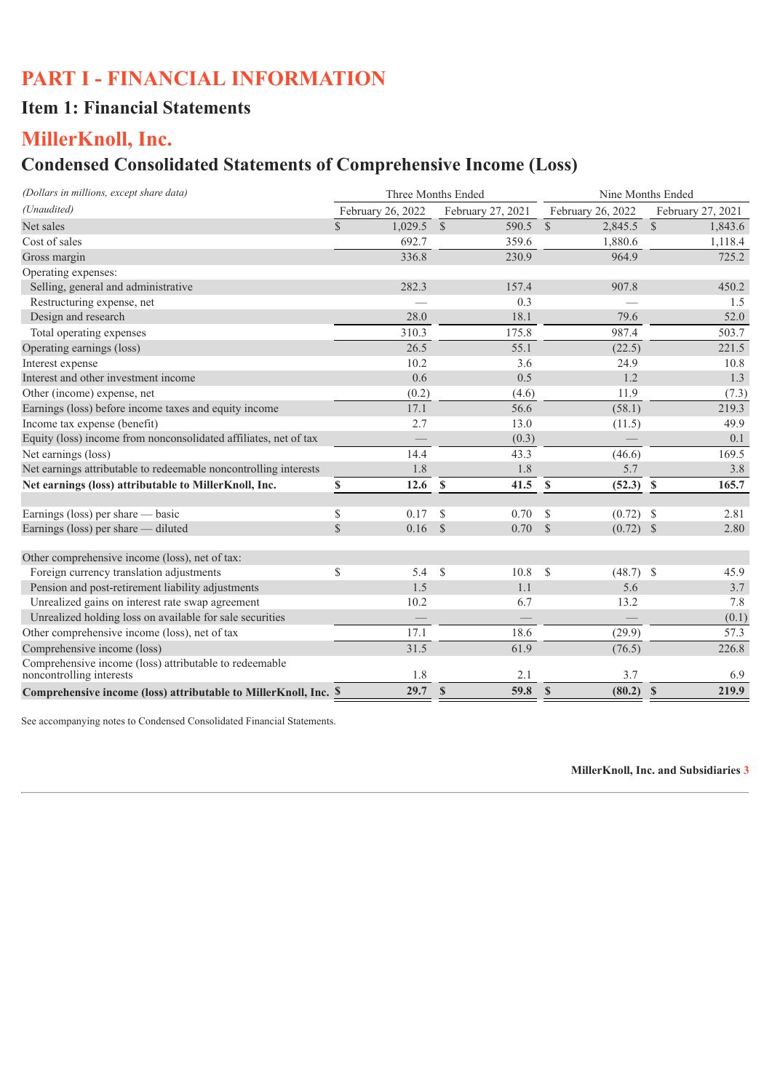# **PART I - FINANCIAL INFORMATION**

## **Item 1: Financial Statements**

# <span id="page-2-0"></span>**MillerKnoll, Inc.**

# **Condensed Consolidated Statements of Comprehensive Income (Loss)**

| (Unaudited)<br>February 26, 2022<br>February 27, 2021<br>February 26, 2022<br>February 27, 2021<br>$\mathbb{S}$<br>$\mathcal{S}$<br>$2,845.5$ \$<br>$\mathcal{S}$<br>Net sales<br>1,029.5<br>590.5<br>1,843.6<br>Cost of sales<br>692.7<br>359.6<br>1.880.6<br>1,118.4<br>964.9<br>336.8<br>230.9<br>725.2<br>Gross margin<br>Operating expenses:<br>Selling, general and administrative<br>282.3<br>157.4<br>907.8<br>450.2<br>Restructuring expense, net<br>0.3<br>1.5 |
|--------------------------------------------------------------------------------------------------------------------------------------------------------------------------------------------------------------------------------------------------------------------------------------------------------------------------------------------------------------------------------------------------------------------------------------------------------------------------|
|                                                                                                                                                                                                                                                                                                                                                                                                                                                                          |
|                                                                                                                                                                                                                                                                                                                                                                                                                                                                          |
|                                                                                                                                                                                                                                                                                                                                                                                                                                                                          |
|                                                                                                                                                                                                                                                                                                                                                                                                                                                                          |
|                                                                                                                                                                                                                                                                                                                                                                                                                                                                          |
|                                                                                                                                                                                                                                                                                                                                                                                                                                                                          |
|                                                                                                                                                                                                                                                                                                                                                                                                                                                                          |
| 28.0<br>Design and research<br>18.1<br>79.6<br>52.0                                                                                                                                                                                                                                                                                                                                                                                                                      |
| 175.8<br>987.4<br>Total operating expenses<br>310.3<br>503.7                                                                                                                                                                                                                                                                                                                                                                                                             |
| Operating earnings (loss)<br>26.5<br>55.1<br>(22.5)<br>221.5                                                                                                                                                                                                                                                                                                                                                                                                             |
| Interest expense<br>10.2<br>3.6<br>24.9<br>10.8                                                                                                                                                                                                                                                                                                                                                                                                                          |
| 0.6<br>0.5<br>1.3<br>Interest and other investment income<br>1.2                                                                                                                                                                                                                                                                                                                                                                                                         |
| Other (income) expense, net<br>(0.2)<br>(4.6)<br>11.9<br>(7.3)                                                                                                                                                                                                                                                                                                                                                                                                           |
| Earnings (loss) before income taxes and equity income<br>56.6<br>17.1<br>(58.1)<br>219.3                                                                                                                                                                                                                                                                                                                                                                                 |
| Income tax expense (benefit)<br>13.0<br>2.7<br>(11.5)<br>49.9                                                                                                                                                                                                                                                                                                                                                                                                            |
| Equity (loss) income from nonconsolidated affiliates, net of tax<br>0.1<br>(0.3)                                                                                                                                                                                                                                                                                                                                                                                         |
| 43.3<br>169.5<br>14.4<br>Net earnings (loss)<br>(46.6)                                                                                                                                                                                                                                                                                                                                                                                                                   |
| Net earnings attributable to redeemable noncontrolling interests<br>1.8<br>1.8<br>5.7<br>3.8                                                                                                                                                                                                                                                                                                                                                                             |
| 41.5<br>Net earnings (loss) attributable to MillerKnoll, Inc.<br>$\mathbb S$<br>12.6<br>$\mathbf S$<br>$\mathbf S$<br>$(52.3)$ \$<br>165.7                                                                                                                                                                                                                                                                                                                               |
| Earnings (loss) per share — basic<br>\$<br><sup>\$</sup><br>0.70<br>\$<br>0.17<br>$(0.72)$ \$<br>2.81                                                                                                                                                                                                                                                                                                                                                                    |
| $\mathcal{S}$<br>$\mathcal{S}$<br>$\mathcal{S}$<br>Earnings (loss) per share — diluted<br>0.16<br>$(0.72)$ \$<br>0.70<br>2.80                                                                                                                                                                                                                                                                                                                                            |
|                                                                                                                                                                                                                                                                                                                                                                                                                                                                          |
| Other comprehensive income (loss), net of tax:                                                                                                                                                                                                                                                                                                                                                                                                                           |
| \$<br><sup>S</sup><br>10.8<br>Foreign currency translation adjustments<br>5.4<br><sup>S</sup><br>$(48.7)$ \$<br>45.9                                                                                                                                                                                                                                                                                                                                                     |
| 1.5<br>3.7<br>Pension and post-retirement liability adjustments<br>1.1<br>5.6                                                                                                                                                                                                                                                                                                                                                                                            |
| Unrealized gains on interest rate swap agreement<br>10.2<br>7.8<br>6.7<br>13.2                                                                                                                                                                                                                                                                                                                                                                                           |
| Unrealized holding loss on available for sale securities<br>(0.1)                                                                                                                                                                                                                                                                                                                                                                                                        |
| Other comprehensive income (loss), net of tax<br>17.1<br>18.6<br>57.3<br>(29.9)                                                                                                                                                                                                                                                                                                                                                                                          |
| 31.5<br>61.9<br>226.8<br>Comprehensive income (loss)<br>(76.5)                                                                                                                                                                                                                                                                                                                                                                                                           |
| Comprehensive income (loss) attributable to redeemable<br>noncontrolling interests<br>1.8<br>2.1<br>3.7<br>6.9                                                                                                                                                                                                                                                                                                                                                           |
| 29.7<br>$\mathbf{s}$<br>59.8<br>$\mathbf{s}$<br>(80.2) S<br>219.9<br>Comprehensive income (loss) attributable to MillerKnoll, Inc. \$                                                                                                                                                                                                                                                                                                                                    |

<span id="page-2-1"></span>See accompanying notes to Condensed Consolidated Financial Statements.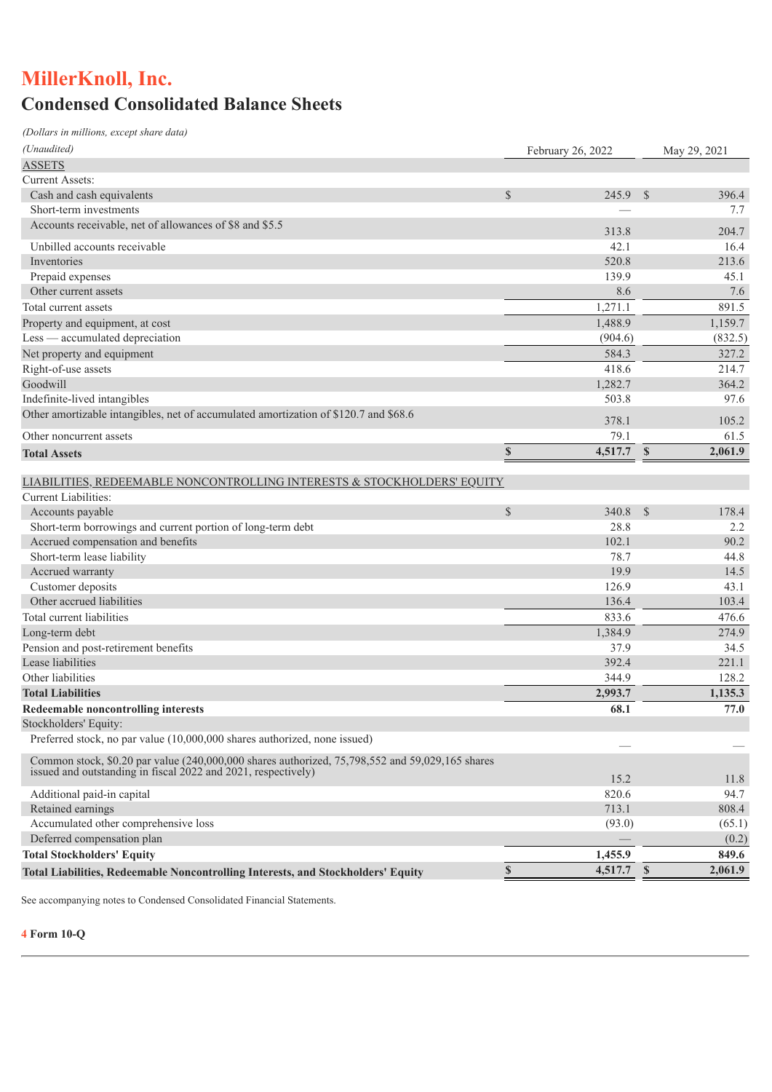# **MillerKnoll, Inc.**

# **Condensed Consolidated Balance Sheets**

| (Dollars in millions, except share data)                                                                                                                         |               |                   |               |              |
|------------------------------------------------------------------------------------------------------------------------------------------------------------------|---------------|-------------------|---------------|--------------|
| (Unaudited)                                                                                                                                                      |               | February 26, 2022 |               | May 29, 2021 |
| <b>ASSETS</b>                                                                                                                                                    |               |                   |               |              |
| <b>Current Assets:</b>                                                                                                                                           |               |                   |               |              |
| Cash and cash equivalents                                                                                                                                        | $\mathcal{S}$ | 245.9             | $\mathcal{S}$ | 396.4        |
| Short-term investments                                                                                                                                           |               |                   |               | 7.7          |
| Accounts receivable, net of allowances of \$8 and \$5.5                                                                                                          |               | 313.8             |               | 204.7        |
| Unbilled accounts receivable                                                                                                                                     |               | 42.1              |               | 16.4         |
| Inventories                                                                                                                                                      |               | 520.8             |               | 213.6        |
| Prepaid expenses                                                                                                                                                 |               | 139.9             |               | 45.1         |
| Other current assets                                                                                                                                             |               | 8.6               |               | 7.6          |
| Total current assets                                                                                                                                             |               | 1,271.1           |               | 891.5        |
| Property and equipment, at cost                                                                                                                                  |               | 1,488.9           |               | 1,159.7      |
| Less - accumulated depreciation                                                                                                                                  |               | (904.6)           |               | (832.5)      |
| Net property and equipment                                                                                                                                       |               | 584.3             |               | 327.2        |
| Right-of-use assets                                                                                                                                              |               | 418.6             |               | 214.7        |
| Goodwill                                                                                                                                                         |               | 1,282.7           |               | 364.2        |
| Indefinite-lived intangibles                                                                                                                                     |               | 503.8             |               | 97.6         |
| Other amortizable intangibles, net of accumulated amortization of \$120.7 and \$68.6                                                                             |               |                   |               |              |
|                                                                                                                                                                  |               | 378.1             |               | 105.2        |
| Other noncurrent assets                                                                                                                                          |               | 79.1              |               | 61.5         |
| <b>Total Assets</b>                                                                                                                                              | $\mathbb{S}$  | 4,517.7           | $\mathbf{s}$  | 2,061.9      |
|                                                                                                                                                                  |               |                   |               |              |
| LIABILITIES, REDEEMABLE NONCONTROLLING INTERESTS & STOCKHOLDERS' EQUITY<br><b>Current Liabilities:</b>                                                           |               |                   |               |              |
| Accounts payable                                                                                                                                                 | $\mathcal{S}$ | 340.8             | $\mathcal{S}$ | 178.4        |
| Short-term borrowings and current portion of long-term debt                                                                                                      |               | 28.8              |               | 2.2          |
| Accrued compensation and benefits                                                                                                                                |               | 102.1             |               | 90.2         |
| Short-term lease liability                                                                                                                                       |               | 78.7              |               | 44.8         |
| Accrued warranty                                                                                                                                                 |               | 19.9              |               | 14.5         |
| Customer deposits                                                                                                                                                |               | 126.9             |               | 43.1         |
| Other accrued liabilities                                                                                                                                        |               | 136.4             |               | 103.4        |
| Total current liabilities                                                                                                                                        |               | 833.6             |               | 476.6        |
| Long-term debt                                                                                                                                                   |               | 1,384.9           |               | 274.9        |
| Pension and post-retirement benefits                                                                                                                             |               | 37.9              |               | 34.5         |
| Lease liabilities                                                                                                                                                |               | 392.4             |               | 221.1        |
| Other liabilities                                                                                                                                                |               | 344.9             |               | 128.2        |
| <b>Total Liabilities</b>                                                                                                                                         |               | 2,993.7           |               | 1,135.3      |
| <b>Redeemable noncontrolling interests</b>                                                                                                                       |               | 68.1              |               | 77.0         |
| Stockholders' Equity:                                                                                                                                            |               |                   |               |              |
| Preferred stock, no par value (10,000,000 shares authorized, none issued)                                                                                        |               |                   |               |              |
|                                                                                                                                                                  |               |                   |               |              |
| Common stock, \$0.20 par value (240,000,000 shares authorized, 75,798,552 and 59,029,165 shares<br>issued and outstanding in fiscal 2022 and 2021, respectively) |               | 15.2              |               |              |
|                                                                                                                                                                  |               | 820.6             |               | 11.8<br>94.7 |
| Additional paid-in capital<br>Retained earnings                                                                                                                  |               | 713.1             |               | 808.4        |
| Accumulated other comprehensive loss                                                                                                                             |               | (93.0)            |               | (65.1)       |
| Deferred compensation plan                                                                                                                                       |               |                   |               | (0.2)        |
| <b>Total Stockholders' Equity</b>                                                                                                                                |               | 1,455.9           |               | 849.6        |
|                                                                                                                                                                  | $\mathbb{S}$  | 4,517.7 \$        |               | 2,061.9      |
| Total Liabilities, Redeemable Noncontrolling Interests, and Stockholders' Equity                                                                                 |               |                   |               |              |

<span id="page-3-0"></span>See accompanying notes to Condensed Consolidated Financial Statements.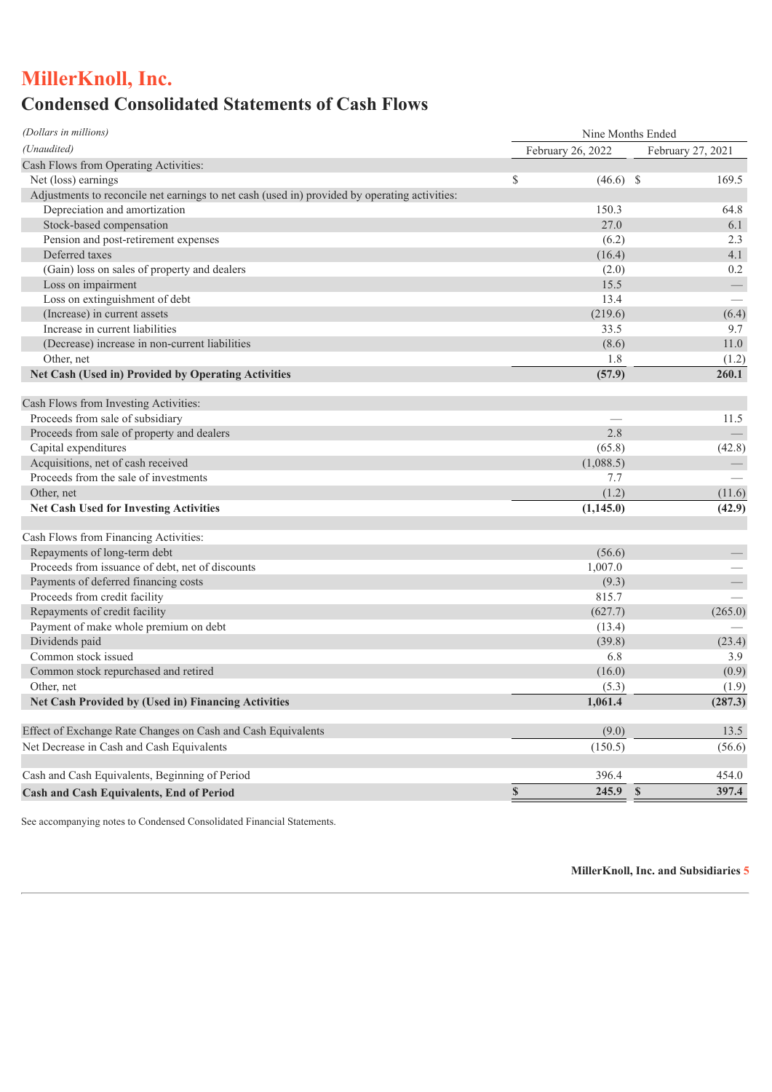# **MillerKnoll, Inc.**

# **Condensed Consolidated Statements of Cash Flows**

| (Unaudited)<br>February 26, 2022<br>February 27, 2021<br>Cash Flows from Operating Activities:<br>\$<br>Net (loss) earnings<br>$(46.6)$ \$<br>169.5<br>Adjustments to reconcile net earnings to net cash (used in) provided by operating activities:<br>Depreciation and amortization<br>150.3<br>64.8<br>Stock-based compensation<br>27.0<br>6.1<br>2.3<br>Pension and post-retirement expenses<br>(6.2)<br>Deferred taxes<br>4.1<br>(16.4)<br>(Gain) loss on sales of property and dealers<br>0.2<br>(2.0)<br>Loss on impairment<br>15.5<br>Loss on extinguishment of debt<br>13.4<br>(Increase) in current assets<br>(6.4)<br>(219.6)<br>Increase in current liabilities<br>9.7<br>33.5<br>$11.0\,$<br>(Decrease) increase in non-current liabilities<br>(8.6)<br>1.8<br>Other, net<br>(1.2)<br>Net Cash (Used in) Provided by Operating Activities<br>(57.9)<br>260.1<br>Cash Flows from Investing Activities:<br>Proceeds from sale of subsidiary<br>11.5<br>2.8<br>Proceeds from sale of property and dealers<br>$\qquad \qquad -$<br>Capital expenditures<br>(42.8)<br>(65.8)<br>Acquisitions, net of cash received<br>(1,088.5)<br>Proceeds from the sale of investments<br>7.7<br>Other, net<br>(1.2)<br>(11.6)<br>(42.9)<br><b>Net Cash Used for Investing Activities</b><br>(1,145.0)<br>Cash Flows from Financing Activities:<br>Repayments of long-term debt<br>(56.6)<br>Proceeds from issuance of debt, net of discounts<br>1,007.0<br>Payments of deferred financing costs<br>(9.3)<br>Proceeds from credit facility<br>815.7<br>Repayments of credit facility<br>(627.7)<br>(265.0)<br>Payment of make whole premium on debt<br>(13.4)<br>Dividends paid<br>(39.8)<br>(23.4)<br>Common stock issued<br>6.8<br>3.9<br>Common stock repurchased and retired<br>(0.9)<br>(16.0)<br>Other, net<br>(5.3)<br>(1.9)<br>1,061.4<br>(287.3)<br><b>Net Cash Provided by (Used in) Financing Activities</b><br>Effect of Exchange Rate Changes on Cash and Cash Equivalents<br>(9.0)<br>13.5<br>Net Decrease in Cash and Cash Equivalents<br>(150.5)<br>(56.6)<br>Cash and Cash Equivalents, Beginning of Period<br>396.4<br>454.0<br>$\mathbb{S}$ | (Dollars in millions)                    | Nine Months Ended         |       |       |  |  |  |  |
|----------------------------------------------------------------------------------------------------------------------------------------------------------------------------------------------------------------------------------------------------------------------------------------------------------------------------------------------------------------------------------------------------------------------------------------------------------------------------------------------------------------------------------------------------------------------------------------------------------------------------------------------------------------------------------------------------------------------------------------------------------------------------------------------------------------------------------------------------------------------------------------------------------------------------------------------------------------------------------------------------------------------------------------------------------------------------------------------------------------------------------------------------------------------------------------------------------------------------------------------------------------------------------------------------------------------------------------------------------------------------------------------------------------------------------------------------------------------------------------------------------------------------------------------------------------------------------------------------------------------------------------------------------------------------------------------------------------------------------------------------------------------------------------------------------------------------------------------------------------------------------------------------------------------------------------------------------------------------------------------------------------------------------------------------------------------------------------------------------------------------------------------------------|------------------------------------------|---------------------------|-------|-------|--|--|--|--|
|                                                                                                                                                                                                                                                                                                                                                                                                                                                                                                                                                                                                                                                                                                                                                                                                                                                                                                                                                                                                                                                                                                                                                                                                                                                                                                                                                                                                                                                                                                                                                                                                                                                                                                                                                                                                                                                                                                                                                                                                                                                                                                                                                          |                                          |                           |       |       |  |  |  |  |
|                                                                                                                                                                                                                                                                                                                                                                                                                                                                                                                                                                                                                                                                                                                                                                                                                                                                                                                                                                                                                                                                                                                                                                                                                                                                                                                                                                                                                                                                                                                                                                                                                                                                                                                                                                                                                                                                                                                                                                                                                                                                                                                                                          |                                          |                           |       |       |  |  |  |  |
|                                                                                                                                                                                                                                                                                                                                                                                                                                                                                                                                                                                                                                                                                                                                                                                                                                                                                                                                                                                                                                                                                                                                                                                                                                                                                                                                                                                                                                                                                                                                                                                                                                                                                                                                                                                                                                                                                                                                                                                                                                                                                                                                                          |                                          |                           |       |       |  |  |  |  |
|                                                                                                                                                                                                                                                                                                                                                                                                                                                                                                                                                                                                                                                                                                                                                                                                                                                                                                                                                                                                                                                                                                                                                                                                                                                                                                                                                                                                                                                                                                                                                                                                                                                                                                                                                                                                                                                                                                                                                                                                                                                                                                                                                          |                                          |                           |       |       |  |  |  |  |
|                                                                                                                                                                                                                                                                                                                                                                                                                                                                                                                                                                                                                                                                                                                                                                                                                                                                                                                                                                                                                                                                                                                                                                                                                                                                                                                                                                                                                                                                                                                                                                                                                                                                                                                                                                                                                                                                                                                                                                                                                                                                                                                                                          |                                          |                           |       |       |  |  |  |  |
|                                                                                                                                                                                                                                                                                                                                                                                                                                                                                                                                                                                                                                                                                                                                                                                                                                                                                                                                                                                                                                                                                                                                                                                                                                                                                                                                                                                                                                                                                                                                                                                                                                                                                                                                                                                                                                                                                                                                                                                                                                                                                                                                                          |                                          |                           |       |       |  |  |  |  |
|                                                                                                                                                                                                                                                                                                                                                                                                                                                                                                                                                                                                                                                                                                                                                                                                                                                                                                                                                                                                                                                                                                                                                                                                                                                                                                                                                                                                                                                                                                                                                                                                                                                                                                                                                                                                                                                                                                                                                                                                                                                                                                                                                          |                                          |                           |       |       |  |  |  |  |
|                                                                                                                                                                                                                                                                                                                                                                                                                                                                                                                                                                                                                                                                                                                                                                                                                                                                                                                                                                                                                                                                                                                                                                                                                                                                                                                                                                                                                                                                                                                                                                                                                                                                                                                                                                                                                                                                                                                                                                                                                                                                                                                                                          |                                          |                           |       |       |  |  |  |  |
|                                                                                                                                                                                                                                                                                                                                                                                                                                                                                                                                                                                                                                                                                                                                                                                                                                                                                                                                                                                                                                                                                                                                                                                                                                                                                                                                                                                                                                                                                                                                                                                                                                                                                                                                                                                                                                                                                                                                                                                                                                                                                                                                                          |                                          |                           |       |       |  |  |  |  |
|                                                                                                                                                                                                                                                                                                                                                                                                                                                                                                                                                                                                                                                                                                                                                                                                                                                                                                                                                                                                                                                                                                                                                                                                                                                                                                                                                                                                                                                                                                                                                                                                                                                                                                                                                                                                                                                                                                                                                                                                                                                                                                                                                          |                                          |                           |       |       |  |  |  |  |
|                                                                                                                                                                                                                                                                                                                                                                                                                                                                                                                                                                                                                                                                                                                                                                                                                                                                                                                                                                                                                                                                                                                                                                                                                                                                                                                                                                                                                                                                                                                                                                                                                                                                                                                                                                                                                                                                                                                                                                                                                                                                                                                                                          |                                          |                           |       |       |  |  |  |  |
|                                                                                                                                                                                                                                                                                                                                                                                                                                                                                                                                                                                                                                                                                                                                                                                                                                                                                                                                                                                                                                                                                                                                                                                                                                                                                                                                                                                                                                                                                                                                                                                                                                                                                                                                                                                                                                                                                                                                                                                                                                                                                                                                                          |                                          |                           |       |       |  |  |  |  |
|                                                                                                                                                                                                                                                                                                                                                                                                                                                                                                                                                                                                                                                                                                                                                                                                                                                                                                                                                                                                                                                                                                                                                                                                                                                                                                                                                                                                                                                                                                                                                                                                                                                                                                                                                                                                                                                                                                                                                                                                                                                                                                                                                          |                                          |                           |       |       |  |  |  |  |
|                                                                                                                                                                                                                                                                                                                                                                                                                                                                                                                                                                                                                                                                                                                                                                                                                                                                                                                                                                                                                                                                                                                                                                                                                                                                                                                                                                                                                                                                                                                                                                                                                                                                                                                                                                                                                                                                                                                                                                                                                                                                                                                                                          |                                          |                           |       |       |  |  |  |  |
|                                                                                                                                                                                                                                                                                                                                                                                                                                                                                                                                                                                                                                                                                                                                                                                                                                                                                                                                                                                                                                                                                                                                                                                                                                                                                                                                                                                                                                                                                                                                                                                                                                                                                                                                                                                                                                                                                                                                                                                                                                                                                                                                                          |                                          |                           |       |       |  |  |  |  |
|                                                                                                                                                                                                                                                                                                                                                                                                                                                                                                                                                                                                                                                                                                                                                                                                                                                                                                                                                                                                                                                                                                                                                                                                                                                                                                                                                                                                                                                                                                                                                                                                                                                                                                                                                                                                                                                                                                                                                                                                                                                                                                                                                          |                                          |                           |       |       |  |  |  |  |
|                                                                                                                                                                                                                                                                                                                                                                                                                                                                                                                                                                                                                                                                                                                                                                                                                                                                                                                                                                                                                                                                                                                                                                                                                                                                                                                                                                                                                                                                                                                                                                                                                                                                                                                                                                                                                                                                                                                                                                                                                                                                                                                                                          |                                          |                           |       |       |  |  |  |  |
|                                                                                                                                                                                                                                                                                                                                                                                                                                                                                                                                                                                                                                                                                                                                                                                                                                                                                                                                                                                                                                                                                                                                                                                                                                                                                                                                                                                                                                                                                                                                                                                                                                                                                                                                                                                                                                                                                                                                                                                                                                                                                                                                                          |                                          |                           |       |       |  |  |  |  |
|                                                                                                                                                                                                                                                                                                                                                                                                                                                                                                                                                                                                                                                                                                                                                                                                                                                                                                                                                                                                                                                                                                                                                                                                                                                                                                                                                                                                                                                                                                                                                                                                                                                                                                                                                                                                                                                                                                                                                                                                                                                                                                                                                          |                                          |                           |       |       |  |  |  |  |
|                                                                                                                                                                                                                                                                                                                                                                                                                                                                                                                                                                                                                                                                                                                                                                                                                                                                                                                                                                                                                                                                                                                                                                                                                                                                                                                                                                                                                                                                                                                                                                                                                                                                                                                                                                                                                                                                                                                                                                                                                                                                                                                                                          |                                          |                           |       |       |  |  |  |  |
|                                                                                                                                                                                                                                                                                                                                                                                                                                                                                                                                                                                                                                                                                                                                                                                                                                                                                                                                                                                                                                                                                                                                                                                                                                                                                                                                                                                                                                                                                                                                                                                                                                                                                                                                                                                                                                                                                                                                                                                                                                                                                                                                                          |                                          |                           |       |       |  |  |  |  |
|                                                                                                                                                                                                                                                                                                                                                                                                                                                                                                                                                                                                                                                                                                                                                                                                                                                                                                                                                                                                                                                                                                                                                                                                                                                                                                                                                                                                                                                                                                                                                                                                                                                                                                                                                                                                                                                                                                                                                                                                                                                                                                                                                          |                                          |                           |       |       |  |  |  |  |
|                                                                                                                                                                                                                                                                                                                                                                                                                                                                                                                                                                                                                                                                                                                                                                                                                                                                                                                                                                                                                                                                                                                                                                                                                                                                                                                                                                                                                                                                                                                                                                                                                                                                                                                                                                                                                                                                                                                                                                                                                                                                                                                                                          |                                          |                           |       |       |  |  |  |  |
|                                                                                                                                                                                                                                                                                                                                                                                                                                                                                                                                                                                                                                                                                                                                                                                                                                                                                                                                                                                                                                                                                                                                                                                                                                                                                                                                                                                                                                                                                                                                                                                                                                                                                                                                                                                                                                                                                                                                                                                                                                                                                                                                                          |                                          |                           |       |       |  |  |  |  |
|                                                                                                                                                                                                                                                                                                                                                                                                                                                                                                                                                                                                                                                                                                                                                                                                                                                                                                                                                                                                                                                                                                                                                                                                                                                                                                                                                                                                                                                                                                                                                                                                                                                                                                                                                                                                                                                                                                                                                                                                                                                                                                                                                          |                                          |                           |       |       |  |  |  |  |
|                                                                                                                                                                                                                                                                                                                                                                                                                                                                                                                                                                                                                                                                                                                                                                                                                                                                                                                                                                                                                                                                                                                                                                                                                                                                                                                                                                                                                                                                                                                                                                                                                                                                                                                                                                                                                                                                                                                                                                                                                                                                                                                                                          |                                          |                           |       |       |  |  |  |  |
|                                                                                                                                                                                                                                                                                                                                                                                                                                                                                                                                                                                                                                                                                                                                                                                                                                                                                                                                                                                                                                                                                                                                                                                                                                                                                                                                                                                                                                                                                                                                                                                                                                                                                                                                                                                                                                                                                                                                                                                                                                                                                                                                                          |                                          |                           |       |       |  |  |  |  |
|                                                                                                                                                                                                                                                                                                                                                                                                                                                                                                                                                                                                                                                                                                                                                                                                                                                                                                                                                                                                                                                                                                                                                                                                                                                                                                                                                                                                                                                                                                                                                                                                                                                                                                                                                                                                                                                                                                                                                                                                                                                                                                                                                          |                                          |                           |       |       |  |  |  |  |
|                                                                                                                                                                                                                                                                                                                                                                                                                                                                                                                                                                                                                                                                                                                                                                                                                                                                                                                                                                                                                                                                                                                                                                                                                                                                                                                                                                                                                                                                                                                                                                                                                                                                                                                                                                                                                                                                                                                                                                                                                                                                                                                                                          |                                          |                           |       |       |  |  |  |  |
|                                                                                                                                                                                                                                                                                                                                                                                                                                                                                                                                                                                                                                                                                                                                                                                                                                                                                                                                                                                                                                                                                                                                                                                                                                                                                                                                                                                                                                                                                                                                                                                                                                                                                                                                                                                                                                                                                                                                                                                                                                                                                                                                                          |                                          |                           |       |       |  |  |  |  |
|                                                                                                                                                                                                                                                                                                                                                                                                                                                                                                                                                                                                                                                                                                                                                                                                                                                                                                                                                                                                                                                                                                                                                                                                                                                                                                                                                                                                                                                                                                                                                                                                                                                                                                                                                                                                                                                                                                                                                                                                                                                                                                                                                          |                                          |                           |       |       |  |  |  |  |
|                                                                                                                                                                                                                                                                                                                                                                                                                                                                                                                                                                                                                                                                                                                                                                                                                                                                                                                                                                                                                                                                                                                                                                                                                                                                                                                                                                                                                                                                                                                                                                                                                                                                                                                                                                                                                                                                                                                                                                                                                                                                                                                                                          |                                          |                           |       |       |  |  |  |  |
|                                                                                                                                                                                                                                                                                                                                                                                                                                                                                                                                                                                                                                                                                                                                                                                                                                                                                                                                                                                                                                                                                                                                                                                                                                                                                                                                                                                                                                                                                                                                                                                                                                                                                                                                                                                                                                                                                                                                                                                                                                                                                                                                                          |                                          |                           |       |       |  |  |  |  |
|                                                                                                                                                                                                                                                                                                                                                                                                                                                                                                                                                                                                                                                                                                                                                                                                                                                                                                                                                                                                                                                                                                                                                                                                                                                                                                                                                                                                                                                                                                                                                                                                                                                                                                                                                                                                                                                                                                                                                                                                                                                                                                                                                          |                                          |                           |       |       |  |  |  |  |
|                                                                                                                                                                                                                                                                                                                                                                                                                                                                                                                                                                                                                                                                                                                                                                                                                                                                                                                                                                                                                                                                                                                                                                                                                                                                                                                                                                                                                                                                                                                                                                                                                                                                                                                                                                                                                                                                                                                                                                                                                                                                                                                                                          |                                          |                           |       |       |  |  |  |  |
|                                                                                                                                                                                                                                                                                                                                                                                                                                                                                                                                                                                                                                                                                                                                                                                                                                                                                                                                                                                                                                                                                                                                                                                                                                                                                                                                                                                                                                                                                                                                                                                                                                                                                                                                                                                                                                                                                                                                                                                                                                                                                                                                                          |                                          |                           |       |       |  |  |  |  |
|                                                                                                                                                                                                                                                                                                                                                                                                                                                                                                                                                                                                                                                                                                                                                                                                                                                                                                                                                                                                                                                                                                                                                                                                                                                                                                                                                                                                                                                                                                                                                                                                                                                                                                                                                                                                                                                                                                                                                                                                                                                                                                                                                          |                                          |                           |       |       |  |  |  |  |
|                                                                                                                                                                                                                                                                                                                                                                                                                                                                                                                                                                                                                                                                                                                                                                                                                                                                                                                                                                                                                                                                                                                                                                                                                                                                                                                                                                                                                                                                                                                                                                                                                                                                                                                                                                                                                                                                                                                                                                                                                                                                                                                                                          |                                          |                           |       |       |  |  |  |  |
|                                                                                                                                                                                                                                                                                                                                                                                                                                                                                                                                                                                                                                                                                                                                                                                                                                                                                                                                                                                                                                                                                                                                                                                                                                                                                                                                                                                                                                                                                                                                                                                                                                                                                                                                                                                                                                                                                                                                                                                                                                                                                                                                                          |                                          |                           |       |       |  |  |  |  |
|                                                                                                                                                                                                                                                                                                                                                                                                                                                                                                                                                                                                                                                                                                                                                                                                                                                                                                                                                                                                                                                                                                                                                                                                                                                                                                                                                                                                                                                                                                                                                                                                                                                                                                                                                                                                                                                                                                                                                                                                                                                                                                                                                          | Cash and Cash Equivalents, End of Period | $\boldsymbol{\mathsf{S}}$ | 245.9 | 397.4 |  |  |  |  |

<span id="page-4-0"></span>See accompanying notes to Condensed Consolidated Financial Statements.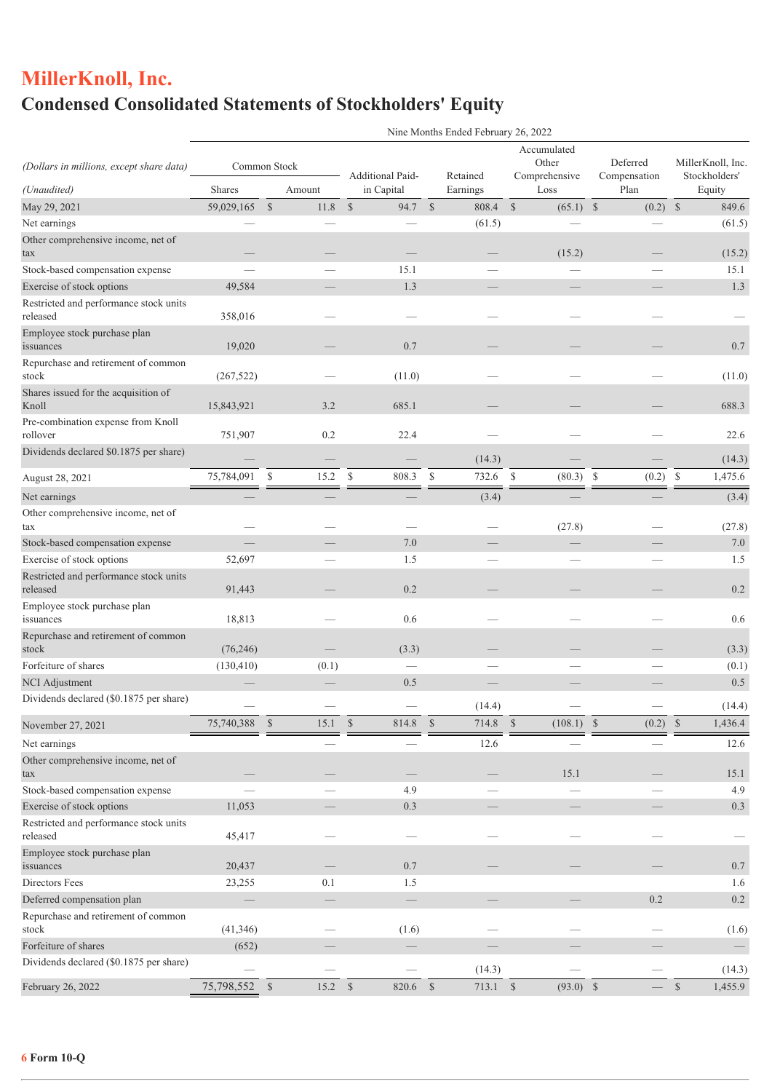# **MillerKnoll, Inc. Condensed Consolidated Statements of Stockholders' Equity**

|                                                                 |               |               |         |               |                  |              | Nine Months Ended February 26, 2022 |               |                        |                            |               |                                    |
|-----------------------------------------------------------------|---------------|---------------|---------|---------------|------------------|--------------|-------------------------------------|---------------|------------------------|----------------------------|---------------|------------------------------------|
|                                                                 |               |               |         |               |                  |              |                                     |               | Accumulated            |                            |               |                                    |
| (Dollars in millions, except share data)                        | Common Stock  |               |         |               | Additional Paid- |              | Retained                            |               | Other<br>Comprehensive | Deferred<br>Compensation   |               | MillerKnoll, Inc.<br>Stockholders' |
| (Unaudited)                                                     | Shares        |               | Amount  |               | in Capital       |              | Earnings                            |               | Loss                   | Plan                       |               | Equity                             |
| May 29, 2021                                                    | 59,029,165    | $\mathbb{S}$  | 11.8    | $\mathcal{S}$ | 94.7             | $\mathbb{S}$ | 808.4                               | $\mathbb{S}$  | (65.1)                 | $\mathbb{S}$<br>(0.2)      | $\mathcal{S}$ | 849.6                              |
| Net earnings                                                    |               |               |         |               |                  |              | (61.5)                              |               |                        |                            |               | (61.5)                             |
| Other comprehensive income, net of<br>tax                       |               |               |         |               |                  |              |                                     |               | (15.2)                 |                            |               | (15.2)                             |
| Stock-based compensation expense                                |               |               |         |               | 15.1             |              |                                     |               |                        |                            |               | 15.1                               |
| Exercise of stock options                                       | 49,584        |               |         |               | 1.3              |              |                                     |               |                        |                            |               | 1.3                                |
| Restricted and performance stock units<br>released              | 358,016       |               |         |               |                  |              |                                     |               |                        |                            |               |                                    |
| Employee stock purchase plan<br>issuances                       | 19,020        |               |         |               | 0.7              |              |                                     |               |                        |                            |               | 0.7                                |
| Repurchase and retirement of common<br>stock                    | (267, 522)    |               |         |               | (11.0)           |              |                                     |               |                        |                            |               | (11.0)                             |
| Shares issued for the acquisition of<br>Knoll                   | 15,843,921    |               | 3.2     |               | 685.1            |              |                                     |               |                        |                            |               | 688.3                              |
| Pre-combination expense from Knoll<br>rollover                  | 751,907       |               | 0.2     |               | 22.4             |              |                                     |               |                        |                            |               | 22.6                               |
| Dividends declared \$0.1875 per share)                          |               |               |         |               |                  |              | (14.3)                              |               |                        |                            |               | (14.3)                             |
| August 28, 2021                                                 | 75,784,091    | <sup>\$</sup> | 15.2    | $\mathcal{S}$ | 808.3            | $\mathbb{S}$ | 732.6                               | $\mathcal{S}$ | (80.3)                 | $(0.2)$ \$<br>$\mathbb{S}$ |               | 1,475.6                            |
| Net earnings                                                    |               |               |         |               |                  |              | (3.4)                               |               |                        |                            |               | (3.4)                              |
| Other comprehensive income, net of                              |               |               |         |               |                  |              |                                     |               |                        |                            |               |                                    |
| tax                                                             |               |               |         |               |                  |              |                                     |               | (27.8)                 |                            |               | (27.8)                             |
| Stock-based compensation expense                                |               |               |         |               | 7.0              |              |                                     |               |                        |                            |               | 7.0                                |
| Exercise of stock options                                       | 52,697        |               |         |               | 1.5              |              |                                     |               |                        |                            |               | 1.5                                |
| Restricted and performance stock units<br>released              | 91,443        |               |         |               | 0.2              |              |                                     |               |                        |                            |               | 0.2                                |
| Employee stock purchase plan<br>issuances                       | 18,813        |               |         |               | 0.6              |              |                                     |               |                        |                            |               | 0.6                                |
| Repurchase and retirement of common<br>stock                    | (76, 246)     |               |         |               | (3.3)            |              |                                     |               |                        |                            |               | (3.3)                              |
| Forfeiture of shares                                            | (130, 410)    |               | (0.1)   |               |                  |              |                                     |               |                        |                            |               | (0.1)                              |
| <b>NCI</b> Adjustment                                           |               |               |         |               | 0.5              |              |                                     |               |                        |                            |               | 0.5                                |
| Dividends declared (\$0.1875 per share)                         |               |               |         |               |                  |              | (14.4)                              |               |                        |                            |               | (14.4)                             |
| November 27, 2021                                               | 75,740,388 \$ |               | 15.1 S  |               | 814.8 \$         |              | 714.8                               | $\sqrt{S}$    | $(108.1)$ \$           | $(0.2)$ \$                 |               | 1,436.4                            |
| Net earnings                                                    |               |               |         |               |                  |              | 12.6                                |               |                        |                            |               | 12.6                               |
| Other comprehensive income, net of<br>tax                       |               |               |         |               |                  |              |                                     |               | 15.1                   |                            |               | 15.1                               |
| Stock-based compensation expense                                |               |               |         |               | 4.9              |              |                                     |               |                        |                            |               | 4.9                                |
| Exercise of stock options                                       | 11,053        |               |         |               | 0.3              |              |                                     |               |                        |                            |               | 0.3                                |
| Restricted and performance stock units<br>released              | 45,417        |               |         |               |                  |              |                                     |               |                        |                            |               |                                    |
| Employee stock purchase plan<br>issuances                       | 20,437        |               |         |               | $0.7\,$          |              |                                     |               |                        |                            |               | 0.7                                |
| Directors Fees                                                  | 23,255        |               | 0.1     |               | 1.5              |              |                                     |               |                        |                            |               | 1.6                                |
| Deferred compensation plan                                      |               |               |         |               |                  |              |                                     |               |                        | 0.2                        |               | $0.2\,$                            |
| Repurchase and retirement of common                             |               |               |         |               |                  |              |                                     |               |                        |                            |               |                                    |
| ${\sf stock}$                                                   | (41, 346)     |               |         |               | (1.6)            |              |                                     |               |                        |                            |               | (1.6)                              |
| Forfeiture of shares<br>Dividends declared (\$0.1875 per share) | (652)         |               |         |               |                  |              |                                     |               |                        |                            |               |                                    |
|                                                                 |               |               |         |               |                  |              | (14.3)                              |               |                        |                            |               | (14.3)                             |
| February 26, 2022                                               | 75,798,552 \$ |               | $15.2-$ |               | 820.6 \$         |              | 713.1 S                             |               | $(93.0)$ \$            |                            | $\mathbb{S}$  | 1,455.9                            |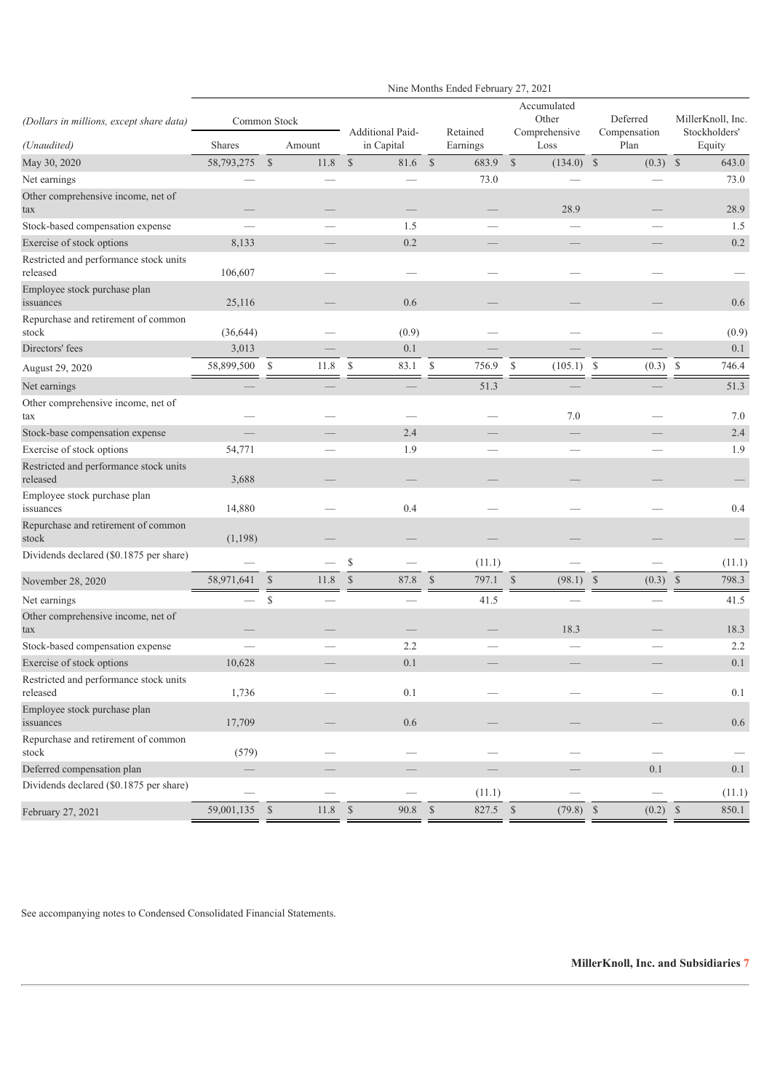| (Dollars in millions, except share data)           | Common Stock  |              |           |               | Additional Paid- |              | Retained |              | Accumulated<br>Other<br>Comprehensive |               | Deferred<br>Compensation |               | MillerKnoll, Inc.<br>Stockholders' |
|----------------------------------------------------|---------------|--------------|-----------|---------------|------------------|--------------|----------|--------------|---------------------------------------|---------------|--------------------------|---------------|------------------------------------|
| (Unaudited)                                        | <b>Shares</b> |              | Amount    |               | in Capital       |              | Earnings |              | Loss                                  |               | Plan                     |               | Equity                             |
| May 30, 2020                                       | 58,793,275    | $\mathbb{S}$ | 11.8      | $\mathcal{S}$ | 81.6             | $\mathbb{S}$ | 683.9    | $\mathbb{S}$ | $(134.0)$ \$                          |               | (0.3)                    | $\mathcal{S}$ | 643.0                              |
| Net earnings                                       |               |              |           |               |                  |              | 73.0     |              |                                       |               |                          |               | 73.0                               |
| Other comprehensive income, net of<br>tax          |               |              |           |               |                  |              |          |              | 28.9                                  |               |                          |               | 28.9                               |
| Stock-based compensation expense                   |               |              |           |               | 1.5              |              |          |              |                                       |               |                          |               | 1.5                                |
| Exercise of stock options                          | 8,133         |              |           |               | 0.2              |              |          |              |                                       |               |                          |               | 0.2                                |
| Restricted and performance stock units<br>released | 106,607       |              |           |               |                  |              |          |              |                                       |               |                          |               |                                    |
| Employee stock purchase plan<br>issuances          | 25,116        |              |           |               | 0.6              |              |          |              |                                       |               |                          |               | 0.6                                |
| Repurchase and retirement of common<br>stock       | (36, 644)     |              |           |               | (0.9)            |              |          |              |                                       |               |                          |               | (0.9)                              |
| Directors' fees                                    | 3,013         |              |           |               | 0.1              |              |          |              |                                       |               |                          |               | 0.1                                |
| August 29, 2020                                    | 58,899,500    | \$           | 11.8      | \$            | 83.1             | \$           | 756.9    | \$           | (105.1)                               | <sup>\$</sup> | (0.3)                    | $\mathbb{S}$  | 746.4                              |
| Net earnings                                       |               |              |           |               |                  |              | 51.3     |              |                                       |               |                          |               | 51.3                               |
| Other comprehensive income, net of<br>tax          |               |              |           |               |                  |              |          |              | 7.0                                   |               |                          |               | 7.0                                |
| Stock-base compensation expense                    |               |              |           |               | 2.4              |              |          |              |                                       |               |                          |               | 2.4                                |
| Exercise of stock options                          | 54,771        |              |           |               | 1.9              |              |          |              |                                       |               |                          |               | 1.9                                |
| Restricted and performance stock units<br>released | 3,688         |              |           |               |                  |              |          |              |                                       |               |                          |               |                                    |
| Employee stock purchase plan<br>issuances          | 14,880        |              |           |               | 0.4              |              |          |              |                                       |               |                          |               | 0.4                                |
| Repurchase and retirement of common<br>stock       | (1,198)       |              |           |               |                  |              |          |              |                                       |               |                          |               |                                    |
| Dividends declared (\$0.1875 per share)            |               |              |           | \$            |                  |              | (11.1)   |              |                                       |               |                          |               | (11.1)                             |
| November 28, 2020                                  | 58,971,641    | $\mathbb{S}$ | 11.8      | $\mathbb{S}$  | 87.8             | $\mathbb{S}$ | 797.1    | $\mathbb{S}$ | (98.1)                                | $\mathcal{S}$ | (0.3)                    | $\mathcal{S}$ | 798.3                              |
| Net earnings                                       |               | \$           |           |               |                  |              | 41.5     |              |                                       |               |                          |               | 41.5                               |
| Other comprehensive income, net of<br>tax          |               |              |           |               |                  |              |          |              | 18.3                                  |               |                          |               | 18.3                               |
| Stock-based compensation expense                   |               |              |           |               | 2.2              |              |          |              |                                       |               |                          |               | 2.2                                |
| Exercise of stock options                          | 10,628        |              |           |               | 0.1              |              |          |              |                                       |               |                          |               | 0.1                                |
| Restricted and performance stock units<br>released | 1,736         |              |           |               | 0.1              |              |          |              |                                       |               |                          |               | $0.1\,$                            |
| Employee stock purchase plan<br>issuances          | 17,709        |              |           |               | 0.6              |              |          |              |                                       |               |                          |               | $0.6\,$                            |
| Repurchase and retirement of common<br>stock       | (579)         |              |           |               |                  |              |          |              |                                       |               |                          |               |                                    |
| Deferred compensation plan                         |               |              |           |               |                  |              |          |              |                                       |               | $0.1\,$                  |               | 0.1                                |
| Dividends declared (\$0.1875 per share)            |               |              |           |               |                  |              | (11.1)   |              |                                       |               |                          |               | (11.1)                             |
| February 27, 2021                                  | 59,001,135 \$ |              | $11.8$ \$ |               | 90.8 \$          |              | 827.5 \$ |              | $(79.8)$ \$                           |               | $(0.2)$ \$               |               | 850.1                              |

Nine Months Ended February 27, 2021

See accompanying notes to Condensed Consolidated Financial Statements.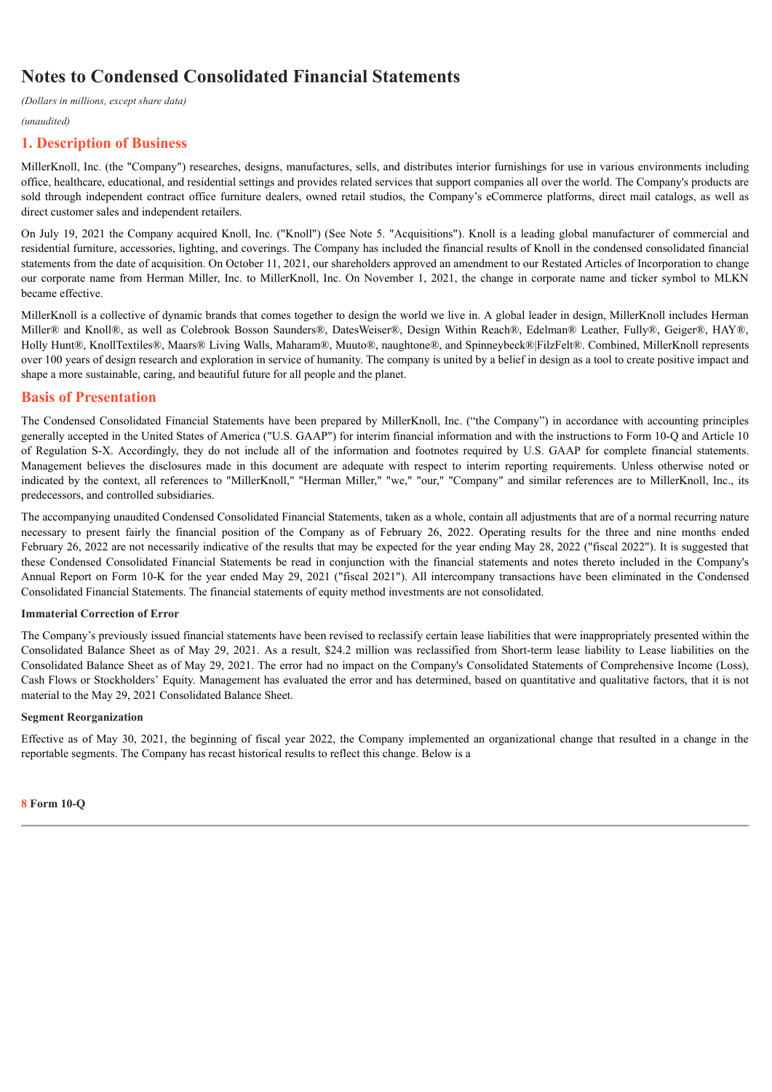## **Notes to Condensed Consolidated Financial Statements**

*(Dollars in millions, except share data)*

#### *(unaudited)*

## <span id="page-7-0"></span>**1. Description of Business**

MillerKnoll, Inc. (the "Company") researches, designs, manufactures, sells, and distributes interior furnishings for use in various environments including office, healthcare, educational, and residential settings and provides related services that support companies all over the world. The Company's products are sold through independent contract office furniture dealers, owned retail studios, the Company's eCommerce platforms, direct mail catalogs, as well as direct customer sales and independent retailers.

On July 19, 2021 the Company acquired Knoll, Inc. ("Knoll") (See Note 5. "Acquisitions"). Knoll is a leading global manufacturer of commercial and residential furniture, accessories, lighting, and coverings. The Company has included the financial results of Knoll in the condensed consolidated financial statements from the date of acquisition. On October 11, 2021, our shareholders approved an amendment to our Restated Articles of Incorporation to change our corporate name from Herman Miller, Inc. to MillerKnoll, Inc. On November 1, 2021, the change in corporate name and ticker symbol to MLKN became effective.

MillerKnoll is a collective of dynamic brands that comes together to design the world we live in. A global leader in design, MillerKnoll includes Herman Miller® and Knoll®, as well as Colebrook Bosson Saunders®, DatesWeiser®, Design Within Reach®, Edelman® Leather, Fully®, Geiger®, HAY®, Holly Hunt®, KnollTextiles®, Maars® Living Walls, Maharam®, Muuto®, naughtone®, and Spinneybeck®|FilzFelt®. Combined, MillerKnoll represents over 100 years of design research and exploration in service of humanity. The company is united by a belief in design as a tool to create positive impact and shape a more sustainable, caring, and beautiful future for all people and the planet.

## **Basis of Presentation**

The Condensed Consolidated Financial Statements have been prepared by MillerKnoll, Inc. ("the Company") in accordance with accounting principles generally accepted in the United States of America ("U.S. GAAP") for interim financial information and with the instructions to Form 10-Q and Article 10 of Regulation S-X. Accordingly, they do not include all of the information and footnotes required by U.S. GAAP for complete financial statements. Management believes the disclosures made in this document are adequate with respect to interim reporting requirements. Unless otherwise noted or indicated by the context, all references to "MillerKnoll," "Herman Miller," "we," "our," "Company" and similar references are to MillerKnoll, Inc., its predecessors, and controlled subsidiaries.

The accompanying unaudited Condensed Consolidated Financial Statements, taken as a whole, contain all adjustments that are of a normal recurring nature necessary to present fairly the financial position of the Company as of February 26, 2022. Operating results for the three and nine months ended February 26, 2022 are not necessarily indicative of the results that may be expected for the year ending May 28, 2022 ("fiscal 2022"). It is suggested that these Condensed Consolidated Financial Statements be read in conjunction with the financial statements and notes thereto included in the Company's Annual Report on Form 10-K for the year ended May 29, 2021 ("fiscal 2021"). All intercompany transactions have been eliminated in the Condensed Consolidated Financial Statements. The financial statements of equity method investments are not consolidated.

#### **Immaterial Correction of Error**

The Company's previously issued financial statements have been revised to reclassify certain lease liabilities that were inappropriately presented within the Consolidated Balance Sheet as of May 29, 2021. As a result, \$24.2 million was reclassified from Short-term lease liability to Lease liabilities on the Consolidated Balance Sheet as of May 29, 2021. The error had no impact on the Company's Consolidated Statements of Comprehensive Income (Loss), Cash Flows or Stockholders' Equity. Management has evaluated the error and has determined, based on quantitative and qualitative factors, that it is not material to the May 29, 2021 Consolidated Balance Sheet.

#### **Segment Reorganization**

Effective as of May 30, 2021, the beginning of fiscal year 2022, the Company implemented an organizational change that resulted in a change in the reportable segments. The Company has recast historical results to reflect this change. Below is a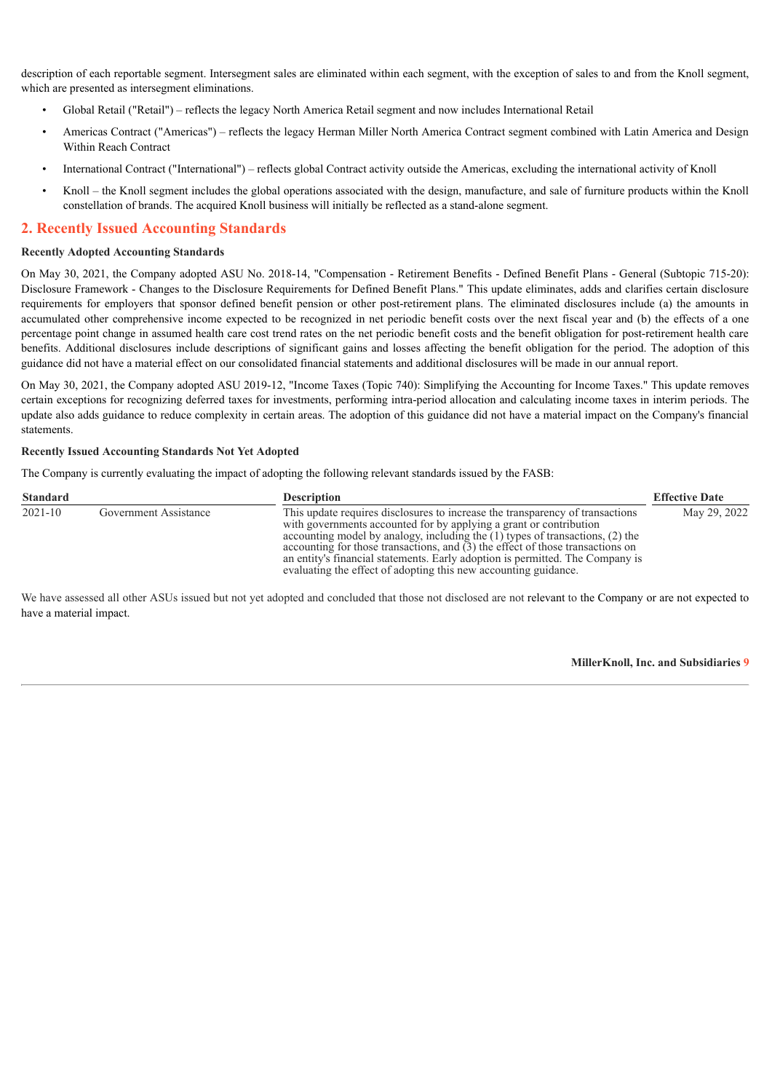description of each reportable segment. Intersegment sales are eliminated within each segment, with the exception of sales to and from the Knoll segment, which are presented as intersegment eliminations.

- Global Retail ("Retail") reflects the legacy North America Retail segment and now includes International Retail
- Americas Contract ("Americas") reflects the legacy Herman Miller North America Contract segment combined with Latin America and Design Within Reach Contract
- International Contract ("International") reflects global Contract activity outside the Americas, excluding the international activity of Knoll
- Knoll the Knoll segment includes the global operations associated with the design, manufacture, and sale of furniture products within the Knoll constellation of brands. The acquired Knoll business will initially be reflected as a stand-alone segment.

### <span id="page-8-0"></span>**2. Recently Issued Accounting Standards**

#### **Recently Adopted Accounting Standards**

On May 30, 2021, the Company adopted ASU No. 2018-14, "Compensation - Retirement Benefits - Defined Benefit Plans - General (Subtopic 715-20): Disclosure Framework - Changes to the Disclosure Requirements for Defined Benefit Plans." This update eliminates, adds and clarifies certain disclosure requirements for employers that sponsor defined benefit pension or other post-retirement plans. The eliminated disclosures include (a) the amounts in accumulated other comprehensive income expected to be recognized in net periodic benefit costs over the next fiscal year and (b) the effects of a one percentage point change in assumed health care cost trend rates on the net periodic benefit costs and the benefit obligation for post-retirement health care benefits. Additional disclosures include descriptions of significant gains and losses affecting the benefit obligation for the period. The adoption of this guidance did not have a material effect on our consolidated financial statements and additional disclosures will be made in our annual report.

On May 30, 2021, the Company adopted ASU 2019-12, "Income Taxes (Topic 740): Simplifying the Accounting for Income Taxes." This update removes certain exceptions for recognizing deferred taxes for investments, performing intra-period allocation and calculating income taxes in interim periods. The update also adds guidance to reduce complexity in certain areas. The adoption of this guidance did not have a material impact on the Company's financial statements.

#### **Recently Issued Accounting Standards Not Yet Adopted**

The Company is currently evaluating the impact of adopting the following relevant standards issued by the FASB:

| <b>Standard</b> |                       | <b>Description</b>                                                                                                                                                                                                                                                                                                                                                                                                                                                             | <b>Effective Date</b> |
|-----------------|-----------------------|--------------------------------------------------------------------------------------------------------------------------------------------------------------------------------------------------------------------------------------------------------------------------------------------------------------------------------------------------------------------------------------------------------------------------------------------------------------------------------|-----------------------|
| $2021 - 10$     | Government Assistance | This update requires disclosures to increase the transparency of transactions<br>with governments accounted for by applying a grant or contribution<br>accounting model by analogy, including the $(1)$ types of transactions, $(2)$ the<br>accounting for those transactions, and (3) the effect of those transactions on<br>an entity's financial statements. Early adoption is permitted. The Company is<br>evaluating the effect of adopting this new accounting guidance. | May 29, 2022          |

<span id="page-8-1"></span>We have assessed all other ASUs issued but not yet adopted and concluded that those not disclosed are not relevant to the Company or are not expected to have a material impact.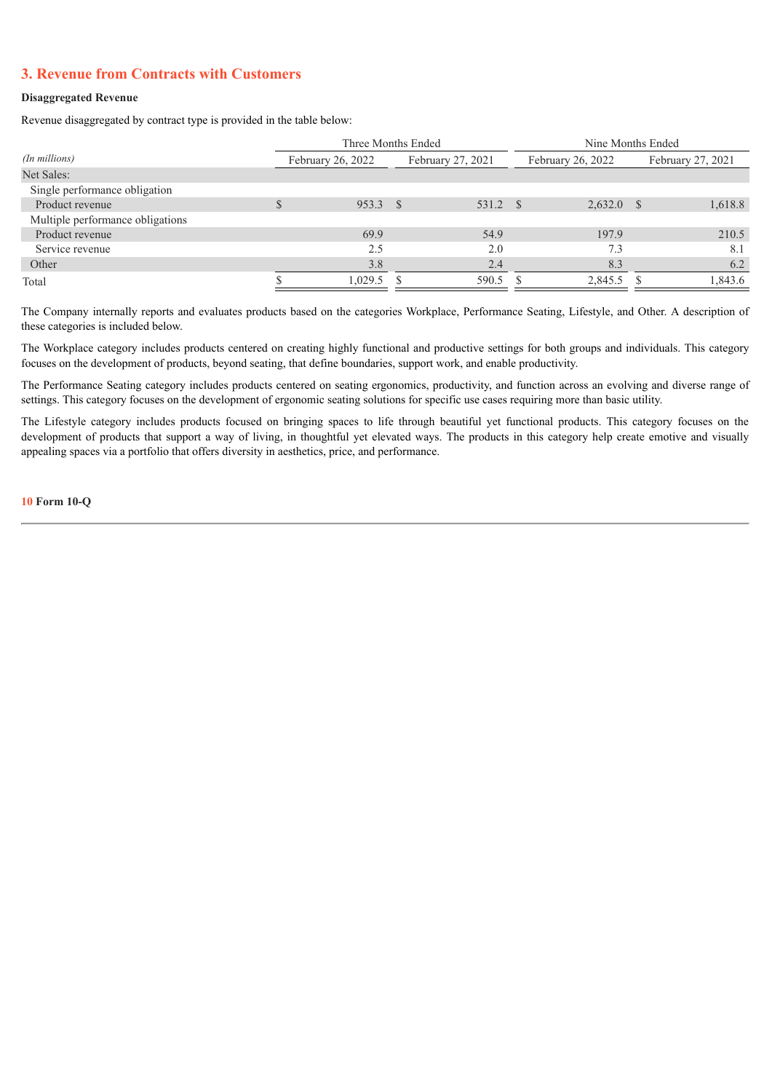## **3. Revenue from Contracts with Customers**

#### **Disaggregated Revenue**

Revenue disaggregated by contract type is provided in the table below:

|                                  | Three Months Ended |  |                   |  | Nine Months Ended |               |                   |
|----------------------------------|--------------------|--|-------------------|--|-------------------|---------------|-------------------|
| (In millions)                    | February 26, 2022  |  | February 27, 2021 |  | February 26, 2022 |               | February 27, 2021 |
| Net Sales:                       |                    |  |                   |  |                   |               |                   |
| Single performance obligation    |                    |  |                   |  |                   |               |                   |
| Product revenue                  | 953.3 \$           |  | 531.2 \$          |  | 2,632.0           | <sup>\$</sup> | 1,618.8           |
| Multiple performance obligations |                    |  |                   |  |                   |               |                   |
| Product revenue                  | 69.9               |  | 54.9              |  | 197.9             |               | 210.5             |
| Service revenue                  | 2.5                |  | 2.0               |  | 7.3               |               | 8.1               |
| Other                            | 3.8                |  | 2.4               |  | 8.3               |               | 6.2               |
| Total                            | 1,029.5            |  | 590.5             |  | 2,845.5           |               | 1,843.6           |

The Company internally reports and evaluates products based on the categories Workplace, Performance Seating, Lifestyle, and Other. A description of these categories is included below.

The Workplace category includes products centered on creating highly functional and productive settings for both groups and individuals. This category focuses on the development of products, beyond seating, that define boundaries, support work, and enable productivity.

The Performance Seating category includes products centered on seating ergonomics, productivity, and function across an evolving and diverse range of settings. This category focuses on the development of ergonomic seating solutions for specific use cases requiring more than basic utility.

The Lifestyle category includes products focused on bringing spaces to life through beautiful yet functional products. This category focuses on the development of products that support a way of living, in thoughtful yet elevated ways. The products in this category help create emotive and visually appealing spaces via a portfolio that offers diversity in aesthetics, price, and performance.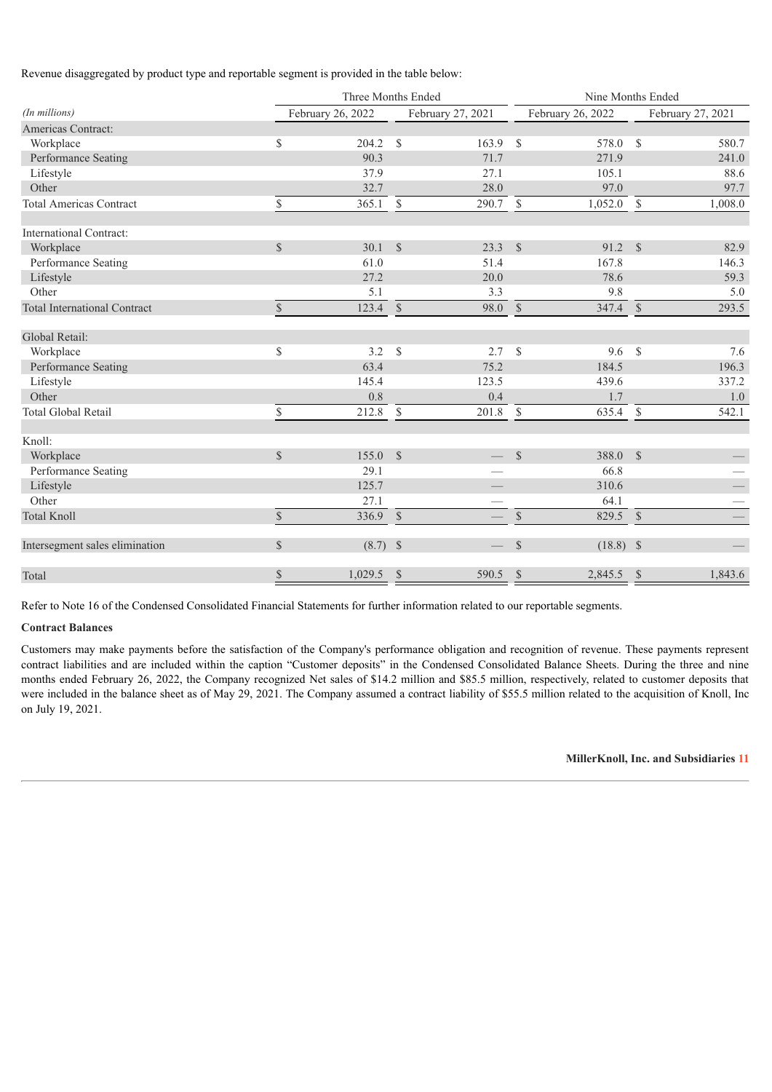Revenue disaggregated by product type and reportable segment is provided in the table below:

|                                     |                                                                       | Three Months Ended |               | Nine Months Ended |               |                   |                            |                          |  |
|-------------------------------------|-----------------------------------------------------------------------|--------------------|---------------|-------------------|---------------|-------------------|----------------------------|--------------------------|--|
| (In millions)                       |                                                                       | February 26, 2022  |               | February 27, 2021 |               | February 26, 2022 |                            | February 27, 2021        |  |
| Americas Contract:                  |                                                                       |                    |               |                   |               |                   |                            |                          |  |
| Workplace                           | \$                                                                    | 204.2              | $\mathcal{S}$ | 163.9             | <sup>S</sup>  | 578.0             | $\mathbb{S}$               | 580.7                    |  |
| Performance Seating                 |                                                                       | 90.3               |               | 71.7              |               | 271.9             |                            | 241.0                    |  |
| Lifestyle                           |                                                                       | 37.9               |               | 27.1              |               | 105.1             |                            | 88.6                     |  |
| Other                               |                                                                       | 32.7               |               | 28.0              |               | 97.0              |                            | 97.7                     |  |
| <b>Total Americas Contract</b>      | $\mathbb S$                                                           | 365.1              | \$            | 290.7             | $\mathbb{S}$  | 1,052.0           | $\mathcal{S}$              | 1,008.0                  |  |
| International Contract:             |                                                                       |                    |               |                   |               |                   |                            |                          |  |
| Workplace                           | $\sqrt{\frac{2}{\pi}}$                                                | 30.1               | $\mathcal{S}$ | 23.3              | $\mathcal{S}$ | 91.2              | $\mathcal{S}$              | 82.9                     |  |
| Performance Seating                 |                                                                       | 61.0               |               | 51.4              |               | 167.8             |                            | 146.3                    |  |
| Lifestyle                           |                                                                       | 27.2               |               | 20.0              |               | 78.6              |                            | 59.3                     |  |
| Other                               |                                                                       | 5.1                |               | 3.3               |               | 9.8               |                            | 5.0                      |  |
| <b>Total International Contract</b> | $\mathbb{S}$                                                          | 123.4              | $\mathcal{S}$ | 98.0              | $\mathbb{S}$  | 347.4             | $\mathbb{S}$               | 293.5                    |  |
| Global Retail:                      |                                                                       |                    |               |                   |               |                   |                            |                          |  |
| Workplace                           | \$                                                                    | 3.2                | $\mathcal{S}$ | 2.7               | <sup>S</sup>  | 9.6               | $\mathcal{S}$              | 7.6                      |  |
| Performance Seating                 |                                                                       | 63.4               |               | 75.2              |               | 184.5             |                            | 196.3                    |  |
| Lifestyle                           |                                                                       | 145.4              |               | 123.5             |               | 439.6             |                            | 337.2                    |  |
| Other                               |                                                                       | 0.8                |               | 0.4               |               | 1.7               |                            | $1.0\,$                  |  |
| <b>Total Global Retail</b>          | \$                                                                    | 212.8              | $\mathcal{S}$ | 201.8             | $\mathbb S$   | 635.4             | $\mathbb{S}$               | 542.1                    |  |
| Knoll:                              |                                                                       |                    |               |                   |               |                   |                            |                          |  |
| Workplace                           | $\mathbb{S}$                                                          | 155.0 S            |               |                   | $\mathcal{S}$ | 388.0             | $\mathcal{S}$              |                          |  |
| Performance Seating                 |                                                                       | 29.1               |               |                   |               | 66.8              |                            |                          |  |
| Lifestyle                           |                                                                       | 125.7              |               |                   |               | 310.6             |                            | $\overline{\phantom{0}}$ |  |
| Other                               |                                                                       | 27.1               |               |                   |               | 64.1              |                            |                          |  |
| <b>Total Knoll</b>                  | $\mathbb{S}$                                                          | 336.9 \$           |               | $\equiv$          | $\mathbb{S}$  | 829.5             | $\mathcal{S}$              |                          |  |
| Intersegment sales elimination      | $\mathcal{S}$                                                         | $(8.7)$ \$         |               |                   | $\mathcal{S}$ | $(18.8)$ \$       |                            |                          |  |
| Total                               | $\mathbb{S}% _{t}\left( t\right) \equiv\mathbb{S}_{t}\left( t\right)$ | 1,029.5            | $\mathcal{S}$ | 590.5             | $\mathbb{S}$  | 2,845.5           | $\boldsymbol{\mathcal{S}}$ | 1,843.6                  |  |

Refer to Note 16 of the Condensed Consolidated Financial Statements for further information related to our reportable segments.

#### **Contract Balances**

<span id="page-10-0"></span>Customers may make payments before the satisfaction of the Company's performance obligation and recognition of revenue. These payments represent contract liabilities and are included within the caption "Customer deposits" in the Condensed Consolidated Balance Sheets. During the three and nine months ended February 26, 2022, the Company recognized Net sales of \$14.2 million and \$85.5 million, respectively, related to customer deposits that were included in the balance sheet as of May 29, 2021. The Company assumed a contract liability of \$55.5 million related to the acquisition of Knoll, Inc on July 19, 2021.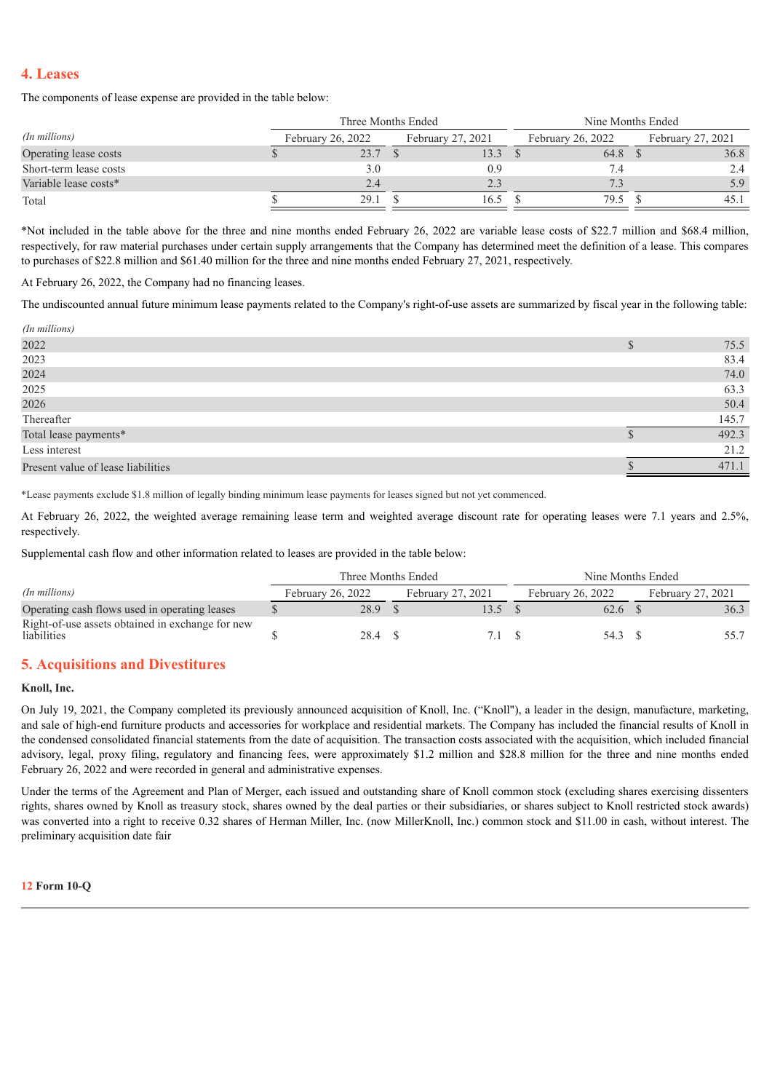### **4. Leases**

The components of lease expense are provided in the table below:

|                        |                   | Three Months Ended |                   | Nine Months Ended |  |  |
|------------------------|-------------------|--------------------|-------------------|-------------------|--|--|
| (In millions)          | February 26, 2022 | February 27, 2021  | February 26, 2022 | February 27, 2021 |  |  |
| Operating lease costs  | 23.7              | 3.3                | 64.8              | 36.8              |  |  |
| Short-term lease costs | 3.0               | 0.9                |                   | 2.4               |  |  |
| Variable lease costs*  | 2.4               | 2.3                |                   | 5.9               |  |  |
| Total                  | 29.1              | .6.5               | 79.5              |                   |  |  |

\*Not included in the table above for the three and nine months ended February 26, 2022 are variable lease costs of \$22.7 million and \$68.4 million, respectively, for raw material purchases under certain supply arrangements that the Company has determined meet the definition of a lease. This compares to purchases of \$22.8 million and \$61.40 million for the three and nine months ended February 27, 2021, respectively.

At February 26, 2022, the Company had no financing leases.

The undiscounted annual future minimum lease payments related to the Company's right-of-use assets are summarized by fiscal year in the following table:

| (In millions)                      |       |
|------------------------------------|-------|
| 2022                               | 75.5  |
| 2023                               | 83.4  |
| 2024                               | 74.0  |
| 2025                               | 63.3  |
| 2026                               | 50.4  |
| Thereafter                         | 145.7 |
| Total lease payments*              | 492.3 |
| Less interest                      | 21.2  |
| Present value of lease liabilities | 471.1 |

\*Lease payments exclude \$1.8 million of legally binding minimum lease payments for leases signed but not yet commenced.

At February 26, 2022, the weighted average remaining lease term and weighted average discount rate for operating leases were 7.1 years and 2.5%, respectively.

Supplemental cash flow and other information related to leases are provided in the table below:

|                                                                 | Three Months Ended |  | Nine Months Ended |                   |  |                   |
|-----------------------------------------------------------------|--------------------|--|-------------------|-------------------|--|-------------------|
| (In millions)                                                   | February 26, 2022  |  | February 27, 2021 | February 26, 2022 |  | February 27, 2021 |
| Operating cash flows used in operating leases                   | 28.9               |  |                   |                   |  | 36.3              |
| Right-of-use assets obtained in exchange for new<br>liabilities | 28.4               |  |                   | 54.3              |  |                   |

## <span id="page-11-0"></span>**5. Acquisitions and Divestitures**

#### **Knoll, Inc.**

On July 19, 2021, the Company completed its previously announced acquisition of Knoll, Inc. ("Knoll"), a leader in the design, manufacture, marketing, and sale of high-end furniture products and accessories for workplace and residential markets. The Company has included the financial results of Knoll in the condensed consolidated financial statements from the date of acquisition. The transaction costs associated with the acquisition, which included financial advisory, legal, proxy filing, regulatory and financing fees, were approximately \$1.2 million and \$28.8 million for the three and nine months ended February 26, 2022 and were recorded in general and administrative expenses.

Under the terms of the Agreement and Plan of Merger, each issued and outstanding share of Knoll common stock (excluding shares exercising dissenters rights, shares owned by Knoll as treasury stock, shares owned by the deal parties or their subsidiaries, or shares subject to Knoll restricted stock awards) was converted into a right to receive 0.32 shares of Herman Miller, Inc. (now MillerKnoll, Inc.) common stock and \$11.00 in cash, without interest. The preliminary acquisition date fair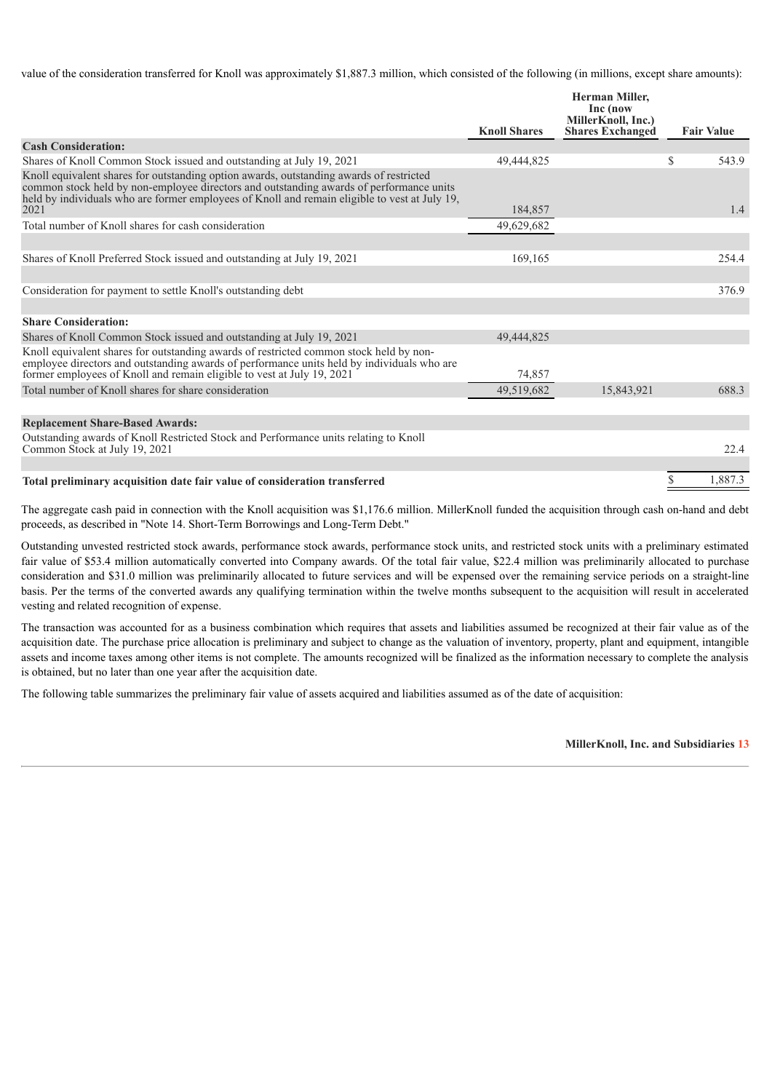value of the consideration transferred for Knoll was approximately \$1,887.3 million, which consisted of the following (in millions, except share amounts):

|                                                                                                                                                                                                                                                                                     |                     | <b>Herman Miller,</b><br>Inc (now             |    |                   |
|-------------------------------------------------------------------------------------------------------------------------------------------------------------------------------------------------------------------------------------------------------------------------------------|---------------------|-----------------------------------------------|----|-------------------|
|                                                                                                                                                                                                                                                                                     | <b>Knoll Shares</b> | MillerKnoll, Inc.)<br><b>Shares Exchanged</b> |    | <b>Fair Value</b> |
| <b>Cash Consideration:</b>                                                                                                                                                                                                                                                          |                     |                                               |    |                   |
| Shares of Knoll Common Stock issued and outstanding at July 19, 2021                                                                                                                                                                                                                | 49,444,825          |                                               | \$ | 543.9             |
| Knoll equivalent shares for outstanding option awards, outstanding awards of restricted<br>common stock held by non-employee directors and outstanding awards of performance units<br>held by individuals who are former employees of Knoll and remain eligible to vest at July 19, |                     |                                               |    |                   |
| 2021                                                                                                                                                                                                                                                                                | 184,857             |                                               |    | 1.4               |
| Total number of Knoll shares for cash consideration                                                                                                                                                                                                                                 | 49,629,682          |                                               |    |                   |
|                                                                                                                                                                                                                                                                                     |                     |                                               |    |                   |
| Shares of Knoll Preferred Stock issued and outstanding at July 19, 2021                                                                                                                                                                                                             | 169,165             |                                               |    | 254.4             |
|                                                                                                                                                                                                                                                                                     |                     |                                               |    |                   |
| Consideration for payment to settle Knoll's outstanding debt                                                                                                                                                                                                                        |                     |                                               |    | 376.9             |
|                                                                                                                                                                                                                                                                                     |                     |                                               |    |                   |
| <b>Share Consideration:</b>                                                                                                                                                                                                                                                         |                     |                                               |    |                   |
| Shares of Knoll Common Stock issued and outstanding at July 19, 2021                                                                                                                                                                                                                | 49,444,825          |                                               |    |                   |
| Knoll equivalent shares for outstanding awards of restricted common stock held by non-<br>employee directors and outstanding awards of performance units held by individuals who are<br>former employees of Knoll and remain eligible to vest at July 19, 2021                      |                     |                                               |    |                   |
| Total number of Knoll shares for share consideration                                                                                                                                                                                                                                | 74,857              |                                               |    | 688.3             |
|                                                                                                                                                                                                                                                                                     | 49,519,682          | 15,843,921                                    |    |                   |
| <b>Replacement Share-Based Awards:</b>                                                                                                                                                                                                                                              |                     |                                               |    |                   |
| Outstanding awards of Knoll Restricted Stock and Performance units relating to Knoll                                                                                                                                                                                                |                     |                                               |    |                   |
| Common Stock at July 19, 2021                                                                                                                                                                                                                                                       |                     |                                               |    | 22.4              |
|                                                                                                                                                                                                                                                                                     |                     |                                               |    |                   |
| Total preliminary acquisition date fair value of consideration transferred                                                                                                                                                                                                          |                     |                                               | S  | 1,887.3           |

The aggregate cash paid in connection with the Knoll acquisition was \$1,176.6 million. MillerKnoll funded the acquisition through cash on-hand and debt proceeds, as described in "Note 14. Short-Term Borrowings and Long-Term Debt."

Outstanding unvested restricted stock awards, performance stock awards, performance stock units, and restricted stock units with a preliminary estimated fair value of \$53.4 million automatically converted into Company awards. Of the total fair value, \$22.4 million was preliminarily allocated to purchase consideration and \$31.0 million was preliminarily allocated to future services and will be expensed over the remaining service periods on a straight-line basis. Per the terms of the converted awards any qualifying termination within the twelve months subsequent to the acquisition will result in accelerated vesting and related recognition of expense.

The transaction was accounted for as a business combination which requires that assets and liabilities assumed be recognized at their fair value as of the acquisition date. The purchase price allocation is preliminary and subject to change as the valuation of inventory, property, plant and equipment, intangible assets and income taxes among other items is not complete. The amounts recognized will be finalized as the information necessary to complete the analysis is obtained, but no later than one year after the acquisition date.

The following table summarizes the preliminary fair value of assets acquired and liabilities assumed as of the date of acquisition: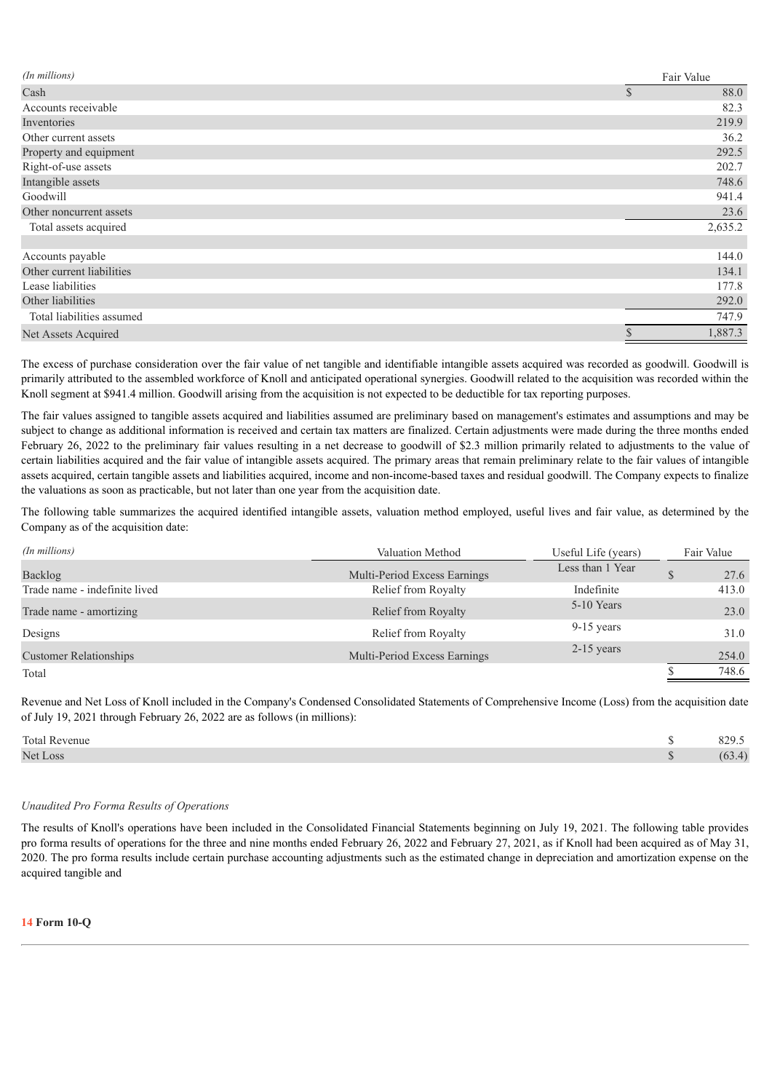| (In millions)             |               | Fair Value |
|---------------------------|---------------|------------|
| Cash                      | $\mathcal{S}$ | 88.0       |
| Accounts receivable       |               | 82.3       |
| Inventories               |               | 219.9      |
| Other current assets      |               | 36.2       |
| Property and equipment    |               | 292.5      |
| Right-of-use assets       |               | 202.7      |
| Intangible assets         |               | 748.6      |
| Goodwill                  |               | 941.4      |
| Other noncurrent assets   |               | 23.6       |
| Total assets acquired     |               | 2,635.2    |
|                           |               |            |
| Accounts payable          |               | 144.0      |
| Other current liabilities |               | 134.1      |
| Lease liabilities         |               | 177.8      |
| Other liabilities         |               | 292.0      |
| Total liabilities assumed |               | 747.9      |
| Net Assets Acquired       | \$            | 1,887.3    |

The excess of purchase consideration over the fair value of net tangible and identifiable intangible assets acquired was recorded as goodwill. Goodwill is primarily attributed to the assembled workforce of Knoll and anticipated operational synergies. Goodwill related to the acquisition was recorded within the Knoll segment at \$941.4 million. Goodwill arising from the acquisition is not expected to be deductible for tax reporting purposes.

The fair values assigned to tangible assets acquired and liabilities assumed are preliminary based on management's estimates and assumptions and may be subject to change as additional information is received and certain tax matters are finalized. Certain adjustments were made during the three months ended February 26, 2022 to the preliminary fair values resulting in a net decrease to goodwill of \$2.3 million primarily related to adjustments to the value of certain liabilities acquired and the fair value of intangible assets acquired. The primary areas that remain preliminary relate to the fair values of intangible assets acquired, certain tangible assets and liabilities acquired, income and non-income-based taxes and residual goodwill. The Company expects to finalize the valuations as soon as practicable, but not later than one year from the acquisition date.

The following table summarizes the acquired identified intangible assets, valuation method employed, useful lives and fair value, as determined by the Company as of the acquisition date:

| (In millions)                 | Valuation Method             | Useful Life (years) | Fair Value |
|-------------------------------|------------------------------|---------------------|------------|
| Backlog                       | Multi-Period Excess Earnings | Less than 1 Year    | 27.6       |
| Trade name - indefinite lived | Relief from Royalty          | Indefinite          | 413.0      |
| Trade name - amortizing       | Relief from Royalty          | 5-10 Years          | 23.0       |
| Designs                       | Relief from Royalty          | $9-15$ years        | 31.0       |
| <b>Customer Relationships</b> | Multi-Period Excess Earnings | $2-15$ years        | 254.0      |
| Total                         |                              |                     | 748.6      |

Revenue and Net Loss of Knoll included in the Company's Condensed Consolidated Statements of Comprehensive Income (Loss) from the acquisition date of July 19, 2021 through February 26, 2022 are as follows (in millions):

| <b>Total Revenue</b> |   | 029.J    |
|----------------------|---|----------|
| Net Loss             | . | $\cup$ . |

#### *Unaudited Pro Forma Results of Operations*

The results of Knoll's operations have been included in the Consolidated Financial Statements beginning on July 19, 2021. The following table provides pro forma results of operations for the three and nine months ended February 26, 2022 and February 27, 2021, as if Knoll had been acquired as of May 31, 2020. The pro forma results include certain purchase accounting adjustments such as the estimated change in depreciation and amortization expense on the acquired tangible and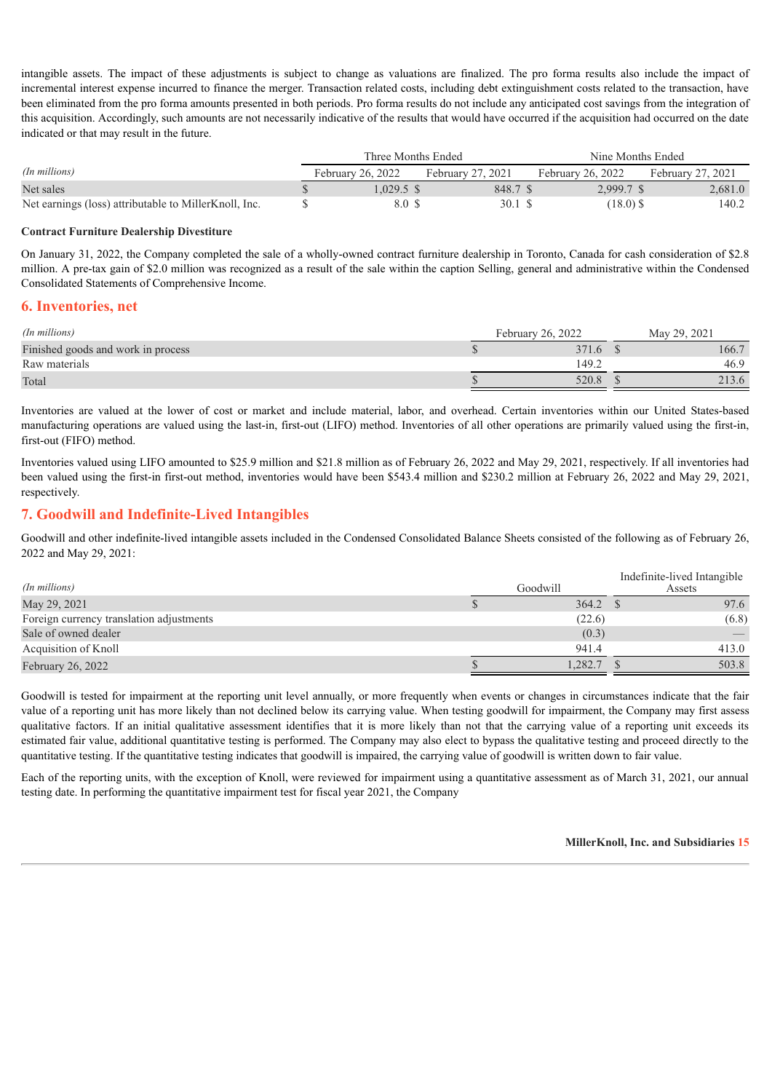intangible assets. The impact of these adjustments is subject to change as valuations are finalized. The pro forma results also include the impact of incremental interest expense incurred to finance the merger. Transaction related costs, including debt extinguishment costs related to the transaction, have been eliminated from the pro forma amounts presented in both periods. Pro forma results do not include any anticipated cost savings from the integration of this acquisition. Accordingly, such amounts are not necessarily indicative of the results that would have occurred if the acquisition had occurred on the date indicated or that may result in the future.

|                                                        | Three Months Ended |                   | Nine Months Ended |                   |
|--------------------------------------------------------|--------------------|-------------------|-------------------|-------------------|
| (In millions)                                          | February 26, 2022  | February 27, 2021 | February 26, 2022 | February 27, 2021 |
| Net sales                                              | $1.029.5$ \$       | 848.7 \$          | 2.999.7 \$        | 2.681.0           |
| Net earnings (loss) attributable to Miller Knoll, Inc. | 8.OS               | 30.1 S            | $(18.0)$ \$       | 140.2             |

#### **Contract Furniture Dealership Divestiture**

On January 31, 2022, the Company completed the sale of a wholly-owned contract furniture dealership in Toronto, Canada for cash consideration of \$2.8 million. A pre-tax gain of \$2.0 million was recognized as a result of the sale within the caption Selling, general and administrative within the Condensed Consolidated Statements of Comprehensive Income.

## <span id="page-14-0"></span>**6. Inventories, net**

| (In millions)                      | February 26, 2022 | May 29, 2021 |       |  |
|------------------------------------|-------------------|--------------|-------|--|
| Finished goods and work in process | 371.6             |              | 166.7 |  |
| Raw materials                      | 149.4             |              | 46.9  |  |
| Total                              | 520.8             |              | 213.6 |  |

Inventories are valued at the lower of cost or market and include material, labor, and overhead. Certain inventories within our United States-based manufacturing operations are valued using the last-in, first-out (LIFO) method. Inventories of all other operations are primarily valued using the first-in, first-out (FIFO) method.

Inventories valued using LIFO amounted to \$25.9 million and \$21.8 million as of February 26, 2022 and May 29, 2021, respectively. If all inventories had been valued using the first-in first-out method, inventories would have been \$543.4 million and \$230.2 million at February 26, 2022 and May 29, 2021, respectively.

## <span id="page-14-1"></span>**7. Goodwill and Indefinite-Lived Intangibles**

Goodwill and other indefinite-lived intangible assets included in the Condensed Consolidated Balance Sheets consisted of the following as of February 26, 2022 and May 29, 2021:

| (In millions)                            | Goodwill |            | Indefinite-lived Intangible<br>Assets |
|------------------------------------------|----------|------------|---------------------------------------|
| May 29, 2021                             |          | $364.2$ \$ | 97.6                                  |
| Foreign currency translation adjustments |          | (22.6)     | (6.8)                                 |
| Sale of owned dealer                     |          | (0.3)      |                                       |
| Acquisition of Knoll                     |          | 941.4      | 413.0                                 |
| February 26, 2022                        |          | 1,282.7    | 503.8                                 |

Goodwill is tested for impairment at the reporting unit level annually, or more frequently when events or changes in circumstances indicate that the fair value of a reporting unit has more likely than not declined below its carrying value. When testing goodwill for impairment, the Company may first assess qualitative factors. If an initial qualitative assessment identifies that it is more likely than not that the carrying value of a reporting unit exceeds its estimated fair value, additional quantitative testing is performed. The Company may also elect to bypass the qualitative testing and proceed directly to the quantitative testing. If the quantitative testing indicates that goodwill is impaired, the carrying value of goodwill is written down to fair value.

Each of the reporting units, with the exception of Knoll, were reviewed for impairment using a quantitative assessment as of March 31, 2021, our annual testing date. In performing the quantitative impairment test for fiscal year 2021, the Company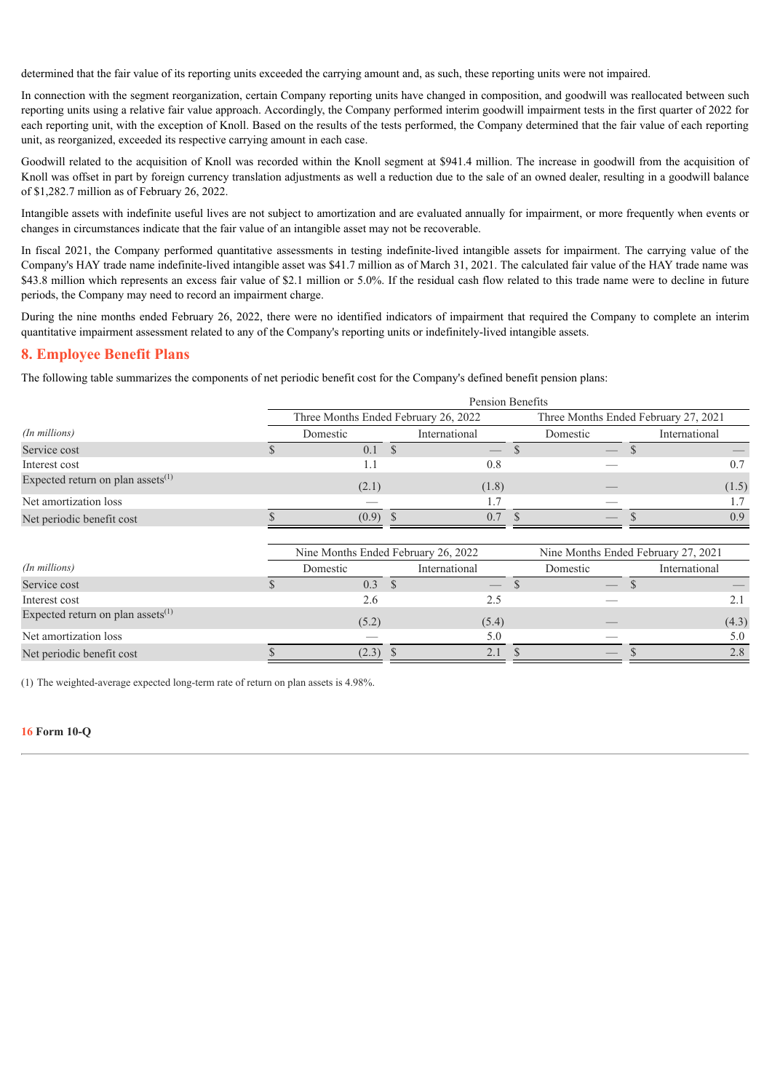determined that the fair value of its reporting units exceeded the carrying amount and, as such, these reporting units were not impaired.

In connection with the segment reorganization, certain Company reporting units have changed in composition, and goodwill was reallocated between such reporting units using a relative fair value approach. Accordingly, the Company performed interim goodwill impairment tests in the first quarter of 2022 for each reporting unit, with the exception of Knoll. Based on the results of the tests performed, the Company determined that the fair value of each reporting unit, as reorganized, exceeded its respective carrying amount in each case.

Goodwill related to the acquisition of Knoll was recorded within the Knoll segment at \$941.4 million. The increase in goodwill from the acquisition of Knoll was offset in part by foreign currency translation adjustments as well a reduction due to the sale of an owned dealer, resulting in a goodwill balance of \$1,282.7 million as of February 26, 2022.

Intangible assets with indefinite useful lives are not subject to amortization and are evaluated annually for impairment, or more frequently when events or changes in circumstances indicate that the fair value of an intangible asset may not be recoverable.

In fiscal 2021, the Company performed quantitative assessments in testing indefinite-lived intangible assets for impairment. The carrying value of the Company's HAY trade name indefinite-lived intangible asset was \$41.7 million as of March 31, 2021. The calculated fair value of the HAY trade name was \$43.8 million which represents an excess fair value of \$2.1 million or 5.0%. If the residual cash flow related to this trade name were to decline in future periods, the Company may need to record an impairment charge.

During the nine months ended February 26, 2022, there were no identified indicators of impairment that required the Company to complete an interim quantitative impairment assessment related to any of the Company's reporting units or indefinitely-lived intangible assets.

## <span id="page-15-0"></span>**8. Employee Benefit Plans**

The following table summarizes the components of net periodic benefit cost for the Company's defined benefit pension plans:

|                                         | Pension Benefits                     |  |                                               |  |                                      |  |       |  |  |
|-----------------------------------------|--------------------------------------|--|-----------------------------------------------|--|--------------------------------------|--|-------|--|--|
|                                         | Three Months Ended February 26, 2022 |  |                                               |  | Three Months Ended February 27, 2021 |  |       |  |  |
| (In millions)                           | International<br>Domestic            |  | Domestic                                      |  | International                        |  |       |  |  |
| Service cost                            | 0.1                                  |  | $\qquad \qquad \overbrace{\qquad \qquad }^{}$ |  |                                      |  |       |  |  |
| Interest cost                           |                                      |  | 0.8                                           |  |                                      |  | 0.7   |  |  |
| Expected return on plan assets $^{(1)}$ | (2.1)                                |  | (1.8)                                         |  |                                      |  | (1.5) |  |  |
| Net amortization loss                   |                                      |  | 1.7                                           |  |                                      |  | 1.7   |  |  |
| Net periodic benefit cost               | (0.9)                                |  | 0.7                                           |  | $\overline{\phantom{a}}$             |  | 0.9   |  |  |

|                                         | Nine Months Ended February 26, 2022 |       |  |                                   |  | Nine Months Ended February 27, 2021 |  |               |  |
|-----------------------------------------|-------------------------------------|-------|--|-----------------------------------|--|-------------------------------------|--|---------------|--|
| (In millions)                           | Domestic                            |       |  | International                     |  | Domestic                            |  | International |  |
| Service cost                            |                                     | 0.3   |  | $\hspace{0.1cm} - \hspace{0.1cm}$ |  | $\hspace{0.1cm}$                    |  |               |  |
| Interest cost                           |                                     | 2.6   |  | 2.5                               |  |                                     |  |               |  |
| Expected return on plan assets $^{(1)}$ |                                     | (5.2) |  | (5.4)                             |  |                                     |  | (4.3)         |  |
| Net amortization loss                   |                                     |       |  | 5.0                               |  |                                     |  | 5.0           |  |
| Net periodic benefit cost               |                                     | (2.3) |  | 2.1                               |  |                                     |  | 2.8           |  |

<span id="page-15-1"></span>(1) The weighted-average expected long-term rate of return on plan assets is 4.98%.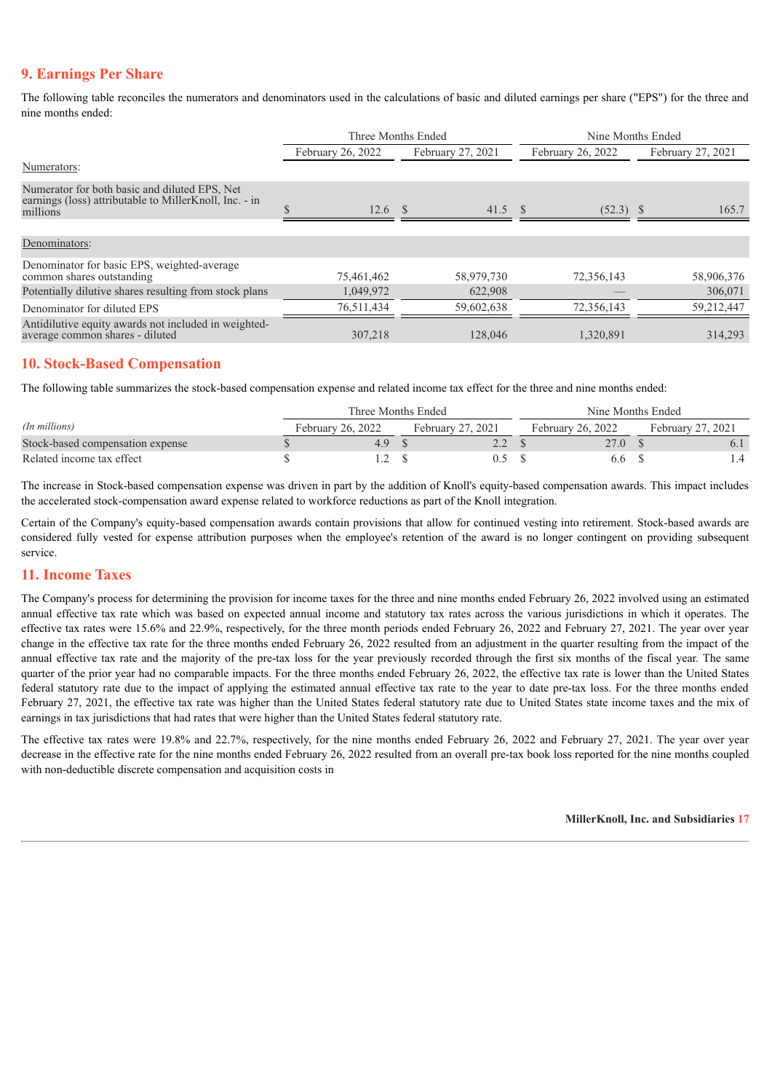## **9. Earnings Per Share**

The following table reconciles the numerators and denominators used in the calculations of basic and diluted earnings per share ("EPS") for the three and nine months ended:

|                                                                                                                     |                   | Three Months Ended | Nine Months Ended   |                   |  |  |
|---------------------------------------------------------------------------------------------------------------------|-------------------|--------------------|---------------------|-------------------|--|--|
|                                                                                                                     | February 26, 2022 | February 27, 2021  | February 26, 2022   | February 27, 2021 |  |  |
| Numerators:                                                                                                         |                   |                    |                     |                   |  |  |
| Numerator for both basic and diluted EPS, Net<br>earnings (loss) attributable to MillerKnoll, Inc. - in<br>millions | $12.6$ \$         | 41.5               | $(52.3)$ \$<br>- \$ | 165.7             |  |  |
|                                                                                                                     |                   |                    |                     |                   |  |  |
| Denominators:                                                                                                       |                   |                    |                     |                   |  |  |
| Denominator for basic EPS, weighted-average<br>common shares outstanding                                            | 75,461,462        | 58,979,730         | 72,356,143          | 58,906,376        |  |  |
| Potentially dilutive shares resulting from stock plans                                                              | 1,049,972         | 622,908            |                     | 306,071           |  |  |
| Denominator for diluted EPS                                                                                         | 76,511,434        | 59,602,638         | 72,356,143          | 59,212,447        |  |  |
| Antidilutive equity awards not included in weighted-<br>average common shares - diluted                             | 307,218           | 128,046            | 1,320,891           | 314,293           |  |  |

## <span id="page-16-0"></span>**10. Stock-Based Compensation**

The following table summarizes the stock-based compensation expense and related income tax effect for the three and nine months ended:

|                                  | Three Months Ended                       |  |  |                   |  | Nine Months Ended |  |     |  |
|----------------------------------|------------------------------------------|--|--|-------------------|--|-------------------|--|-----|--|
| (In millions)                    | February $26, 2022$<br>February 27, 2021 |  |  | February 26, 2022 |  | February 27, 2021 |  |     |  |
| Stock-based compensation expense |                                          |  |  |                   |  | 27 O              |  |     |  |
| Related income tax effect        |                                          |  |  |                   |  | 6.6               |  | 1.4 |  |

The increase in Stock-based compensation expense was driven in part by the addition of Knoll's equity-based compensation awards. This impact includes the accelerated stock-compensation award expense related to workforce reductions as part of the Knoll integration.

Certain of the Company's equity-based compensation awards contain provisions that allow for continued vesting into retirement. Stock-based awards are considered fully vested for expense attribution purposes when the employee's retention of the award is no longer contingent on providing subsequent service.

## <span id="page-16-1"></span>**11. Income Taxes**

The Company's process for determining the provision for income taxes for the three and nine months ended February 26, 2022 involved using an estimated annual effective tax rate which was based on expected annual income and statutory tax rates across the various jurisdictions in which it operates. The effective tax rates were 15.6% and 22.9%, respectively, for the three month periods ended February 26, 2022 and February 27, 2021. The year over year change in the effective tax rate for the three months ended February 26, 2022 resulted from an adjustment in the quarter resulting from the impact of the annual effective tax rate and the majority of the pre-tax loss for the year previously recorded through the first six months of the fiscal year. The same quarter of the prior year had no comparable impacts. For the three months ended February 26, 2022, the effective tax rate is lower than the United States federal statutory rate due to the impact of applying the estimated annual effective tax rate to the year to date pre-tax loss. For the three months ended February 27, 2021, the effective tax rate was higher than the United States federal statutory rate due to United States state income taxes and the mix of earnings in tax jurisdictions that had rates that were higher than the United States federal statutory rate.

The effective tax rates were 19.8% and 22.7%, respectively, for the nine months ended February 26, 2022 and February 27, 2021. The year over year decrease in the effective rate for the nine months ended February 26, 2022 resulted from an overall pre-tax book loss reported for the nine months coupled with non-deductible discrete compensation and acquisition costs in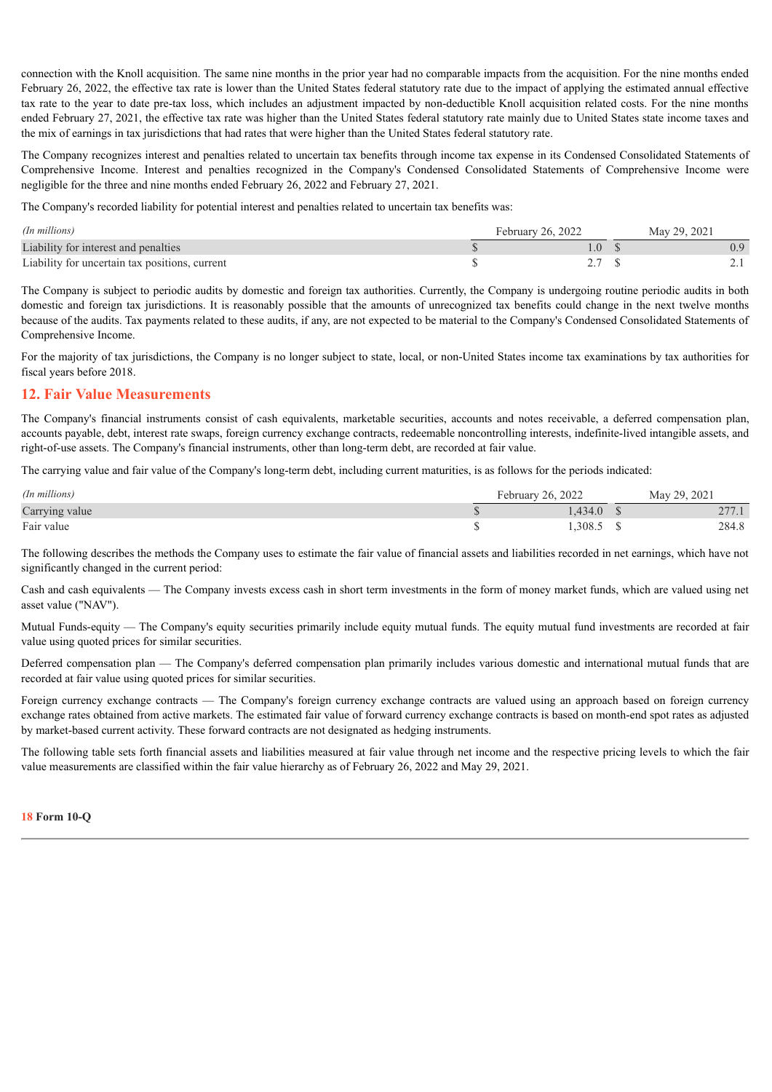connection with the Knoll acquisition. The same nine months in the prior year had no comparable impacts from the acquisition. For the nine months ended February 26, 2022, the effective tax rate is lower than the United States federal statutory rate due to the impact of applying the estimated annual effective tax rate to the year to date pre-tax loss, which includes an adjustment impacted by non-deductible Knoll acquisition related costs. For the nine months ended February 27, 2021, the effective tax rate was higher than the United States federal statutory rate mainly due to United States state income taxes and the mix of earnings in tax jurisdictions that had rates that were higher than the United States federal statutory rate.

The Company recognizes interest and penalties related to uncertain tax benefits through income tax expense in its Condensed Consolidated Statements of Comprehensive Income. Interest and penalties recognized in the Company's Condensed Consolidated Statements of Comprehensive Income were negligible for the three and nine months ended February 26, 2022 and February 27, 2021.

The Company's recorded liability for potential interest and penalties related to uncertain tax benefits was:

| (In millions)                                  | February 26, 2022 | May 29, 2021 |
|------------------------------------------------|-------------------|--------------|
| Liability for interest and penalties           |                   |              |
| Liability for uncertain tax positions, current |                   |              |

The Company is subject to periodic audits by domestic and foreign tax authorities. Currently, the Company is undergoing routine periodic audits in both domestic and foreign tax jurisdictions. It is reasonably possible that the amounts of unrecognized tax benefits could change in the next twelve months because of the audits. Tax payments related to these audits, if any, are not expected to be material to the Company's Condensed Consolidated Statements of Comprehensive Income.

For the majority of tax jurisdictions, the Company is no longer subject to state, local, or non-United States income tax examinations by tax authorities for fiscal years before 2018.

#### <span id="page-17-0"></span>**12. Fair Value Measurements**

The Company's financial instruments consist of cash equivalents, marketable securities, accounts and notes receivable, a deferred compensation plan, accounts payable, debt, interest rate swaps, foreign currency exchange contracts, redeemable noncontrolling interests, indefinite-lived intangible assets, and right-of-use assets. The Company's financial instruments, other than long-term debt, are recorded at fair value.

The carrying value and fair value of the Company's long-term debt, including current maturities, is as follows for the periods indicated:

| (In millions)  | February 26, 2022 | May 29, 2021 |       |  |
|----------------|-------------------|--------------|-------|--|
| Carrying value | .434.0            |              | 211.1 |  |
| Fair value     | ,308.5            |              | 284.8 |  |

The following describes the methods the Company uses to estimate the fair value of financial assets and liabilities recorded in net earnings, which have not significantly changed in the current period:

Cash and cash equivalents — The Company invests excess cash in short term investments in the form of money market funds, which are valued using net asset value ("NAV").

Mutual Funds-equity — The Company's equity securities primarily include equity mutual funds. The equity mutual fund investments are recorded at fair value using quoted prices for similar securities.

Deferred compensation plan — The Company's deferred compensation plan primarily includes various domestic and international mutual funds that are recorded at fair value using quoted prices for similar securities.

Foreign currency exchange contracts — The Company's foreign currency exchange contracts are valued using an approach based on foreign currency exchange rates obtained from active markets. The estimated fair value of forward currency exchange contracts is based on month-end spot rates as adjusted by market-based current activity. These forward contracts are not designated as hedging instruments.

The following table sets forth financial assets and liabilities measured at fair value through net income and the respective pricing levels to which the fair value measurements are classified within the fair value hierarchy as of February 26, 2022 and May 29, 2021.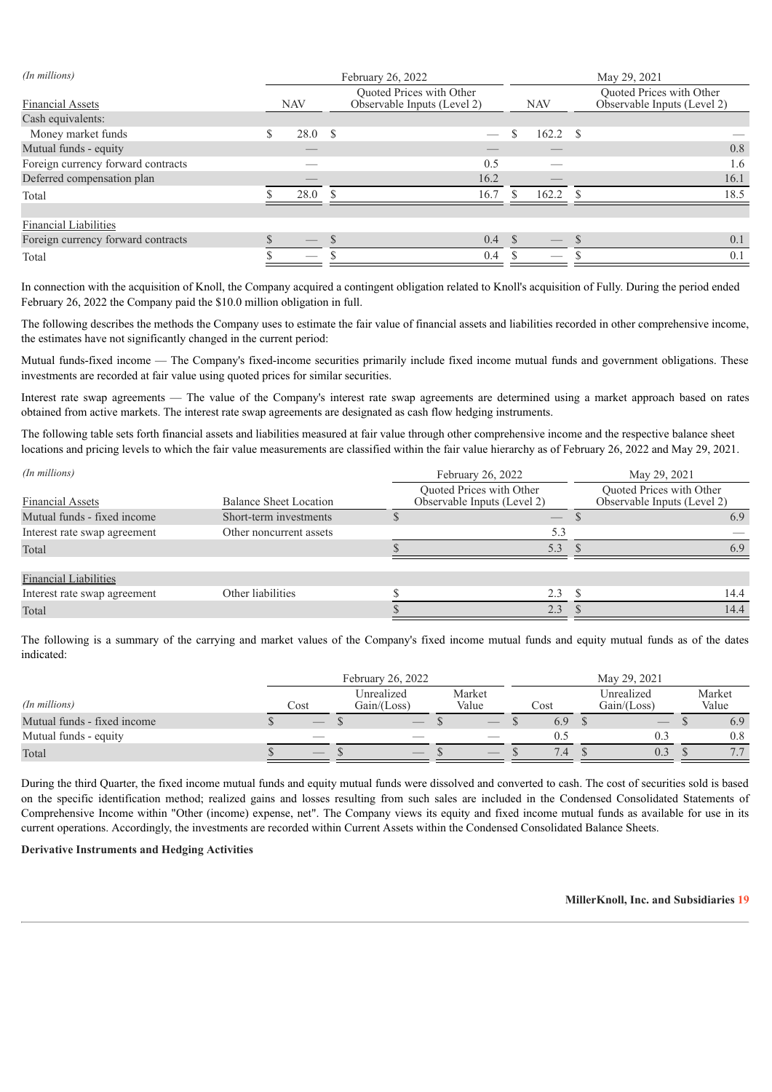| (In millions)                      |            | February 26, 2022                                       | May 29, 2021 |            |   |                                                         |  |  |  |
|------------------------------------|------------|---------------------------------------------------------|--------------|------------|---|---------------------------------------------------------|--|--|--|
| <b>Financial Assets</b>            | <b>NAV</b> | Quoted Prices with Other<br>Observable Inputs (Level 2) |              | <b>NAV</b> |   | Quoted Prices with Other<br>Observable Inputs (Level 2) |  |  |  |
| Cash equivalents:                  |            |                                                         |              |            |   |                                                         |  |  |  |
| Money market funds                 | 28.0       | $\overline{\phantom{0}}$                                |              | 162.2      | S |                                                         |  |  |  |
| Mutual funds - equity              |            |                                                         |              |            |   | 0.8                                                     |  |  |  |
| Foreign currency forward contracts |            | 0.5                                                     |              |            |   | 1.6                                                     |  |  |  |
| Deferred compensation plan         |            | 16.2                                                    |              |            |   | 16.1                                                    |  |  |  |
| Total                              | 28.0       | 16.7                                                    |              | 162.2      |   | 18.5                                                    |  |  |  |
| <b>Financial Liabilities</b>       |            |                                                         |              |            |   |                                                         |  |  |  |
| Foreign currency forward contracts |            | 0.4                                                     | <sup>S</sup> |            |   | 0.1                                                     |  |  |  |
| Total                              |            | 0.4                                                     |              |            |   | 0.1                                                     |  |  |  |

In connection with the acquisition of Knoll, the Company acquired a contingent obligation related to Knoll's acquisition of Fully. During the period ended February 26, 2022 the Company paid the \$10.0 million obligation in full.

The following describes the methods the Company uses to estimate the fair value of financial assets and liabilities recorded in other comprehensive income, the estimates have not significantly changed in the current period:

Mutual funds-fixed income — The Company's fixed-income securities primarily include fixed income mutual funds and government obligations. These investments are recorded at fair value using quoted prices for similar securities.

Interest rate swap agreements — The value of the Company's interest rate swap agreements are determined using a market approach based on rates obtained from active markets. The interest rate swap agreements are designated as cash flow hedging instruments.

The following table sets forth financial assets and liabilities measured at fair value through other comprehensive income and the respective balance sheet locations and pricing levels to which the fair value measurements are classified within the fair value hierarchy as of February 26, 2022 and May 29, 2021.

| (In millions)                |                               | February 26, 2022                                       | May 29, 2021                                            |
|------------------------------|-------------------------------|---------------------------------------------------------|---------------------------------------------------------|
| <b>Financial Assets</b>      | <b>Balance Sheet Location</b> | Quoted Prices with Other<br>Observable Inputs (Level 2) | Quoted Prices with Other<br>Observable Inputs (Level 2) |
| Mutual funds - fixed income  | Short-term investments        | $-$                                                     | 6.9                                                     |
| Interest rate swap agreement | Other noncurrent assets       | 5.3                                                     |                                                         |
| Total                        |                               | 5.3                                                     | 6.9                                                     |
| <b>Financial Liabilities</b> |                               |                                                         |                                                         |
| Interest rate swap agreement | Other liabilities             | 2.3                                                     | 14.4                                                    |
| Total                        |                               | 2.3                                                     | 14.4                                                    |

The following is a summary of the carrying and market values of the Company's fixed income mutual funds and equity mutual funds as of the dates indicated:

|                             |      |                 |  | February 26, 2022               |                                 |      | May 29, 2021 |  |                           |  |                 |  |  |  |
|-----------------------------|------|-----------------|--|---------------------------------|---------------------------------|------|--------------|--|---------------------------|--|-----------------|--|--|--|
| (In millions)               | Cost |                 |  | Unrealized<br>Gain/(Loss)       | Market<br>Value                 | Cost |              |  | Unrealized<br>Gain/(Loss) |  | Market<br>Value |  |  |  |
| Mutual funds - fixed income |      | __              |  | $\overline{\phantom{a}}$        |                                 |      | 6.9          |  |                           |  | 6.9             |  |  |  |
| Mutual funds - equity       |      |                 |  |                                 |                                 |      |              |  |                           |  | 0.8             |  |  |  |
| Total                       |      | $\qquad \qquad$ |  | $\hspace{0.1mm}-\hspace{0.1mm}$ | $\hspace{0.1mm}-\hspace{0.1mm}$ |      | 7.4          |  | 0.3                       |  |                 |  |  |  |

During the third Quarter, the fixed income mutual funds and equity mutual funds were dissolved and converted to cash. The cost of securities sold is based on the specific identification method; realized gains and losses resulting from such sales are included in the Condensed Consolidated Statements of Comprehensive Income within "Other (income) expense, net". The Company views its equity and fixed income mutual funds as available for use in its current operations. Accordingly, the investments are recorded within Current Assets within the Condensed Consolidated Balance Sheets.

#### **Derivative Instruments and Hedging Activities**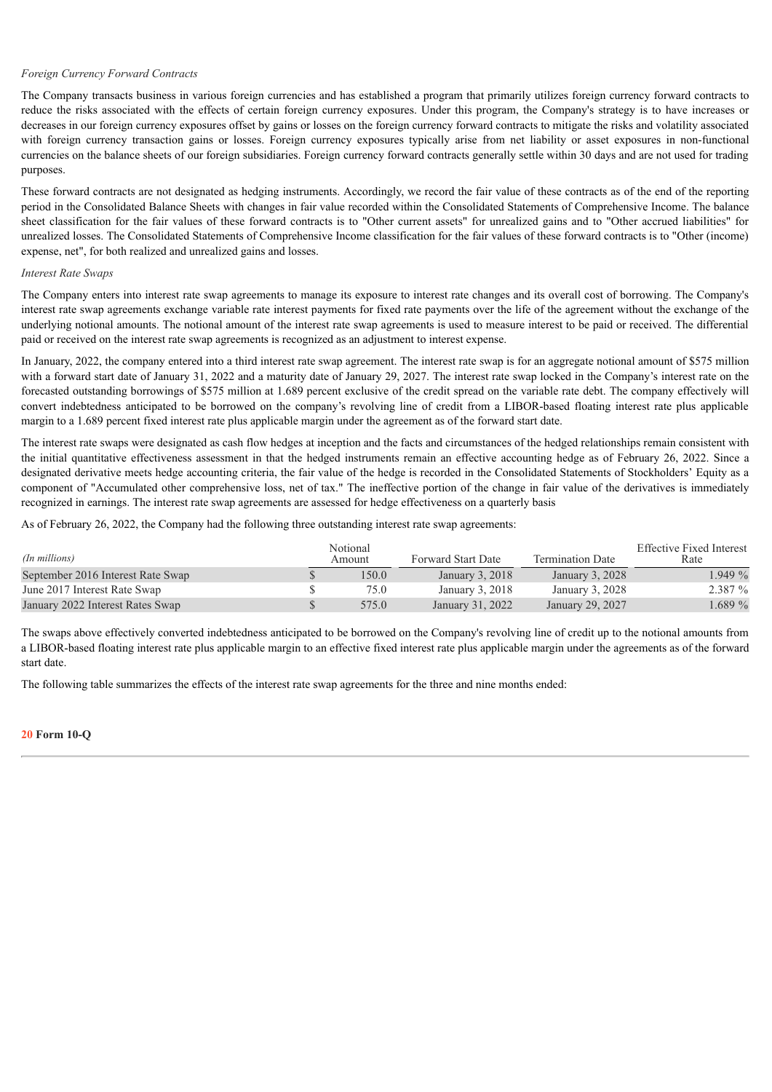#### *Foreign Currency Forward Contracts*

The Company transacts business in various foreign currencies and has established a program that primarily utilizes foreign currency forward contracts to reduce the risks associated with the effects of certain foreign currency exposures. Under this program, the Company's strategy is to have increases or decreases in our foreign currency exposures offset by gains or losses on the foreign currency forward contracts to mitigate the risks and volatility associated with foreign currency transaction gains or losses. Foreign currency exposures typically arise from net liability or asset exposures in non-functional currencies on the balance sheets of our foreign subsidiaries. Foreign currency forward contracts generally settle within 30 days and are not used for trading purposes.

These forward contracts are not designated as hedging instruments. Accordingly, we record the fair value of these contracts as of the end of the reporting period in the Consolidated Balance Sheets with changes in fair value recorded within the Consolidated Statements of Comprehensive Income. The balance sheet classification for the fair values of these forward contracts is to "Other current assets" for unrealized gains and to "Other accrued liabilities" for unrealized losses. The Consolidated Statements of Comprehensive Income classification for the fair values of these forward contracts is to "Other (income) expense, net", for both realized and unrealized gains and losses.

#### *Interest Rate Swaps*

The Company enters into interest rate swap agreements to manage its exposure to interest rate changes and its overall cost of borrowing. The Company's interest rate swap agreements exchange variable rate interest payments for fixed rate payments over the life of the agreement without the exchange of the underlying notional amounts. The notional amount of the interest rate swap agreements is used to measure interest to be paid or received. The differential paid or received on the interest rate swap agreements is recognized as an adjustment to interest expense.

In January, 2022, the company entered into a third interest rate swap agreement. The interest rate swap is for an aggregate notional amount of \$575 million with a forward start date of January 31, 2022 and a maturity date of January 29, 2027. The interest rate swap locked in the Company's interest rate on the forecasted outstanding borrowings of \$575 million at 1.689 percent exclusive of the credit spread on the variable rate debt. The company effectively will convert indebtedness anticipated to be borrowed on the company's revolving line of credit from a LIBOR-based floating interest rate plus applicable margin to a 1.689 percent fixed interest rate plus applicable margin under the agreement as of the forward start date.

The interest rate swaps were designated as cash flow hedges at inception and the facts and circumstances of the hedged relationships remain consistent with the initial quantitative effectiveness assessment in that the hedged instruments remain an effective accounting hedge as of February 26, 2022. Since a designated derivative meets hedge accounting criteria, the fair value of the hedge is recorded in the Consolidated Statements of Stockholders' Equity as a component of "Accumulated other comprehensive loss, net of tax." The ineffective portion of the change in fair value of the derivatives is immediately recognized in earnings. The interest rate swap agreements are assessed for hedge effectiveness on a quarterly basis

As of February 26, 2022, the Company had the following three outstanding interest rate swap agreements:

|                                   | Notional |                           |                         | Effective Fixed Interest |
|-----------------------------------|----------|---------------------------|-------------------------|--------------------------|
| (In millions)                     | Amount   | <b>Forward Start Date</b> | <b>Termination Date</b> | Rate                     |
| September 2016 Interest Rate Swap | 150.0    | January 3, 2018           | January 3, 2028         | $.949\%$                 |
| June 2017 Interest Rate Swap      | 75.0     | January $3, 2018$         | January 3, 2028         | $2.387\%$                |
| January 2022 Interest Rates Swap  | 575.0    | January 31, 2022          | January 29, 2027        | $.689\%$                 |

The swaps above effectively converted indebtedness anticipated to be borrowed on the Company's revolving line of credit up to the notional amounts from a LIBOR-based floating interest rate plus applicable margin to an effective fixed interest rate plus applicable margin under the agreements as of the forward start date.

The following table summarizes the effects of the interest rate swap agreements for the three and nine months ended: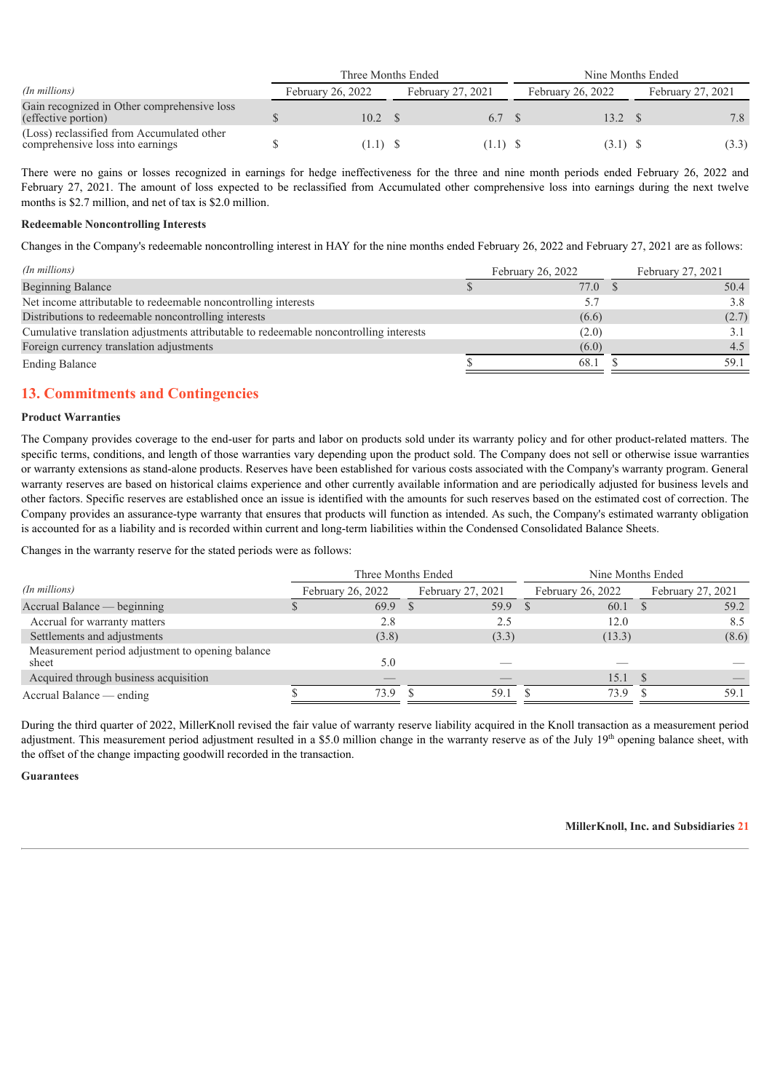|                                                                                | Three Months Ended |                   | Nine Months Ended |  |                   |  |  |
|--------------------------------------------------------------------------------|--------------------|-------------------|-------------------|--|-------------------|--|--|
| (In millions)                                                                  | February 26, 2022  | February 27, 2021 | February 26, 2022 |  | February 27, 2021 |  |  |
| Gain recognized in Other comprehensive loss<br>(effective portion)             | 10.2               | 6.7               |                   |  | 7.8               |  |  |
| (Loss) reclassified from Accumulated other<br>comprehensive loss into earnings | 1.1)               | 1.1)              |                   |  | 3.3)              |  |  |

There were no gains or losses recognized in earnings for hedge ineffectiveness for the three and nine month periods ended February 26, 2022 and February 27, 2021. The amount of loss expected to be reclassified from Accumulated other comprehensive loss into earnings during the next twelve months is \$2.7 million, and net of tax is \$2.0 million.

#### **Redeemable Noncontrolling Interests**

Changes in the Company's redeemable noncontrolling interest in HAY for the nine months ended February 26, 2022 and February 27, 2021 are as follows:

| (In millions)                                                                          | February 26, 2022 |       |  | February 27, 2021 |  |
|----------------------------------------------------------------------------------------|-------------------|-------|--|-------------------|--|
| <b>Beginning Balance</b>                                                               |                   | 77.0  |  | 50.4              |  |
| Net income attributable to redeemable noncontrolling interests                         |                   | 5.7   |  | 3.8               |  |
| Distributions to redeemable noncontrolling interests                                   |                   | (6.6) |  | (2.7)             |  |
| Cumulative translation adjustments attributable to redeemable noncontrolling interests |                   | (2.0) |  |                   |  |
| Foreign currency translation adjustments                                               |                   | (6.0) |  |                   |  |
| <b>Ending Balance</b>                                                                  |                   | 68.1  |  |                   |  |

## <span id="page-20-0"></span>**13. Commitments and Contingencies**

#### **Product Warranties**

The Company provides coverage to the end-user for parts and labor on products sold under its warranty policy and for other product-related matters. The specific terms, conditions, and length of those warranties vary depending upon the product sold. The Company does not sell or otherwise issue warranties or warranty extensions as stand-alone products. Reserves have been established for various costs associated with the Company's warranty program. General warranty reserves are based on historical claims experience and other currently available information and are periodically adjusted for business levels and other factors. Specific reserves are established once an issue is identified with the amounts for such reserves based on the estimated cost of correction. The Company provides an assurance-type warranty that ensures that products will function as intended. As such, the Company's estimated warranty obligation is accounted for as a liability and is recorded within current and long-term liabilities within the Condensed Consolidated Balance Sheets.

Changes in the warranty reserve for the stated periods were as follows:

|                                                           | Three Months Ended |                   | Nine Months Ended |        |  |                   |  |  |  |
|-----------------------------------------------------------|--------------------|-------------------|-------------------|--------|--|-------------------|--|--|--|
| (In millions)                                             | February 26, 2022  | February 27, 2021 | February 26, 2022 |        |  | February 27, 2021 |  |  |  |
| Accrual Balance — beginning                               | 69.9               | 59.9              |                   | 60.1   |  | 59.2              |  |  |  |
| Accrual for warranty matters                              | 2.8                |                   |                   | 12.0   |  | 8.5               |  |  |  |
| Settlements and adjustments                               | (3.8)              | (3.3)             |                   | (13.3) |  | (8.6)             |  |  |  |
| Measurement period adjustment to opening balance<br>sheet | 5.0                |                   |                   |        |  |                   |  |  |  |
| Acquired through business acquisition                     |                    |                   |                   | 15.1   |  |                   |  |  |  |
| Accrual Balance — ending                                  | 73.9               | 59.               |                   | 73.9   |  | 59.1              |  |  |  |

During the third quarter of 2022, MillerKnoll revised the fair value of warranty reserve liability acquired in the Knoll transaction as a measurement period adjustment. This measurement period adjustment resulted in a \$5.0 million change in the warranty reserve as of the July 19<sup>th</sup> opening balance sheet, with the offset of the change impacting goodwill recorded in the transaction.

#### **Guarantees**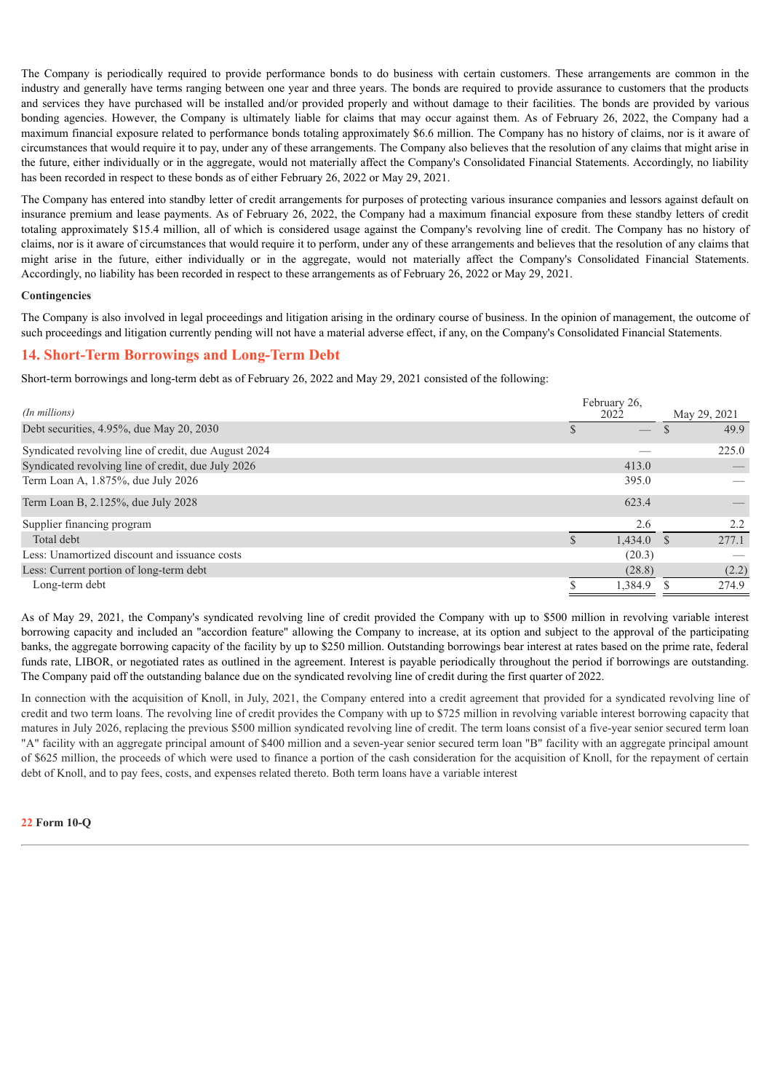The Company is periodically required to provide performance bonds to do business with certain customers. These arrangements are common in the industry and generally have terms ranging between one year and three years. The bonds are required to provide assurance to customers that the products and services they have purchased will be installed and/or provided properly and without damage to their facilities. The bonds are provided by various bonding agencies. However, the Company is ultimately liable for claims that may occur against them. As of February 26, 2022, the Company had a maximum financial exposure related to performance bonds totaling approximately \$6.6 million. The Company has no history of claims, nor is it aware of circumstances that would require it to pay, under any of these arrangements. The Company also believes that the resolution of any claims that might arise in the future, either individually or in the aggregate, would not materially affect the Company's Consolidated Financial Statements. Accordingly, no liability has been recorded in respect to these bonds as of either February 26, 2022 or May 29, 2021.

The Company has entered into standby letter of credit arrangements for purposes of protecting various insurance companies and lessors against default on insurance premium and lease payments. As of February 26, 2022, the Company had a maximum financial exposure from these standby letters of credit totaling approximately \$15.4 million, all of which is considered usage against the Company's revolving line of credit. The Company has no history of claims, nor is it aware of circumstances that would require it to perform, under any of these arrangements and believes that the resolution of any claims that might arise in the future, either individually or in the aggregate, would not materially affect the Company's Consolidated Financial Statements. Accordingly, no liability has been recorded in respect to these arrangements as of February 26, 2022 or May 29, 2021.

#### **Contingencies**

The Company is also involved in legal proceedings and litigation arising in the ordinary course of business. In the opinion of management, the outcome of such proceedings and litigation currently pending will not have a material adverse effect, if any, on the Company's Consolidated Financial Statements.

#### <span id="page-21-0"></span>**14. Short-Term Borrowings and Long-Term Debt**

Short-term borrowings and long-term debt as of February 26, 2022 and May 29, 2021 consisted of the following:

|                                                      | February 26, |              |
|------------------------------------------------------|--------------|--------------|
| (In millions)                                        | 2022         | May 29, 2021 |
| Debt securities, 4.95%, due May 20, 2030             |              | 49.9         |
| Syndicated revolving line of credit, due August 2024 |              | 225.0        |
| Syndicated revolving line of credit, due July 2026   | 413.0        |              |
| Term Loan A, 1.875%, due July 2026                   | 395.0        |              |
| Term Loan B, 2.125%, due July 2028                   | 623.4        |              |
| Supplier financing program                           | 2.6          | 2.2          |
| Total debt                                           | 1.434.0      | 277.1        |
| Less: Unamortized discount and issuance costs        | (20.3)       |              |
| Less: Current portion of long-term debt              | (28.8)       | (2.2)        |
| Long-term debt                                       | 1,384.9      | 274.9        |

As of May 29, 2021, the Company's syndicated revolving line of credit provided the Company with up to \$500 million in revolving variable interest borrowing capacity and included an "accordion feature" allowing the Company to increase, at its option and subject to the approval of the participating banks, the aggregate borrowing capacity of the facility by up to \$250 million. Outstanding borrowings bear interest at rates based on the prime rate, federal funds rate, LIBOR, or negotiated rates as outlined in the agreement. Interest is payable periodically throughout the period if borrowings are outstanding. The Company paid off the outstanding balance due on the syndicated revolving line of credit during the first quarter of 2022.

In connection with the acquisition of Knoll, in July, 2021, the Company entered into a credit agreement that provided for a syndicated revolving line of credit and two term loans. The revolving line of credit provides the Company with up to \$725 million in revolving variable interest borrowing capacity that matures in July 2026, replacing the previous \$500 million syndicated revolving line of credit. The term loans consist of a five-year senior secured term loan "A" facility with an aggregate principal amount of \$400 million and a seven-year senior secured term loan "B" facility with an aggregate principal amount of \$625 million, the proceeds of which were used to finance a portion of the cash consideration for the acquisition of Knoll, for the repayment of certain debt of Knoll, and to pay fees, costs, and expenses related thereto. Both term loans have a variable interest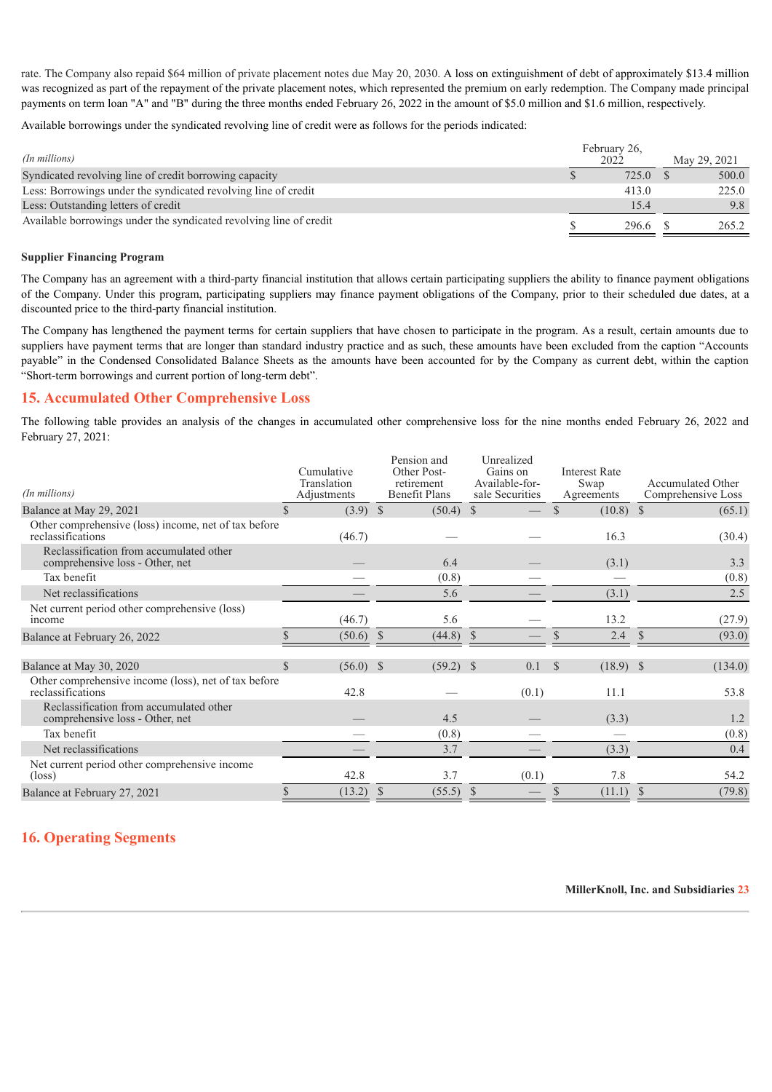rate. The Company also repaid \$64 million of private placement notes due May 20, 2030. A loss on extinguishment of debt of approximately \$13.4 million was recognized as part of the repayment of the private placement notes, which represented the premium on early redemption. The Company made principal payments on term loan "A" and "B" during the three months ended February 26, 2022 in the amount of \$5.0 million and \$1.6 million, respectively.

Available borrowings under the syndicated revolving line of credit were as follows for the periods indicated:

| (In millions)                                                      | February 26,<br>$2022$ |       | May 29, 2021 |       |
|--------------------------------------------------------------------|------------------------|-------|--------------|-------|
| Syndicated revolving line of credit borrowing capacity             |                        | 725.0 |              | 500.0 |
| Less: Borrowings under the syndicated revolving line of credit     |                        | 413.0 |              | 225.0 |
| Less: Outstanding letters of credit                                |                        | 15.4  |              | 9.8   |
| Available borrowings under the syndicated revolving line of credit |                        | 296.6 |              | 265.2 |

#### **Supplier Financing Program**

The Company has an agreement with a third-party financial institution that allows certain participating suppliers the ability to finance payment obligations of the Company. Under this program, participating suppliers may finance payment obligations of the Company, prior to their scheduled due dates, at a discounted price to the third-party financial institution.

The Company has lengthened the payment terms for certain suppliers that have chosen to participate in the program. As a result, certain amounts due to suppliers have payment terms that are longer than standard industry practice and as such, these amounts have been excluded from the caption "Accounts payable" in the Condensed Consolidated Balance Sheets as the amounts have been accounted for by the Company as current debt, within the caption "Short-term borrowings and current portion of long-term debt".

### <span id="page-22-0"></span>**15. Accumulated Other Comprehensive Loss**

The following table provides an analysis of the changes in accumulated other comprehensive loss for the nine months ended February 26, 2022 and February 27, 2021:

| (In millions)                                                              |              | Cumulative<br>Translation<br>Adjustments |               | Pension and<br>Other Post-<br>retirement<br><b>Benefit Plans</b> | Unrealized<br>Gains on<br>Available-for-<br>sale Securities |       |               | <b>Interest Rate</b><br>Swap<br>Agreements |               | Accumulated Other<br>Comprehensive Loss |
|----------------------------------------------------------------------------|--------------|------------------------------------------|---------------|------------------------------------------------------------------|-------------------------------------------------------------|-------|---------------|--------------------------------------------|---------------|-----------------------------------------|
| Balance at May 29, 2021                                                    | S            | $(3.9)$ \$                               |               | $(50.4)$ \$                                                      |                                                             |       | \$            | $(10.8)$ \$                                |               | (65.1)                                  |
| Other comprehensive (loss) income, net of tax before<br>reclassifications  |              | (46.7)                                   |               |                                                                  |                                                             |       |               | 16.3                                       |               | (30.4)                                  |
| Reclassification from accumulated other<br>comprehensive loss - Other, net |              |                                          |               | 6.4                                                              |                                                             |       |               | (3.1)                                      |               | 3.3                                     |
| Tax benefit                                                                |              |                                          |               | (0.8)                                                            |                                                             |       |               |                                            |               | (0.8)                                   |
| Net reclassifications                                                      |              |                                          |               | 5.6                                                              |                                                             |       |               | (3.1)                                      |               | 2.5                                     |
| Net current period other comprehensive (loss)<br>income                    |              | (46.7)                                   |               | 5.6                                                              |                                                             |       |               | 13.2                                       |               | (27.9)                                  |
| Balance at February 26, 2022                                               |              | (50.6)                                   | $\mathcal{S}$ | (44.8)                                                           | <sup>S</sup>                                                |       |               | 2.4                                        | $\mathcal{S}$ | (93.0)                                  |
| Balance at May 30, 2020                                                    | $\mathbb{S}$ | $(56.0)$ \$                              |               | $(59.2)$ \$                                                      |                                                             | 0.1   | <sup>\$</sup> | $(18.9)$ \$                                |               | (134.0)                                 |
| Other comprehensive income (loss), net of tax before<br>reclassifications  |              | 42.8                                     |               |                                                                  |                                                             | (0.1) |               | 11.1                                       |               | 53.8                                    |
| Reclassification from accumulated other<br>comprehensive loss - Other, net |              |                                          |               | 4.5                                                              |                                                             |       |               | (3.3)                                      |               | 1.2                                     |
| Tax benefit                                                                |              |                                          |               | (0.8)                                                            |                                                             |       |               |                                            |               | (0.8)                                   |
| Net reclassifications                                                      |              |                                          |               | 3.7                                                              |                                                             |       |               | (3.3)                                      |               | 0.4                                     |
| Net current period other comprehensive income<br>$(\text{loss})$           |              | 42.8                                     |               | 3.7                                                              |                                                             | (0.1) |               | 7.8                                        |               | 54.2                                    |
| Balance at February 27, 2021                                               | \$           | (13.2)                                   | $\mathcal{S}$ | $(55.5)$ \$                                                      |                                                             |       | $\mathcal{S}$ | $(11.1)$ \$                                |               | (79.8)                                  |

## <span id="page-22-1"></span>**16. Operating Segments**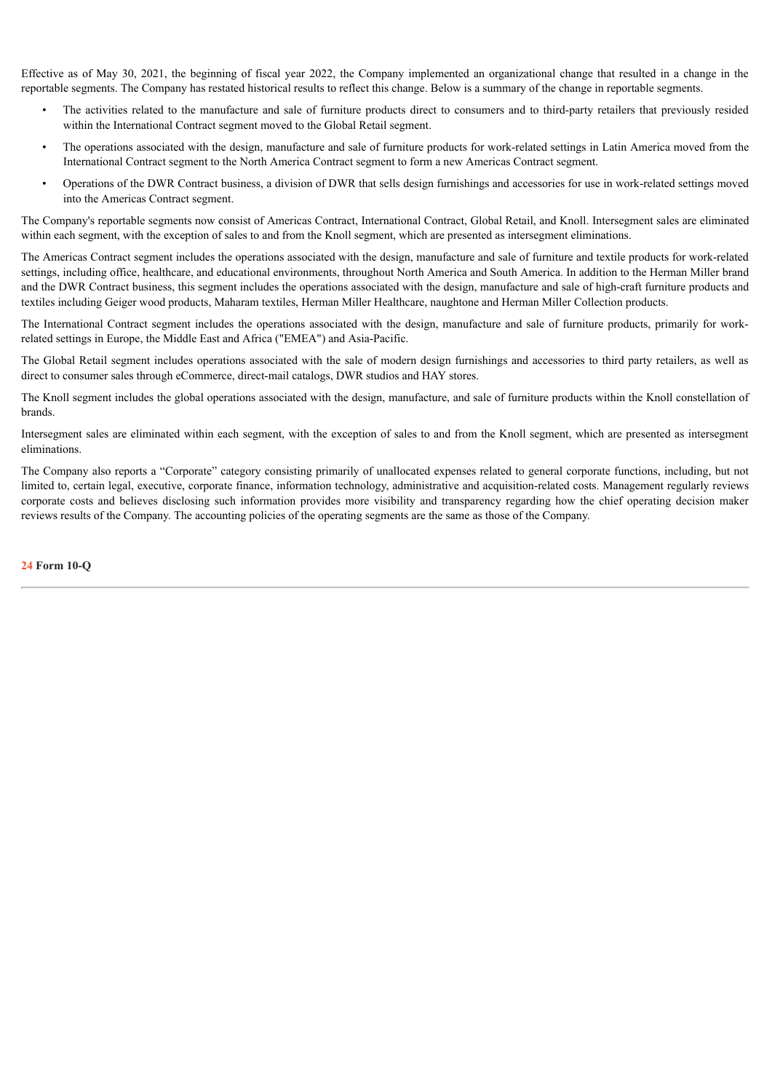Effective as of May 30, 2021, the beginning of fiscal year 2022, the Company implemented an organizational change that resulted in a change in the reportable segments. The Company has restated historical results to reflect this change. Below is a summary of the change in reportable segments.

- The activities related to the manufacture and sale of furniture products direct to consumers and to third-party retailers that previously resided within the International Contract segment moved to the Global Retail segment.
- The operations associated with the design, manufacture and sale of furniture products for work-related settings in Latin America moved from the International Contract segment to the North America Contract segment to form a new Americas Contract segment.
- Operations of the DWR Contract business, a division of DWR that sells design furnishings and accessories for use in work-related settings moved into the Americas Contract segment.

The Company's reportable segments now consist of Americas Contract, International Contract, Global Retail, and Knoll. Intersegment sales are eliminated within each segment, with the exception of sales to and from the Knoll segment, which are presented as intersegment eliminations.

The Americas Contract segment includes the operations associated with the design, manufacture and sale of furniture and textile products for work-related settings, including office, healthcare, and educational environments, throughout North America and South America. In addition to the Herman Miller brand and the DWR Contract business, this segment includes the operations associated with the design, manufacture and sale of high-craft furniture products and textiles including Geiger wood products, Maharam textiles, Herman Miller Healthcare, naughtone and Herman Miller Collection products.

The International Contract segment includes the operations associated with the design, manufacture and sale of furniture products, primarily for workrelated settings in Europe, the Middle East and Africa ("EMEA") and Asia-Pacific.

The Global Retail segment includes operations associated with the sale of modern design furnishings and accessories to third party retailers, as well as direct to consumer sales through eCommerce, direct-mail catalogs, DWR studios and HAY stores.

The Knoll segment includes the global operations associated with the design, manufacture, and sale of furniture products within the Knoll constellation of brands.

Intersegment sales are eliminated within each segment, with the exception of sales to and from the Knoll segment, which are presented as intersegment eliminations.

The Company also reports a "Corporate" category consisting primarily of unallocated expenses related to general corporate functions, including, but not limited to, certain legal, executive, corporate finance, information technology, administrative and acquisition-related costs. Management regularly reviews corporate costs and believes disclosing such information provides more visibility and transparency regarding how the chief operating decision maker reviews results of the Company. The accounting policies of the operating segments are the same as those of the Company.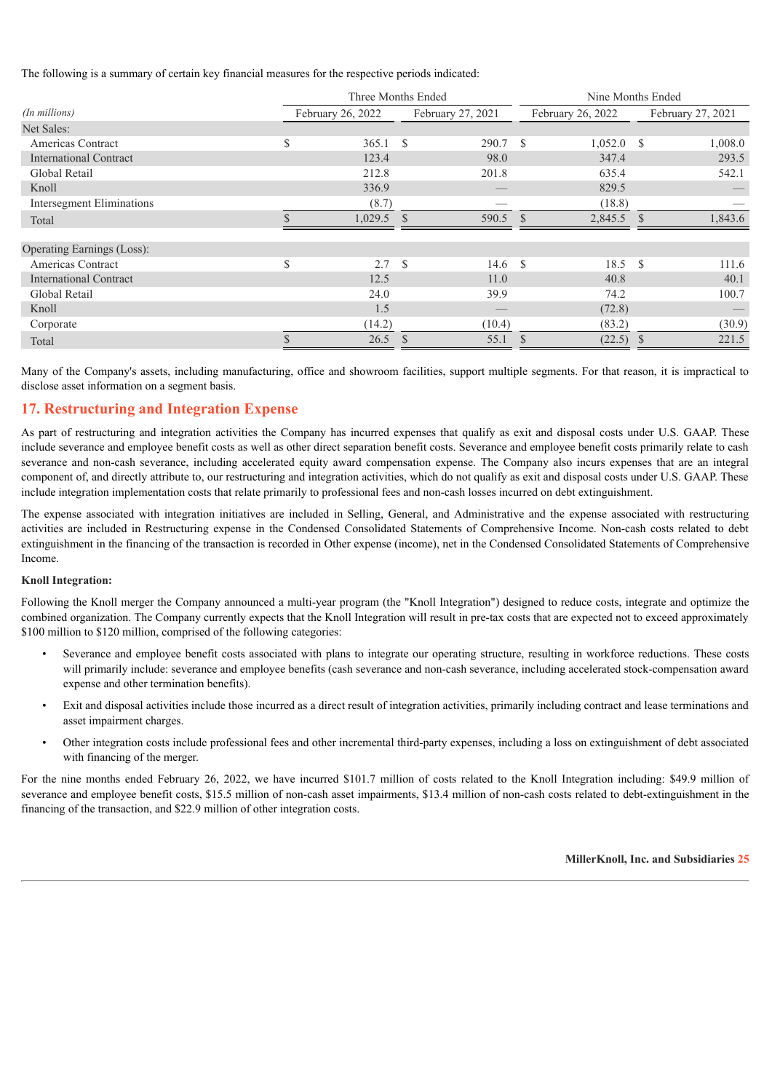The following is a summary of certain key financial measures for the respective periods indicated:

|                               |                        | Three Months Ended     | Nine Months Ended        |                   |  |  |  |  |
|-------------------------------|------------------------|------------------------|--------------------------|-------------------|--|--|--|--|
| (In millions)                 | February 26, 2022      | February 27, 2021      | February 26, 2022        | February 27, 2021 |  |  |  |  |
| Net Sales:                    |                        |                        |                          |                   |  |  |  |  |
| Americas Contract             | $\mathcal{S}$<br>365.1 | <sup>S</sup><br>290.7  | $\mathcal{S}$<br>1,052.0 | 1,008.0<br>- \$   |  |  |  |  |
| <b>International Contract</b> | 123.4                  | 98.0                   | 347.4                    | 293.5             |  |  |  |  |
| Global Retail                 | 212.8                  | 201.8                  | 635.4                    | 542.1             |  |  |  |  |
| Knoll                         | 336.9                  |                        | 829.5                    |                   |  |  |  |  |
| Intersegment Eliminations     | (8.7)                  |                        | (18.8)                   |                   |  |  |  |  |
| Total                         | 1,029.5                | <sup>\$</sup><br>590.5 | 2,845.5<br>$\mathcal{S}$ | 1,843.6           |  |  |  |  |
| Operating Earnings (Loss):    |                        |                        |                          |                   |  |  |  |  |
| Americas Contract             | $\mathcal{S}$<br>2.7   | <sup>\$</sup><br>14.6  | <sup>S</sup><br>18.5     | - \$<br>111.6     |  |  |  |  |
| <b>International Contract</b> | 12.5                   | 11.0                   | 40.8                     | 40.1              |  |  |  |  |
| Global Retail                 | 24.0                   | 39.9                   | 74.2                     | 100.7             |  |  |  |  |
| Knoll                         | 1.5                    |                        | (72.8)                   |                   |  |  |  |  |
| Corporate                     | (14.2)                 | (10.4)                 | (83.2)                   | (30.9)            |  |  |  |  |
| Total                         | 26.5                   | 55.1<br>S              | (22.5)<br>S              | 221.5             |  |  |  |  |

Many of the Company's assets, including manufacturing, office and showroom facilities, support multiple segments. For that reason, it is impractical to disclose asset information on a segment basis.

## <span id="page-24-0"></span>**17. Restructuring and Integration Expense**

As part of restructuring and integration activities the Company has incurred expenses that qualify as exit and disposal costs under U.S. GAAP. These include severance and employee benefit costs as well as other direct separation benefit costs. Severance and employee benefit costs primarily relate to cash severance and non-cash severance, including accelerated equity award compensation expense. The Company also incurs expenses that are an integral component of, and directly attribute to, our restructuring and integration activities, which do not qualify as exit and disposal costs under U.S. GAAP. These include integration implementation costs that relate primarily to professional fees and non-cash losses incurred on debt extinguishment.

The expense associated with integration initiatives are included in Selling, General, and Administrative and the expense associated with restructuring activities are included in Restructuring expense in the Condensed Consolidated Statements of Comprehensive Income. Non-cash costs related to debt extinguishment in the financing of the transaction is recorded in Other expense (income), net in the Condensed Consolidated Statements of Comprehensive Income.

#### **Knoll Integration:**

Following the Knoll merger the Company announced a multi-year program (the "Knoll Integration") designed to reduce costs, integrate and optimize the combined organization. The Company currently expects that the Knoll Integration will result in pre-tax costs that are expected not to exceed approximately \$100 million to \$120 million, comprised of the following categories:

- Severance and employee benefit costs associated with plans to integrate our operating structure, resulting in workforce reductions. These costs will primarily include: severance and employee benefits (cash severance and non-cash severance, including accelerated stock-compensation award expense and other termination benefits).
- Exit and disposal activities include those incurred as a direct result of integration activities, primarily including contract and lease terminations and asset impairment charges.
- Other integration costs include professional fees and other incremental third-party expenses, including a loss on extinguishment of debt associated with financing of the merger.

For the nine months ended February 26, 2022, we have incurred \$101.7 million of costs related to the Knoll Integration including: \$49.9 million of severance and employee benefit costs, \$15.5 million of non-cash asset impairments, \$13.4 million of non-cash costs related to debt-extinguishment in the financing of the transaction, and \$22.9 million of other integration costs.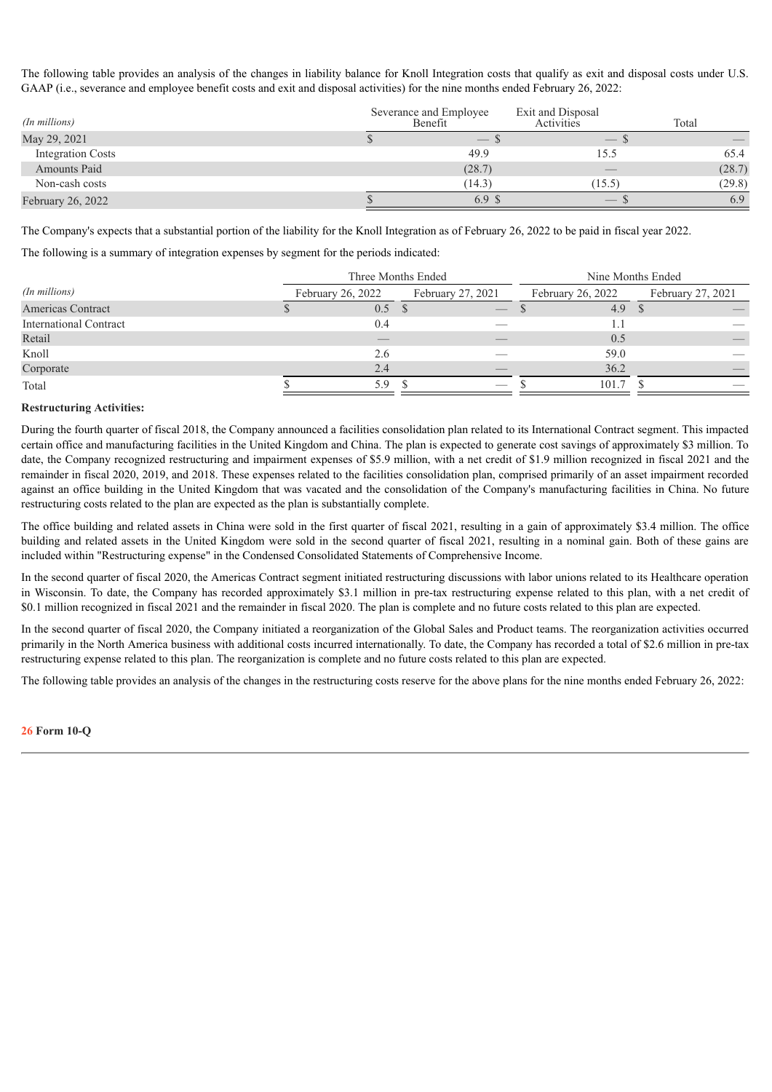The following table provides an analysis of the changes in liability balance for Knoll Integration costs that qualify as exit and disposal costs under U.S. GAAP (i.e., severance and employee benefit costs and exit and disposal activities) for the nine months ended February 26, 2022:

| (In millions)            | Severance and Employee<br>Benefit | Exit and Disposal<br>Activities | Total  |
|--------------------------|-----------------------------------|---------------------------------|--------|
| May 29, 2021             | $ \overline{ }$                   | $\hspace{0.1mm}-\hspace{0.1mm}$ |        |
| <b>Integration Costs</b> | 49.9                              | 15.5                            | 65.4   |
| Amounts Paid             | (28.7)                            |                                 | (28.7) |
| Non-cash costs           | (14.3)                            | (15.5)                          | (29.8) |
| February $26, 2022$      | 6.9 S                             | $\hspace{0.1mm}-\hspace{0.1mm}$ | 6.9    |

The Company's expects that a substantial portion of the liability for the Knoll Integration as of February 26, 2022 to be paid in fiscal year 2022.

The following is a summary of integration expenses by segment for the periods indicated:

|                          |                   |     | Three Months Ended            | Nine Months Ended |                   |  |  |  |  |  |
|--------------------------|-------------------|-----|-------------------------------|-------------------|-------------------|--|--|--|--|--|
| (In millions)            | February 26, 2022 |     | February 27, 2021             | February 26, 2022 | February 27, 2021 |  |  |  |  |  |
| <b>Americas Contract</b> |                   | 0.5 | $\overbrace{\phantom{13333}}$ | 4.9 <sup>5</sup>  |                   |  |  |  |  |  |
| International Contract   |                   | 0.4 |                               |                   |                   |  |  |  |  |  |
| Retail                   |                   |     |                               | 0.5               |                   |  |  |  |  |  |
| Knoll                    |                   | 2.6 |                               | 59.0              |                   |  |  |  |  |  |
| Corporate                |                   | 2.4 |                               | 36.2              |                   |  |  |  |  |  |
| Total                    |                   | 5.9 | $\overline{\phantom{a}}$      | 101.7             |                   |  |  |  |  |  |

#### **Restructuring Activities:**

During the fourth quarter of fiscal 2018, the Company announced a facilities consolidation plan related to its International Contract segment. This impacted certain office and manufacturing facilities in the United Kingdom and China. The plan is expected to generate cost savings of approximately \$3 million. To date, the Company recognized restructuring and impairment expenses of \$5.9 million, with a net credit of \$1.9 million recognized in fiscal 2021 and the remainder in fiscal 2020, 2019, and 2018. These expenses related to the facilities consolidation plan, comprised primarily of an asset impairment recorded against an office building in the United Kingdom that was vacated and the consolidation of the Company's manufacturing facilities in China. No future restructuring costs related to the plan are expected as the plan is substantially complete.

The office building and related assets in China were sold in the first quarter of fiscal 2021, resulting in a gain of approximately \$3.4 million. The office building and related assets in the United Kingdom were sold in the second quarter of fiscal 2021, resulting in a nominal gain. Both of these gains are included within "Restructuring expense" in the Condensed Consolidated Statements of Comprehensive Income.

In the second quarter of fiscal 2020, the Americas Contract segment initiated restructuring discussions with labor unions related to its Healthcare operation in Wisconsin. To date, the Company has recorded approximately \$3.1 million in pre-tax restructuring expense related to this plan, with a net credit of \$0.1 million recognized in fiscal 2021 and the remainder in fiscal 2020. The plan is complete and no future costs related to this plan are expected.

In the second quarter of fiscal 2020, the Company initiated a reorganization of the Global Sales and Product teams. The reorganization activities occurred primarily in the North America business with additional costs incurred internationally. To date, the Company has recorded a total of \$2.6 million in pre-tax restructuring expense related to this plan. The reorganization is complete and no future costs related to this plan are expected.

The following table provides an analysis of the changes in the restructuring costs reserve for the above plans for the nine months ended February 26, 2022: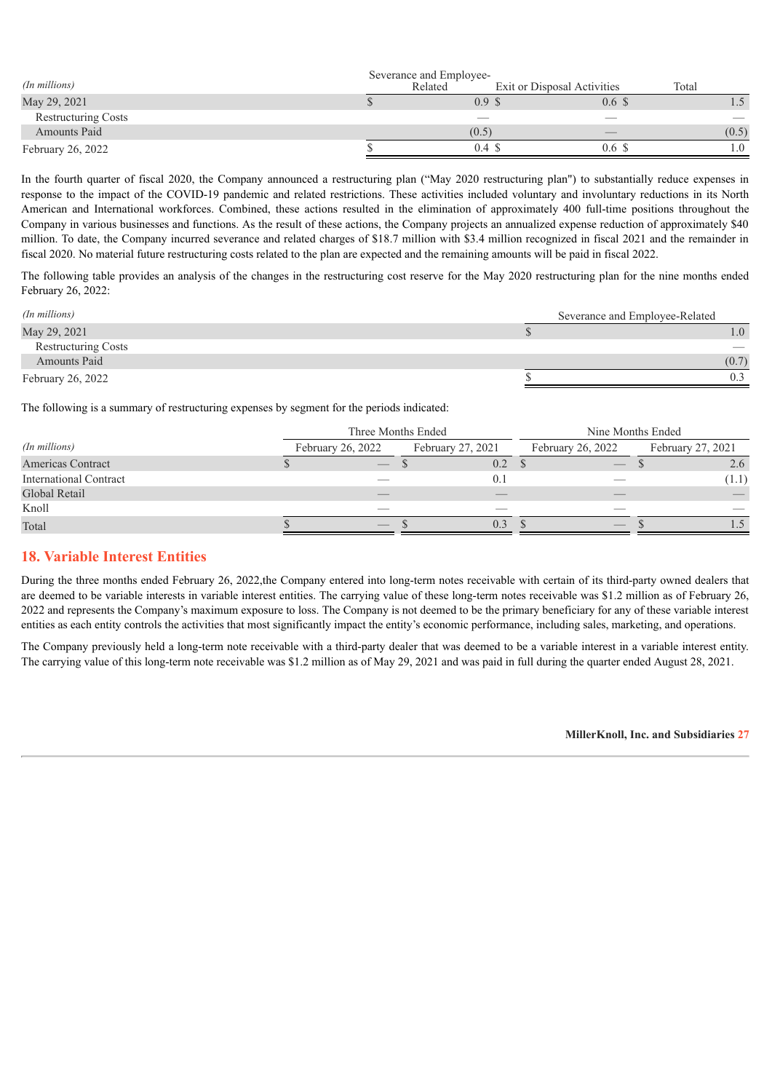| (In millions)              | Severance and Employee-<br>Related |                  | Exit or Disposal Activities | Total |
|----------------------------|------------------------------------|------------------|-----------------------------|-------|
| May 29, 2021               |                                    | 0.9 <sup>5</sup> | 0.6S                        |       |
| <b>Restructuring Costs</b> |                                    |                  | $\overline{\phantom{a}}$    |       |
| <b>Amounts Paid</b>        |                                    | (0.5)            |                             | (0.5) |
| February 26, 2022          |                                    | 0.4S             | 0.6                         |       |

In the fourth quarter of fiscal 2020, the Company announced a restructuring plan ("May 2020 restructuring plan") to substantially reduce expenses in response to the impact of the COVID-19 pandemic and related restrictions. These activities included voluntary and involuntary reductions in its North American and International workforces. Combined, these actions resulted in the elimination of approximately 400 full-time positions throughout the Company in various businesses and functions. As the result of these actions, the Company projects an annualized expense reduction of approximately \$40 million. To date, the Company incurred severance and related charges of \$18.7 million with \$3.4 million recognized in fiscal 2021 and the remainder in fiscal 2020. No material future restructuring costs related to the plan are expected and the remaining amounts will be paid in fiscal 2022.

The following table provides an analysis of the changes in the restructuring cost reserve for the May 2020 restructuring plan for the nine months ended February 26, 2022:

| (In millions)              | Severance and Employee-Related |
|----------------------------|--------------------------------|
| May 29, 2021               | 0.1                            |
| <b>Restructuring Costs</b> |                                |
| Amounts Paid               | (0.7)                          |
| February 26, 2022          |                                |

The following is a summary of restructuring expenses by segment for the periods indicated:

|                               |                                 | Three Months Ended | Nine Months Ended        |                   |  |  |  |  |
|-------------------------------|---------------------------------|--------------------|--------------------------|-------------------|--|--|--|--|
| (In millions)                 | February $26, 2022$             | February 27, 2021  | February 26, 2022        | February 27, 2021 |  |  |  |  |
| Americas Contract             |                                 | 0.2                |                          | 2.6               |  |  |  |  |
| <b>International Contract</b> |                                 | 0.1                |                          | (1.1)             |  |  |  |  |
| Global Retail                 |                                 |                    |                          |                   |  |  |  |  |
| Knoll                         |                                 |                    |                          |                   |  |  |  |  |
| Total                         | $\hspace{0.1mm}-\hspace{0.1mm}$ |                    | $\overline{\phantom{a}}$ |                   |  |  |  |  |

## <span id="page-26-0"></span>**18. Variable Interest Entities**

During the three months ended February 26, 2022, the Company entered into long-term notes receivable with certain of its third-party owned dealers that are deemed to be variable interests in variable interest entities. The carrying value of these long-term notes receivable was \$1.2 million as of February 26, 2022 and represents the Company's maximum exposure to loss. The Company is not deemed to be the primary beneficiary for any of these variable interest entities as each entity controls the activities that most significantly impact the entity's economic performance, including sales, marketing, and operations.

<span id="page-26-1"></span>The Company previously held a long-term note receivable with a third-party dealer that was deemed to be a variable interest in a variable interest entity. The carrying value of this long-term note receivable was \$1.2 million as of May 29, 2021 and was paid in full during the quarter ended August 28, 2021.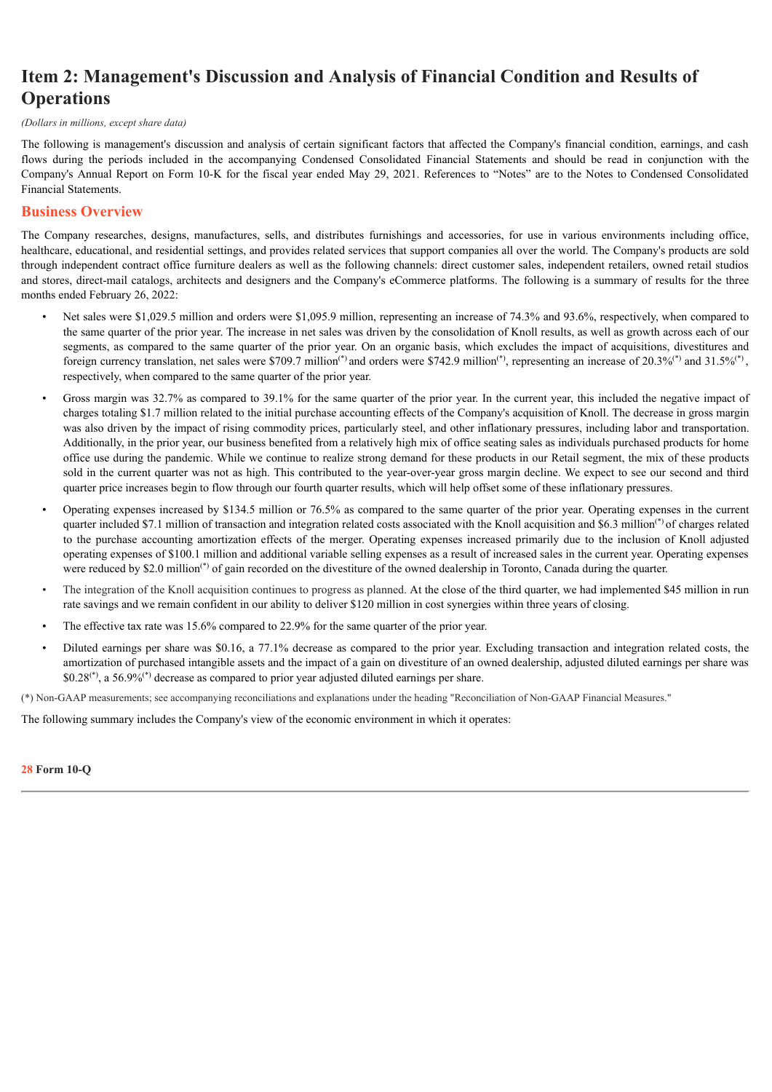## **Item 2: Management's Discussion and Analysis of Financial Condition and Results of Operations**

*(Dollars in millions, except share data)*

The following is management's discussion and analysis of certain significant factors that affected the Company's financial condition, earnings, and cash flows during the periods included in the accompanying Condensed Consolidated Financial Statements and should be read in conjunction with the Company's Annual Report on Form 10-K for the fiscal year ended May 29, 2021. References to "Notes" are to the Notes to Condensed Consolidated Financial Statements.

### **Business Overview**

The Company researches, designs, manufactures, sells, and distributes furnishings and accessories, for use in various environments including office, healthcare, educational, and residential settings, and provides related services that support companies all over the world. The Company's products are sold through independent contract office furniture dealers as well as the following channels: direct customer sales, independent retailers, owned retail studios and stores, direct-mail catalogs, architects and designers and the Company's eCommerce platforms. The following is a summary of results for the three months ended February 26, 2022:

- Net sales were \$1,029.5 million and orders were \$1,095.9 million, representing an increase of 74.3% and 93.6%, respectively, when compared to the same quarter of the prior year. The increase in net sales was driven by the consolidation of Knoll results, as well as growth across each of our segments, as compared to the same quarter of the prior year. On an organic basis, which excludes the impact of acquisitions, divestitures and foreign currency translation, net sales were \$709.7 million<sup>(\*)</sup> and orders were \$742.9 million<sup>(\*)</sup>, representing an increase of 20.3%<sup>(\*)</sup> and 31.5%<sup>(\*)</sup>, respectively, when compared to the same quarter of the prior year.
- Gross margin was 32.7% as compared to 39.1% for the same quarter of the prior year. In the current year, this included the negative impact of charges totaling \$1.7 million related to the initial purchase accounting effects of the Company's acquisition of Knoll. The decrease in gross margin was also driven by the impact of rising commodity prices, particularly steel, and other inflationary pressures, including labor and transportation. Additionally, in the prior year, our business benefited from a relatively high mix of office seating sales as individuals purchased products for home office use during the pandemic. While we continue to realize strong demand for these products in our Retail segment, the mix of these products sold in the current quarter was not as high. This contributed to the year-over-year gross margin decline. We expect to see our second and third quarter price increases begin to flow through our fourth quarter results, which will help offset some of these inflationary pressures.
- Operating expenses increased by \$134.5 million or 76.5% as compared to the same quarter of the prior year. Operating expenses in the current quarter included \$7.1 million of transaction and integration related costs associated with the Knoll acquisition and \$6.3 million<sup>(\*)</sup> of charges related to the purchase accounting amortization effects of the merger. Operating expenses increased primarily due to the inclusion of Knoll adjusted operating expenses of \$100.1 million and additional variable selling expenses as a result of increased sales in the current year. Operating expenses were reduced by \$2.0 million<sup>(\*)</sup> of gain recorded on the divestiture of the owned dealership in Toronto, Canada during the quarter.
- The integration of the Knoll acquisition continues to progress as planned. At the close of the third quarter, we had implemented \$45 million in run rate savings and we remain confident in our ability to deliver \$120 million in cost synergies within three years of closing.
- The effective tax rate was 15.6% compared to 22.9% for the same quarter of the prior year.
- Diluted earnings per share was \$0.16, a 77.1% decrease as compared to the prior year. Excluding transaction and integration related costs, the amortization of purchased intangible assets and the impact of a gain on divestiture of an owned dealership, adjusted diluted earnings per share was  $$0.28$ <sup>(\*)</sup>, a 56.9%<sup>\*</sup> decrease as compared to prior year adjusted diluted earnings per share.

(\*) Non-GAAP measurements; see accompanying reconciliations and explanations under the heading "Reconciliation of Non-GAAP Financial Measures."

The following summary includes the Company's view of the economic environment in which it operates: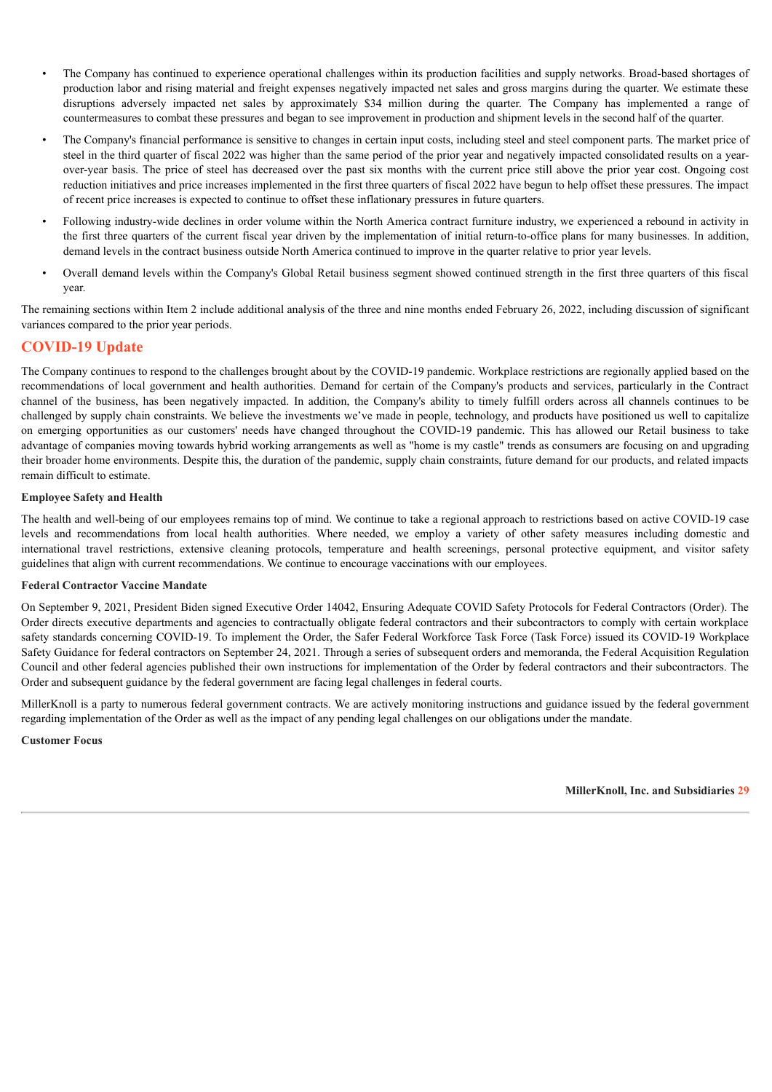- The Company has continued to experience operational challenges within its production facilities and supply networks. Broad-based shortages of production labor and rising material and freight expenses negatively impacted net sales and gross margins during the quarter. We estimate these disruptions adversely impacted net sales by approximately \$34 million during the quarter. The Company has implemented a range of countermeasures to combat these pressures and began to see improvement in production and shipment levels in the second half of the quarter.
- The Company's financial performance is sensitive to changes in certain input costs, including steel and steel component parts. The market price of steel in the third quarter of fiscal 2022 was higher than the same period of the prior year and negatively impacted consolidated results on a yearover-year basis. The price of steel has decreased over the past six months with the current price still above the prior year cost. Ongoing cost reduction initiatives and price increases implemented in the first three quarters of fiscal 2022 have begun to help offset these pressures. The impact of recent price increases is expected to continue to offset these inflationary pressures in future quarters.
- Following industry-wide declines in order volume within the North America contract furniture industry, we experienced a rebound in activity in the first three quarters of the current fiscal year driven by the implementation of initial return-to-office plans for many businesses. In addition, demand levels in the contract business outside North America continued to improve in the quarter relative to prior year levels.
- Overall demand levels within the Company's Global Retail business segment showed continued strength in the first three quarters of this fiscal year.

The remaining sections within Item 2 include additional analysis of the three and nine months ended February 26, 2022, including discussion of significant variances compared to the prior year periods.

## **COVID-19 Update**

The Company continues to respond to the challenges brought about by the COVID-19 pandemic. Workplace restrictions are regionally applied based on the recommendations of local government and health authorities. Demand for certain of the Company's products and services, particularly in the Contract channel of the business, has been negatively impacted. In addition, the Company's ability to timely fulfill orders across all channels continues to be challenged by supply chain constraints. We believe the investments we've made in people, technology, and products have positioned us well to capitalize on emerging opportunities as our customers' needs have changed throughout the COVID-19 pandemic. This has allowed our Retail business to take advantage of companies moving towards hybrid working arrangements as well as "home is my castle" trends as consumers are focusing on and upgrading their broader home environments. Despite this, the duration of the pandemic, supply chain constraints, future demand for our products, and related impacts remain difficult to estimate.

#### **Employee Safety and Health**

The health and well-being of our employees remains top of mind. We continue to take a regional approach to restrictions based on active COVID-19 case levels and recommendations from local health authorities. Where needed, we employ a variety of other safety measures including domestic and international travel restrictions, extensive cleaning protocols, temperature and health screenings, personal protective equipment, and visitor safety guidelines that align with current recommendations. We continue to encourage vaccinations with our employees.

#### **Federal Contractor Vaccine Mandate**

On September 9, 2021, President Biden signed Executive Order 14042, Ensuring Adequate COVID Safety Protocols for Federal Contractors (Order). The Order directs executive departments and agencies to contractually obligate federal contractors and their subcontractors to comply with certain workplace safety standards concerning COVID-19. To implement the Order, the Safer Federal Workforce Task Force (Task Force) issued its COVID-19 Workplace Safety Guidance for federal contractors on September 24, 2021. Through a series of subsequent orders and memoranda, the Federal Acquisition Regulation Council and other federal agencies published their own instructions for implementation of the Order by federal contractors and their subcontractors. The Order and subsequent guidance by the federal government are facing legal challenges in federal courts.

MillerKnoll is a party to numerous federal government contracts. We are actively monitoring instructions and guidance issued by the federal government regarding implementation of the Order as well as the impact of any pending legal challenges on our obligations under the mandate.

**Customer Focus**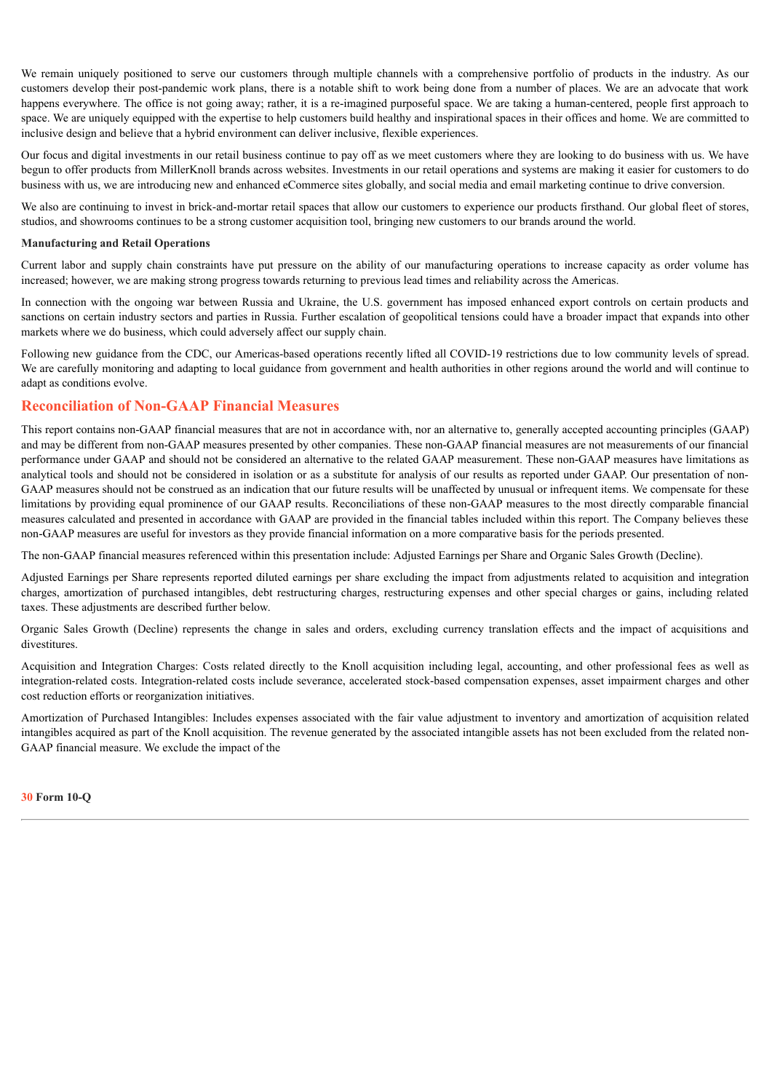We remain uniquely positioned to serve our customers through multiple channels with a comprehensive portfolio of products in the industry. As our customers develop their post-pandemic work plans, there is a notable shift to work being done from a number of places. We are an advocate that work happens everywhere. The office is not going away; rather, it is a re-imagined purposeful space. We are taking a human-centered, people first approach to space. We are uniquely equipped with the expertise to help customers build healthy and inspirational spaces in their offices and home. We are committed to inclusive design and believe that a hybrid environment can deliver inclusive, flexible experiences.

Our focus and digital investments in our retail business continue to pay off as we meet customers where they are looking to do business with us. We have begun to offer products from MillerKnoll brands across websites. Investments in our retail operations and systems are making it easier for customers to do business with us, we are introducing new and enhanced eCommerce sites globally, and social media and email marketing continue to drive conversion.

We also are continuing to invest in brick-and-mortar retail spaces that allow our customers to experience our products firsthand. Our global fleet of stores, studios, and showrooms continues to be a strong customer acquisition tool, bringing new customers to our brands around the world.

#### **Manufacturing and Retail Operations**

Current labor and supply chain constraints have put pressure on the ability of our manufacturing operations to increase capacity as order volume has increased; however, we are making strong progress towards returning to previous lead times and reliability across the Americas.

In connection with the ongoing war between Russia and Ukraine, the U.S. government has imposed enhanced export controls on certain products and sanctions on certain industry sectors and parties in Russia. Further escalation of geopolitical tensions could have a broader impact that expands into other markets where we do business, which could adversely affect our supply chain.

Following new guidance from the CDC, our Americas-based operations recently lifted all COVID-19 restrictions due to low community levels of spread. We are carefully monitoring and adapting to local guidance from government and health authorities in other regions around the world and will continue to adapt as conditions evolve.

### **Reconciliation of Non-GAAP Financial Measures**

This report contains non-GAAP financial measures that are not in accordance with, nor an alternative to, generally accepted accounting principles (GAAP) and may be different from non-GAAP measures presented by other companies. These non-GAAP financial measures are not measurements of our financial performance under GAAP and should not be considered an alternative to the related GAAP measurement. These non-GAAP measures have limitations as analytical tools and should not be considered in isolation or as a substitute for analysis of our results as reported under GAAP. Our presentation of non-GAAP measures should not be construed as an indication that our future results will be unaffected by unusual or infrequent items. We compensate for these limitations by providing equal prominence of our GAAP results. Reconciliations of these non-GAAP measures to the most directly comparable financial measures calculated and presented in accordance with GAAP are provided in the financial tables included within this report. The Company believes these non-GAAP measures are useful for investors as they provide financial information on a more comparative basis for the periods presented.

The non-GAAP financial measures referenced within this presentation include: Adjusted Earnings per Share and Organic Sales Growth (Decline).

Adjusted Earnings per Share represents reported diluted earnings per share excluding the impact from adjustments related to acquisition and integration charges, amortization of purchased intangibles, debt restructuring charges, restructuring expenses and other special charges or gains, including related taxes. These adjustments are described further below.

Organic Sales Growth (Decline) represents the change in sales and orders, excluding currency translation effects and the impact of acquisitions and divestitures.

Acquisition and Integration Charges: Costs related directly to the Knoll acquisition including legal, accounting, and other professional fees as well as integration-related costs. Integration-related costs include severance, accelerated stock-based compensation expenses, asset impairment charges and other cost reduction efforts or reorganization initiatives.

Amortization of Purchased Intangibles: Includes expenses associated with the fair value adjustment to inventory and amortization of acquisition related intangibles acquired as part of the Knoll acquisition. The revenue generated by the associated intangible assets has not been excluded from the related non-GAAP financial measure. We exclude the impact of the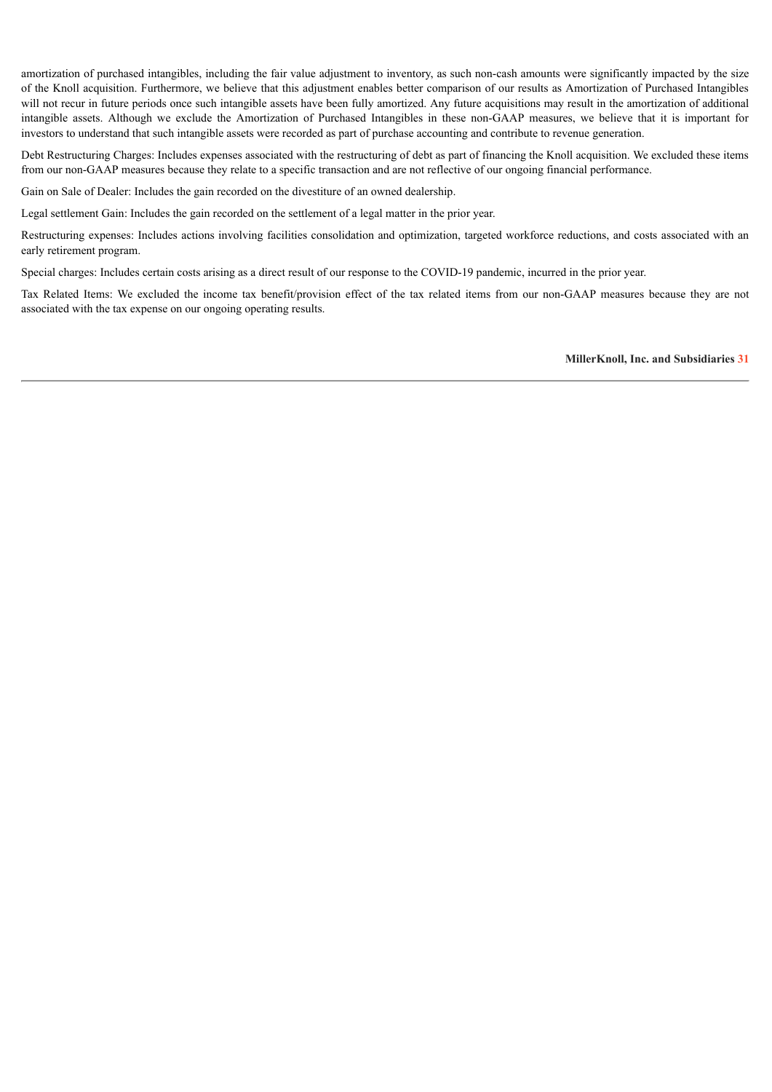amortization of purchased intangibles, including the fair value adjustment to inventory, as such non-cash amounts were significantly impacted by the size of the Knoll acquisition. Furthermore, we believe that this adjustment enables better comparison of our results as Amortization of Purchased Intangibles will not recur in future periods once such intangible assets have been fully amortized. Any future acquisitions may result in the amortization of additional intangible assets. Although we exclude the Amortization of Purchased Intangibles in these non-GAAP measures, we believe that it is important for investors to understand that such intangible assets were recorded as part of purchase accounting and contribute to revenue generation.

Debt Restructuring Charges: Includes expenses associated with the restructuring of debt as part of financing the Knoll acquisition. We excluded these items from our non-GAAP measures because they relate to a specific transaction and are not reflective of our ongoing financial performance.

Gain on Sale of Dealer: Includes the gain recorded on the divestiture of an owned dealership.

Legal settlement Gain: Includes the gain recorded on the settlement of a legal matter in the prior year.

Restructuring expenses: Includes actions involving facilities consolidation and optimization, targeted workforce reductions, and costs associated with an early retirement program.

Special charges: Includes certain costs arising as a direct result of our response to the COVID-19 pandemic, incurred in the prior year.

Tax Related Items: We excluded the income tax benefit/provision effect of the tax related items from our non-GAAP measures because they are not associated with the tax expense on our ongoing operating results.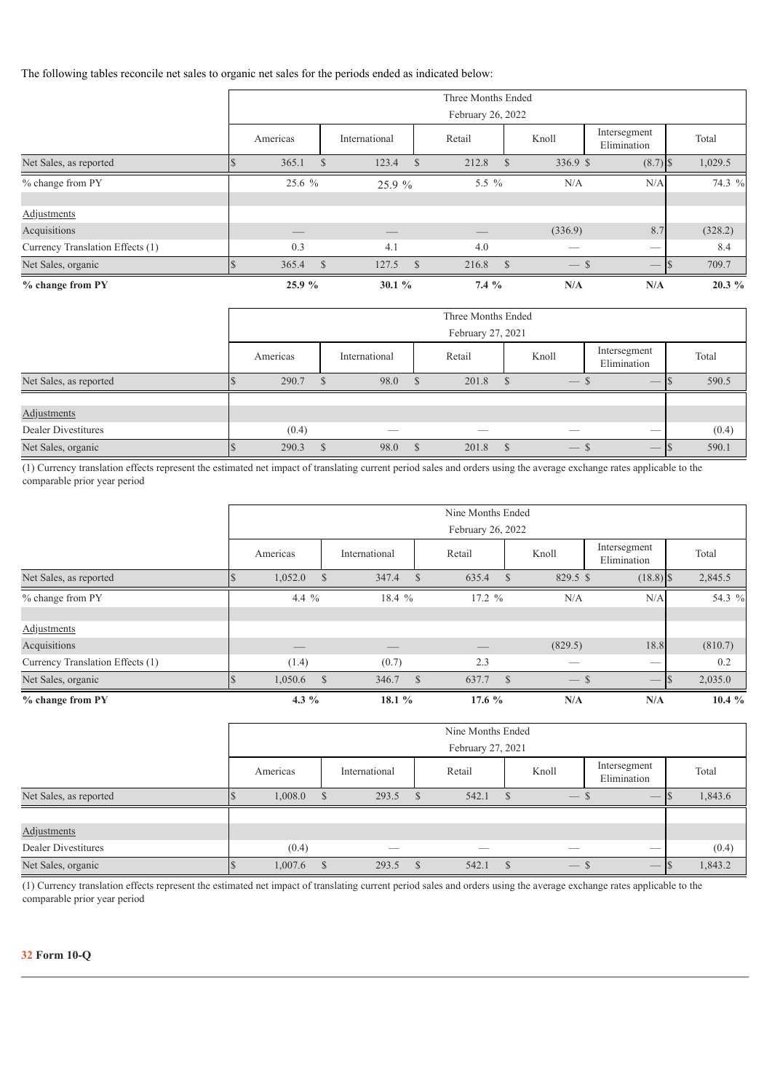The following tables reconcile net sales to organic net sales for the periods ended as indicated below:

|                                  |          | Three Months Ended<br>February 26, 2022 |               |      |         |      |          |                             |  |          |  |  |
|----------------------------------|----------|-----------------------------------------|---------------|------|---------|------|----------|-----------------------------|--|----------|--|--|
|                                  | Americas |                                         | International |      | Retail  |      | Knoll    | Intersegment<br>Elimination |  | Total    |  |  |
| Net Sales, as reported           | 365.1    |                                         | 123.4         | -S   | 212.8   | - \$ | 336.9 \$ | $(8.7)$ \$                  |  | 1,029.5  |  |  |
| % change from PY                 | 25.6 %   |                                         | 25.9%         |      | 5.5 $%$ |      | N/A      | N/A                         |  | 74.3 %   |  |  |
| <b>Adjustments</b>               |          |                                         |               |      |         |      |          |                             |  |          |  |  |
| Acquisitions                     |          |                                         |               |      |         |      | (336.9)  | 8.7                         |  | (328.2)  |  |  |
| Currency Translation Effects (1) | 0.3      |                                         | 4.1           |      | 4.0     |      |          | __                          |  | 8.4      |  |  |
| Net Sales, organic               | 365.4    |                                         | 127.5         | - \$ | 216.8   | - \$ | $-$ \$   |                             |  | 709.7    |  |  |
| % change from PY                 | 25.9%    |                                         | $30.1 \%$     |      | $7.4\%$ |      | N/A      | N/A                         |  | $20.3\%$ |  |  |

|                        |          |               | Three Months Ended |                                 |                                 |       |
|------------------------|----------|---------------|--------------------|---------------------------------|---------------------------------|-------|
|                        |          |               | February 27, 2021  |                                 |                                 |       |
|                        | Americas | International | Retail             | Knoll                           | Intersegment<br>Elimination     | Total |
| Net Sales, as reported | 290.7    | 98.0          | 201.8              | $\hspace{0.1mm}-\hspace{0.1mm}$ | $\hspace{0.1mm}-\hspace{0.1mm}$ | 590.5 |
|                        |          |               |                    |                                 |                                 |       |
| <b>Adjustments</b>     |          |               |                    |                                 |                                 |       |
| Dealer Divestitures    | (0.4)    | __            |                    |                                 | __                              | (0.4) |
| Net Sales, organic     | 290.3    | 98.0          | 201.8              | $-$ s                           | $\hspace{0.1mm}-\hspace{0.1mm}$ | 590.1 |

(1) Currency translation effects represent the estimated net impact of translating current period sales and orders using the average exchange rates applicable to the comparable prior year period

|                                  |          | Nine Months Ended<br>February 26, 2022 |               |               |           |               |          |                             |  |          |  |  |
|----------------------------------|----------|----------------------------------------|---------------|---------------|-----------|---------------|----------|-----------------------------|--|----------|--|--|
|                                  | Americas |                                        | International |               | Retail    |               | Knoll    | Intersegment<br>Elimination |  | Total    |  |  |
| Net Sales, as reported           | 1,052.0  | <sup>S</sup>                           | 347.4         | <sup>\$</sup> | 635.4     | <sup>\$</sup> | 829.5 \$ | $(18.8)$ \$                 |  | 2,845.5  |  |  |
| % change from PY                 | 4.4 $%$  |                                        | 18.4%         |               | $17.2 \%$ |               | N/A      | N/A                         |  | 54.3 %   |  |  |
| <b>Adjustments</b>               |          |                                        |               |               |           |               |          |                             |  |          |  |  |
| Acquisitions                     |          |                                        |               |               |           |               | (829.5)  | 18.8                        |  | (810.7)  |  |  |
| Currency Translation Effects (1) | (1.4)    |                                        | (0.7)         |               | 2.3       |               |          |                             |  | 0.2      |  |  |
| Net Sales, organic               | 1,050.6  | <sup>S</sup>                           | 346.7         | -S            | 637.7     | $\mathcal{S}$ | $-$ \$   |                             |  | 2,035.0  |  |  |
| % change from PY                 | 4.3 $\%$ |                                        | 18.1 %        |               | 17.6%     |               | N/A      | N/A                         |  | $10.4\%$ |  |  |

|                        | Nine Months Ended<br>February 27, 2021 |              |                          |            |        |  |        |                                 |  |         |  |  |
|------------------------|----------------------------------------|--------------|--------------------------|------------|--------|--|--------|---------------------------------|--|---------|--|--|
|                        | Americas                               |              | International            |            | Retail |  | Knoll  | Intersegment<br>Elimination     |  | Total   |  |  |
| Net Sales, as reported | 1,008.0                                | <sup>S</sup> | 293.5                    | $^{\circ}$ | 542.1  |  | $-$ \$ | $-5$                            |  | 1,843.6 |  |  |
|                        |                                        |              |                          |            |        |  |        |                                 |  |         |  |  |
| <b>Adjustments</b>     |                                        |              |                          |            |        |  |        |                                 |  |         |  |  |
| Dealer Divestitures    | (0.4)                                  |              | $\overline{\phantom{a}}$ |            | __     |  |        | $-$                             |  | (0.4)   |  |  |
| Net Sales, organic     | 1,007.6                                | <sup>S</sup> | 293.5                    | -S         | 542.1  |  | $-$ s  | $\hspace{0.1mm}-\hspace{0.1mm}$ |  | 1,843.2 |  |  |

(1) Currency translation effects represent the estimated net impact of translating current period sales and orders using the average exchange rates applicable to the comparable prior year period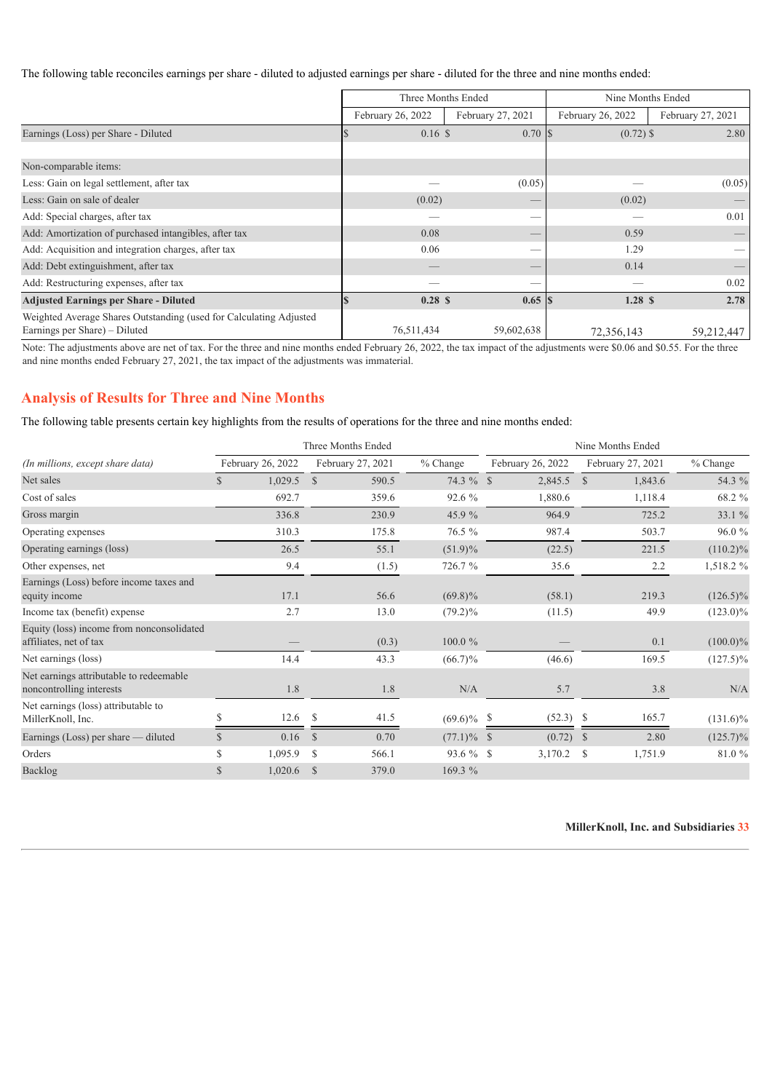The following table reconciles earnings per share - diluted to adjusted earnings per share - diluted for the three and nine months ended:

|                                                                                                     |                   | Three Months Ended | Nine Months Ended |                   |
|-----------------------------------------------------------------------------------------------------|-------------------|--------------------|-------------------|-------------------|
|                                                                                                     | February 26, 2022 | February 27, 2021  | February 26, 2022 | February 27, 2021 |
| Earnings (Loss) per Share - Diluted                                                                 | $0.16$ \$         | $0.70$ \\$         | $(0.72)$ \$       | 2.80              |
|                                                                                                     |                   |                    |                   |                   |
| Non-comparable items:                                                                               |                   |                    |                   |                   |
| Less: Gain on legal settlement, after tax                                                           |                   | (0.05)             |                   | (0.05)            |
| Less: Gain on sale of dealer                                                                        | (0.02)            |                    | (0.02)            |                   |
| Add: Special charges, after tax                                                                     |                   | –                  |                   | 0.01              |
| Add: Amortization of purchased intangibles, after tax                                               | 0.08              |                    | 0.59              |                   |
| Add: Acquisition and integration charges, after tax                                                 | 0.06              | __                 | 1.29              |                   |
| Add: Debt extinguishment, after tax                                                                 |                   |                    | 0.14              |                   |
| Add: Restructuring expenses, after tax                                                              |                   | __                 |                   | 0.02              |
| <b>Adjusted Earnings per Share - Diluted</b>                                                        | 0.28 S            |                    | 1.28S             | 2.78              |
| Weighted Average Shares Outstanding (used for Calculating Adjusted<br>Earnings per Share) - Diluted | 76,511,434        | 59,602,638         | 72,356,143        | 59,212,447        |

Note: The adjustments above are net of tax. For the three and nine months ended February 26, 2022, the tax impact of the adjustments were \$0.06 and \$0.55. For the three and nine months ended February 27, 2021, the tax impact of the adjustments was immaterial.

## **Analysis of Results for Three and Nine Months**

The following table presents certain key highlights from the results of operations for the three and nine months ended:

|                                                                     |              |                   |               | Three Months Ended |               | Nine Months Ended           |               |                   |             |  |  |  |
|---------------------------------------------------------------------|--------------|-------------------|---------------|--------------------|---------------|-----------------------------|---------------|-------------------|-------------|--|--|--|
| (In millions, except share data)                                    |              | February 26, 2022 |               | February 27, 2021  | % Change      | February 26, 2022           |               | February 27, 2021 | % Change    |  |  |  |
| Net sales                                                           | $\mathbb{S}$ | 1,029.5           | <sup>\$</sup> | 590.5              | 74.3 % \$     | 2,845.5                     | <sup>\$</sup> | 1,843.6           | 54.3 %      |  |  |  |
| Cost of sales                                                       |              | 692.7             |               | 359.6              | 92.6 %        | 1,880.6                     |               | 1,118.4           | 68.2 %      |  |  |  |
| Gross margin                                                        |              | 336.8             |               | 230.9              | 45.9 %        | 964.9                       |               | 725.2             | 33.1 %      |  |  |  |
| Operating expenses                                                  |              | 310.3             |               | 175.8              | 76.5 %        | 987.4                       |               | 503.7             | 96.0%       |  |  |  |
| Operating earnings (loss)                                           |              | 26.5              |               | 55.1               | $(51.9)\%$    | (22.5)                      |               | 221.5             | $(110.2)\%$ |  |  |  |
| Other expenses, net                                                 |              | 9.4               |               | (1.5)              | 726.7 %       | 35.6                        |               | 2.2               | 1,518.2 %   |  |  |  |
| Earnings (Loss) before income taxes and<br>equity income            |              | 17.1              |               | 56.6               | $(69.8)\%$    | (58.1)                      |               | 219.3             | $(126.5)\%$ |  |  |  |
| Income tax (benefit) expense                                        |              | 2.7               |               | 13.0               | $(79.2)\%$    | (11.5)                      |               | 49.9              | $(123.0)\%$ |  |  |  |
| Equity (loss) income from nonconsolidated<br>affiliates, net of tax |              |                   |               | (0.3)              | $100.0 \%$    |                             |               | 0.1               | $(100.0)\%$ |  |  |  |
| Net earnings (loss)                                                 |              | 14.4              |               | 43.3               | $(66.7)\%$    | (46.6)                      |               | 169.5             | $(127.5)\%$ |  |  |  |
| Net earnings attributable to redeemable<br>noncontrolling interests |              | 1.8               |               | 1.8                | N/A           | 5.7                         |               | 3.8               | N/A         |  |  |  |
| Net earnings (loss) attributable to<br>MillerKnoll, Inc.            | S            | $12.6$ \$         |               | 41.5               | $(69.6)\%$    | $(52.3)$ \$<br><sup>S</sup> |               | 165.7             | $(131.6)\%$ |  |  |  |
| Earnings (Loss) per share — diluted                                 | $\mathbb{S}$ | 0.16              | <sup>S</sup>  | 0.70               | $(77.1)\%$ \$ | $(0.72)$ \$                 |               | 2.80              | $(125.7)\%$ |  |  |  |
| Orders                                                              | \$           | 1,095.9           | S             | 566.1              | 93.6 % \$     | 3,170.2                     | -S            | 1,751.9           | 81.0%       |  |  |  |
| Backlog                                                             | $\mathbb{S}$ | 1,020.6           | <sup>S</sup>  | 379.0              | 169.3 %       |                             |               |                   |             |  |  |  |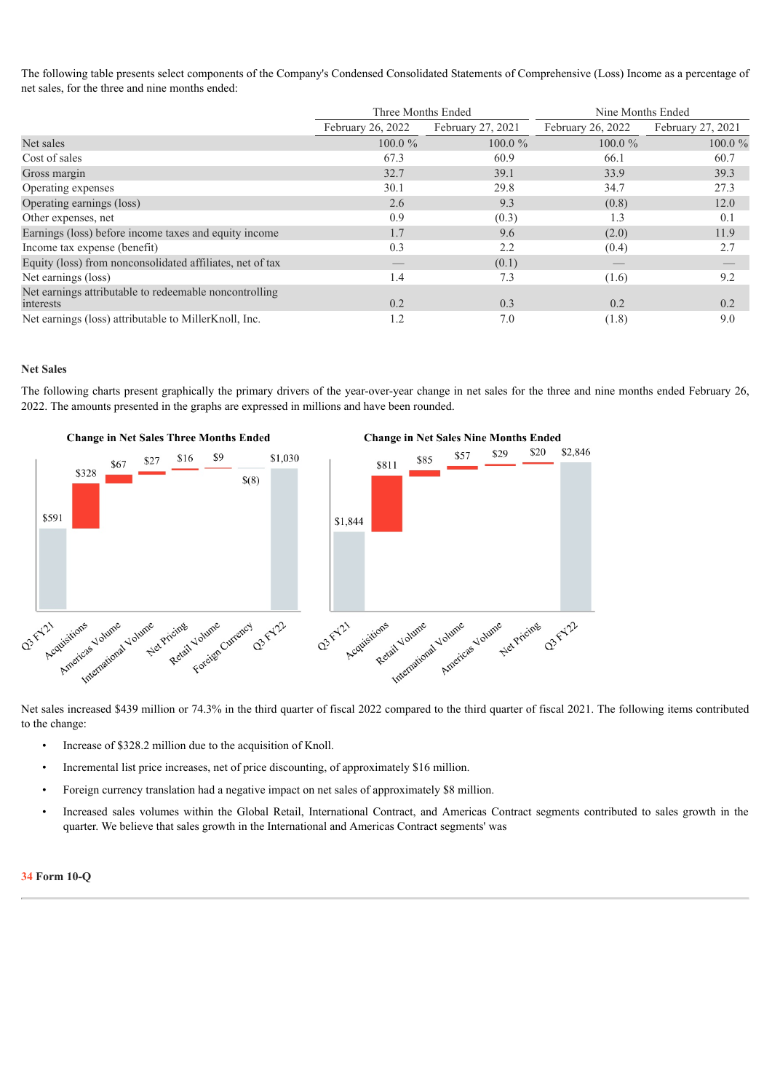The following table presents select components of the Company's Condensed Consolidated Statements of Comprehensive (Loss) Income as a percentage of net sales, for the three and nine months ended:

|                                                                     | Three Months Ended |                   | Nine Months Ended |                   |  |  |  |
|---------------------------------------------------------------------|--------------------|-------------------|-------------------|-------------------|--|--|--|
|                                                                     | February 26, 2022  | February 27, 2021 | February 26, 2022 | February 27, 2021 |  |  |  |
| Net sales                                                           | $100.0\%$          | $100.0 \%$        | $100.0\%$         | $100.0 \%$        |  |  |  |
| Cost of sales                                                       | 67.3               | 60.9              | 66.1              | 60.7              |  |  |  |
| Gross margin                                                        | 32.7               | 39.1              | 33.9              | 39.3              |  |  |  |
| Operating expenses                                                  | 30.1               | 29.8              | 34.7              | 27.3              |  |  |  |
| Operating earnings (loss)                                           | 2.6                | 9.3               | (0.8)             | 12.0              |  |  |  |
| Other expenses, net                                                 | 0.9                | (0.3)             | 1.3               | 0.1               |  |  |  |
| Earnings (loss) before income taxes and equity income               | 1.7                | 9.6               | (2.0)             | 11.9              |  |  |  |
| Income tax expense (benefit)                                        | 0.3                | 2.2               | (0.4)             | 2.7               |  |  |  |
| Equity (loss) from nonconsolidated affiliates, net of tax           |                    | (0.1)             |                   |                   |  |  |  |
| Net earnings (loss)                                                 | 1.4                | 7.3               | (1.6)             | 9.2               |  |  |  |
| Net earnings attributable to redeemable noncontrolling<br>interests | 0.2                | 0.3               | 0.2               | 0.2               |  |  |  |
| Net earnings (loss) attributable to MillerKnoll, Inc.               | 1.2                | 7.0               | (1.8)             | 9.0               |  |  |  |

#### **Net Sales**

The following charts present graphically the primary drivers of the year-over-year change in net sales for the three and nine months ended February 26, 2022. The amounts presented in the graphs are expressed in millions and have been rounded.



Net sales increased \$439 million or 74.3% in the third quarter of fiscal 2022 compared to the third quarter of fiscal 2021. The following items contributed to the change:

- Increase of \$328.2 million due to the acquisition of Knoll.
- Incremental list price increases, net of price discounting, of approximately \$16 million.
- Foreign currency translation had a negative impact on net sales of approximately \$8 million.
- Increased sales volumes within the Global Retail, International Contract, and Americas Contract segments contributed to sales growth in the quarter. We believe that sales growth in the International and Americas Contract segments' was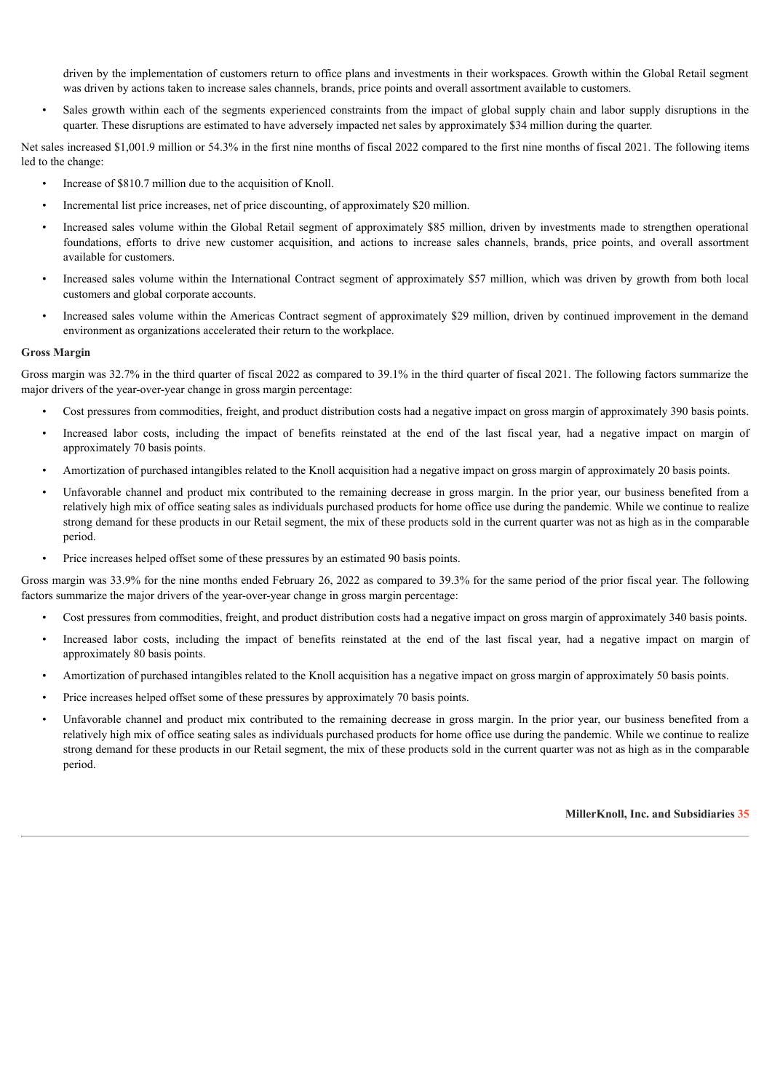driven by the implementation of customers return to office plans and investments in their workspaces. Growth within the Global Retail segment was driven by actions taken to increase sales channels, brands, price points and overall assortment available to customers.

• Sales growth within each of the segments experienced constraints from the impact of global supply chain and labor supply disruptions in the quarter. These disruptions are estimated to have adversely impacted net sales by approximately \$34 million during the quarter.

Net sales increased \$1,001.9 million or 54.3% in the first nine months of fiscal 2022 compared to the first nine months of fiscal 2021. The following items led to the change:

- Increase of \$810.7 million due to the acquisition of Knoll.
- Incremental list price increases, net of price discounting, of approximately \$20 million.
- Increased sales volume within the Global Retail segment of approximately \$85 million, driven by investments made to strengthen operational foundations, efforts to drive new customer acquisition, and actions to increase sales channels, brands, price points, and overall assortment available for customers.
- Increased sales volume within the International Contract segment of approximately \$57 million, which was driven by growth from both local customers and global corporate accounts.
- Increased sales volume within the Americas Contract segment of approximately \$29 million, driven by continued improvement in the demand environment as organizations accelerated their return to the workplace.

#### **Gross Margin**

Gross margin was 32.7% in the third quarter of fiscal 2022 as compared to 39.1% in the third quarter of fiscal 2021. The following factors summarize the major drivers of the year-over-year change in gross margin percentage:

- Cost pressures from commodities, freight, and product distribution costs had a negative impact on gross margin of approximately 390 basis points.
- Increased labor costs, including the impact of benefits reinstated at the end of the last fiscal year, had a negative impact on margin of approximately 70 basis points.
- Amortization of purchased intangibles related to the Knoll acquisition had a negative impact on gross margin of approximately 20 basis points.
- Unfavorable channel and product mix contributed to the remaining decrease in gross margin. In the prior year, our business benefited from a relatively high mix of office seating sales as individuals purchased products for home office use during the pandemic. While we continue to realize strong demand for these products in our Retail segment, the mix of these products sold in the current quarter was not as high as in the comparable period.
- Price increases helped offset some of these pressures by an estimated 90 basis points.

Gross margin was 33.9% for the nine months ended February 26, 2022 as compared to 39.3% for the same period of the prior fiscal year. The following factors summarize the major drivers of the year-over-year change in gross margin percentage:

- Cost pressures from commodities, freight, and product distribution costs had a negative impact on gross margin of approximately 340 basis points.
- Increased labor costs, including the impact of benefits reinstated at the end of the last fiscal year, had a negative impact on margin of approximately 80 basis points.
- Amortization of purchased intangibles related to the Knoll acquisition has a negative impact on gross margin of approximately 50 basis points.
- Price increases helped offset some of these pressures by approximately 70 basis points.
- Unfavorable channel and product mix contributed to the remaining decrease in gross margin. In the prior year, our business benefited from a relatively high mix of office seating sales as individuals purchased products for home office use during the pandemic. While we continue to realize strong demand for these products in our Retail segment, the mix of these products sold in the current quarter was not as high as in the comparable period.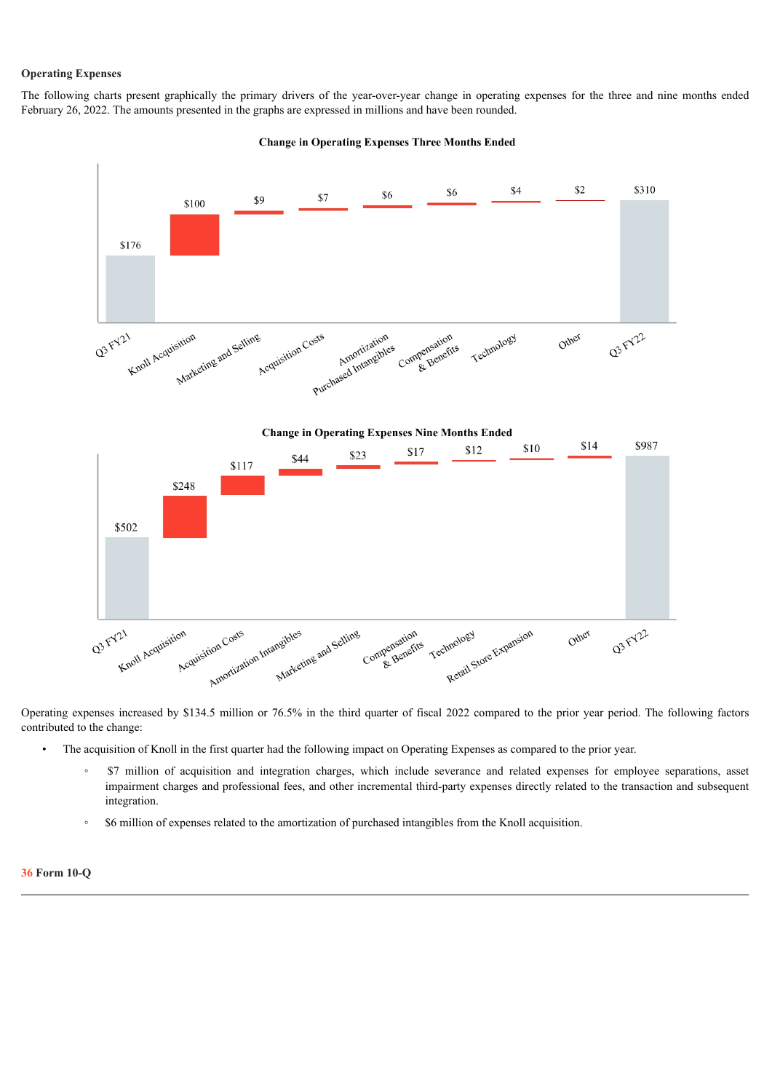#### **Operating Expenses**

The following charts present graphically the primary drivers of the year-over-year change in operating expenses for the three and nine months ended February 26, 2022. The amounts presented in the graphs are expressed in millions and have been rounded.



**Change in Operating Expenses Three Months Ended** 

Operating expenses increased by \$134.5 million or 76.5% in the third quarter of fiscal 2022 compared to the prior year period. The following factors contributed to the change:

- The acquisition of Knoll in the first quarter had the following impact on Operating Expenses as compared to the prior year.
	- \$7 million of acquisition and integration charges, which include severance and related expenses for employee separations, asset impairment charges and professional fees, and other incremental third-party expenses directly related to the transaction and subsequent integration.
	- \$6 million of expenses related to the amortization of purchased intangibles from the Knoll acquisition.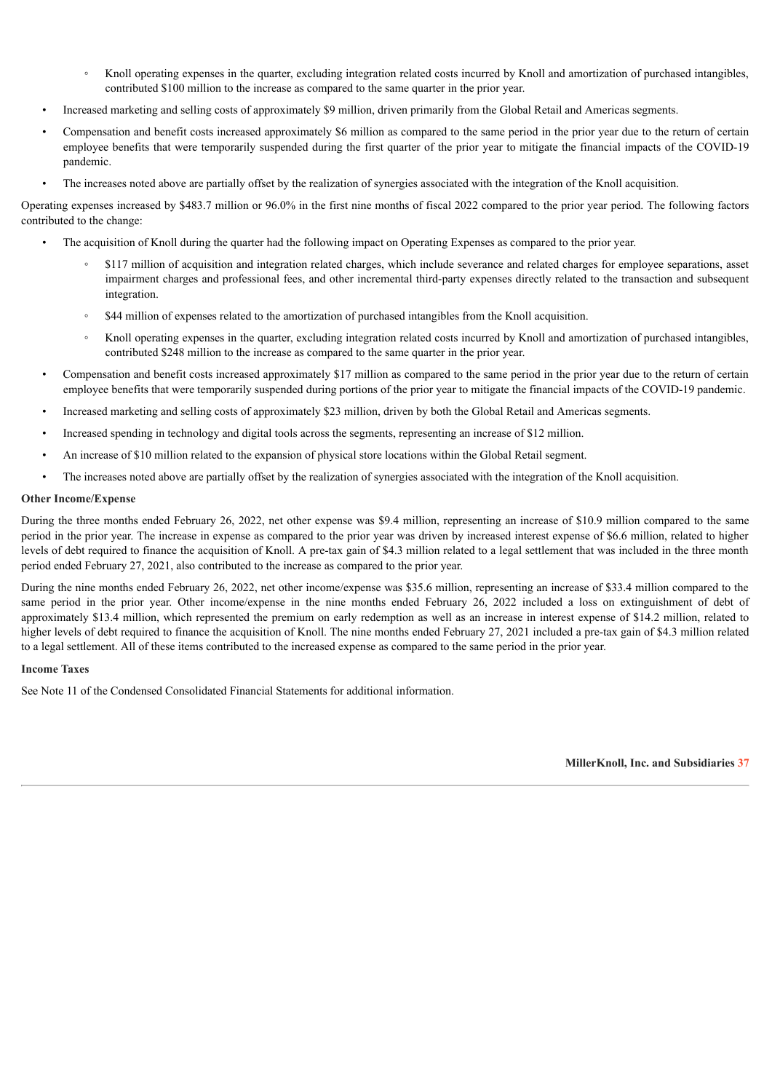- Knoll operating expenses in the quarter, excluding integration related costs incurred by Knoll and amortization of purchased intangibles, contributed \$100 million to the increase as compared to the same quarter in the prior year.
- Increased marketing and selling costs of approximately \$9 million, driven primarily from the Global Retail and Americas segments.
- Compensation and benefit costs increased approximately \$6 million as compared to the same period in the prior year due to the return of certain employee benefits that were temporarily suspended during the first quarter of the prior year to mitigate the financial impacts of the COVID-19 pandemic.
- The increases noted above are partially offset by the realization of synergies associated with the integration of the Knoll acquisition.

Operating expenses increased by \$483.7 million or 96.0% in the first nine months of fiscal 2022 compared to the prior year period. The following factors contributed to the change:

- The acquisition of Knoll during the quarter had the following impact on Operating Expenses as compared to the prior year.
	- \$117 million of acquisition and integration related charges, which include severance and related charges for employee separations, asset impairment charges and professional fees, and other incremental third-party expenses directly related to the transaction and subsequent integration.
	- \$44 million of expenses related to the amortization of purchased intangibles from the Knoll acquisition.
	- Knoll operating expenses in the quarter, excluding integration related costs incurred by Knoll and amortization of purchased intangibles. contributed \$248 million to the increase as compared to the same quarter in the prior year.
- Compensation and benefit costs increased approximately \$17 million as compared to the same period in the prior year due to the return of certain employee benefits that were temporarily suspended during portions of the prior year to mitigate the financial impacts of the COVID-19 pandemic.
- Increased marketing and selling costs of approximately \$23 million, driven by both the Global Retail and Americas segments.
- Increased spending in technology and digital tools across the segments, representing an increase of \$12 million.
- An increase of \$10 million related to the expansion of physical store locations within the Global Retail segment.
- The increases noted above are partially offset by the realization of synergies associated with the integration of the Knoll acquisition.

#### **Other Income/Expense**

During the three months ended February 26, 2022, net other expense was \$9.4 million, representing an increase of \$10.9 million compared to the same period in the prior year. The increase in expense as compared to the prior year was driven by increased interest expense of \$6.6 million, related to higher levels of debt required to finance the acquisition of Knoll. A pre-tax gain of \$4.3 million related to a legal settlement that was included in the three month period ended February 27, 2021, also contributed to the increase as compared to the prior year.

During the nine months ended February 26, 2022, net other income/expense was \$35.6 million, representing an increase of \$33.4 million compared to the same period in the prior year. Other income/expense in the nine months ended February 26, 2022 included a loss on extinguishment of debt of approximately \$13.4 million, which represented the premium on early redemption as well as an increase in interest expense of \$14.2 million, related to higher levels of debt required to finance the acquisition of Knoll. The nine months ended February 27, 2021 included a pre-tax gain of \$4.3 million related to a legal settlement. All of these items contributed to the increased expense as compared to the same period in the prior year.

#### **Income Taxes**

See Note 11 of the Condensed Consolidated Financial Statements for additional information.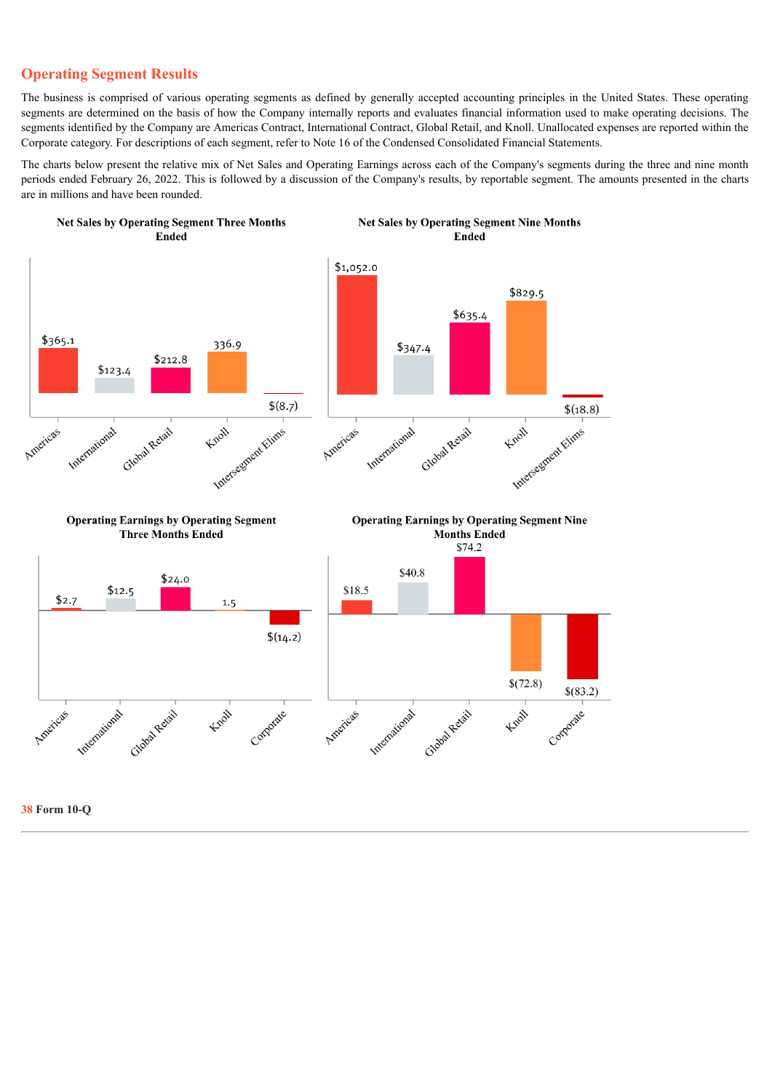## **Operating Segment Results**

The business is comprised of various operating segments as defined by generally accepted accounting principles in the United States. These operating segments are determined on the basis of how the Company internally reports and evaluates financial information used to make operating decisions. The segments identified by the Company are Americas Contract, International Contract, Global Retail, and Knoll. Unallocated expenses are reported within the Corporate category. For descriptions of each segment, refer to Note 16 of the Condensed Consolidated Financial Statements.

The charts below present the relative mix of Net Sales and Operating Earnings across each of the Company's segments during the three and nine month periods ended February 26, 2022. This is followed by a discussion of the Company's results, by reportable segment. The amounts presented in the charts are in millions and have been rounded.

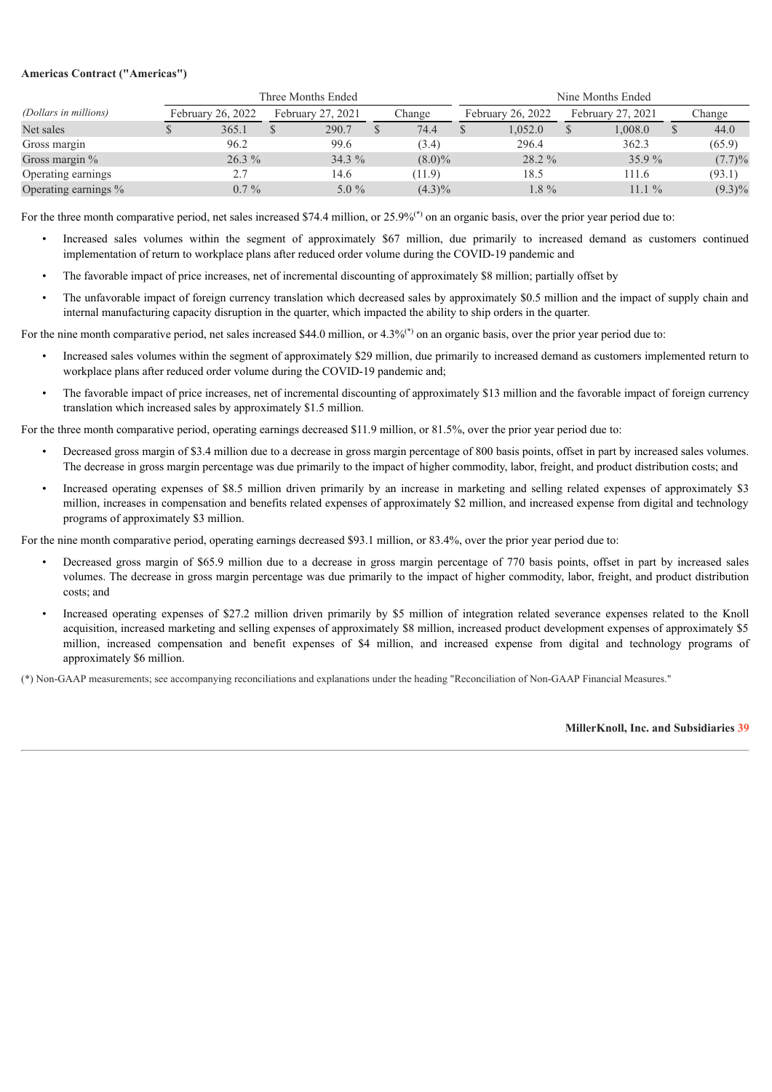#### **Americas Contract ("Americas")**

|                       |                   | Three Months Ended |                   | Nine Months Ended |           |  |                   |  |                   |  |           |
|-----------------------|-------------------|--------------------|-------------------|-------------------|-----------|--|-------------------|--|-------------------|--|-----------|
| (Dollars in millions) | February 26, 2022 |                    | February 27, 2021 |                   | Change    |  | February 26, 2022 |  | February 27, 2021 |  | Change    |
| Net sales             | 365.1             |                    | 290.7             |                   | 74.4      |  | 1.052.0           |  | 1.008.0           |  | 44.0      |
| Gross margin          | 96.2              |                    | 99.6              |                   | (3.4)     |  | 296.4             |  | 362.3             |  | (65.9)    |
| Gross margin $\%$     | $26.3\%$          |                    | $34.3\%$          |                   | $(8.0)\%$ |  | $28.2 \%$         |  | 35.9%             |  | $(7.7)\%$ |
| Operating earnings    | 2.7               |                    | 14.6              |                   | (11.9)    |  | 18.5              |  | 111.6             |  | (93.1)    |
| Operating earnings %  | $0.7\%$           |                    | $5.0\%$           |                   | $(4.3)\%$ |  | 1.8%              |  | 11.1 $\%$         |  | $(9.3)\%$ |

For the three month comparative period, net sales increased \$74.4 million, or  $25.9\%$ <sup>(\*)</sup> on an organic basis, over the prior year period due to:

- Increased sales volumes within the segment of approximately \$67 million, due primarily to increased demand as customers continued implementation of return to workplace plans after reduced order volume during the COVID-19 pandemic and
- The favorable impact of price increases, net of incremental discounting of approximately \$8 million; partially offset by
- The unfavorable impact of foreign currency translation which decreased sales by approximately \$0.5 million and the impact of supply chain and internal manufacturing capacity disruption in the quarter, which impacted the ability to ship orders in the quarter.

For the nine month comparative period, net sales increased \$44.0 million, or  $4.3\%$ <sup>\*</sup>) on an organic basis, over the prior year period due to:

- Increased sales volumes within the segment of approximately \$29 million, due primarily to increased demand as customers implemented return to workplace plans after reduced order volume during the COVID-19 pandemic and;
- The favorable impact of price increases, net of incremental discounting of approximately \$13 million and the favorable impact of foreign currency translation which increased sales by approximately \$1.5 million.

For the three month comparative period, operating earnings decreased \$11.9 million, or 81.5%, over the prior year period due to:

- Decreased gross margin of \$3.4 million due to a decrease in gross margin percentage of 800 basis points, offset in part by increased sales volumes. The decrease in gross margin percentage was due primarily to the impact of higher commodity, labor, freight, and product distribution costs; and
- Increased operating expenses of \$8.5 million driven primarily by an increase in marketing and selling related expenses of approximately \$3 million, increases in compensation and benefits related expenses of approximately \$2 million, and increased expense from digital and technology programs of approximately \$3 million.

For the nine month comparative period, operating earnings decreased \$93.1 million, or 83.4%, over the prior year period due to:

- Decreased gross margin of \$65.9 million due to a decrease in gross margin percentage of 770 basis points, offset in part by increased sales volumes. The decrease in gross margin percentage was due primarily to the impact of higher commodity, labor, freight, and product distribution costs; and
- Increased operating expenses of \$27.2 million driven primarily by \$5 million of integration related severance expenses related to the Knoll acquisition, increased marketing and selling expenses of approximately \$8 million, increased product development expenses of approximately \$5 million, increased compensation and benefit expenses of \$4 million, and increased expense from digital and technology programs of approximately \$6 million.

(\*) Non-GAAP measurements; see accompanying reconciliations and explanations under the heading "Reconciliation of Non-GAAP Financial Measures."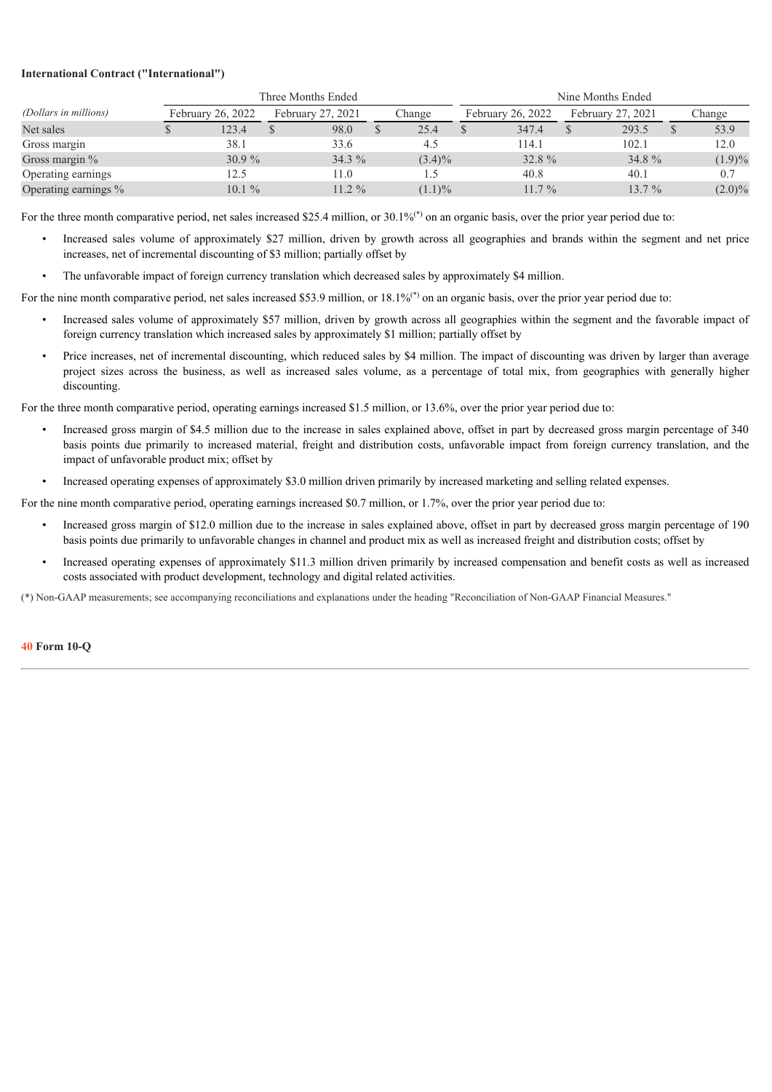#### **International Contract ("International")**

|                       |                   | Three Months Ended |                   | Nine Months Ended |           |  |                   |  |                   |  |           |
|-----------------------|-------------------|--------------------|-------------------|-------------------|-----------|--|-------------------|--|-------------------|--|-----------|
| (Dollars in millions) | February 26, 2022 |                    | February 27, 2021 |                   | Change    |  | February 26, 2022 |  | February 27, 2021 |  | Change    |
| Net sales             | 123.4             |                    | 98.0              |                   | 25.4      |  | 347.4             |  | 293.5             |  | 53.9      |
| Gross margin          | 38.1              |                    | 33.6              |                   | 4.5       |  | 114.1             |  | 102.1             |  | 12.0      |
| Gross margin $\%$     | $30.9\%$          |                    | $34.3\%$          |                   | $(3.4)\%$ |  | $32.8 \%$         |  | 34.8 $%$          |  | $(1.9)\%$ |
| Operating earnings    | 12.5              |                    | 1.0               |                   |           |  | 40.8              |  | 40.1              |  | 0.7       |
| Operating earnings %  | $10.1 \%$         |                    | $11.2 \%$         |                   | $(1.1)\%$ |  | $11.7\%$          |  | $13.7\%$          |  | $(2.0)\%$ |

For the three month comparative period, net sales increased \$25.4 million, or  $30.1\%$  on an organic basis, over the prior year period due to:

- Increased sales volume of approximately \$27 million, driven by growth across all geographies and brands within the segment and net price increases, net of incremental discounting of \$3 million; partially offset by
- The unfavorable impact of foreign currency translation which decreased sales by approximately \$4 million.

For the nine month comparative period, net sales increased \$53.9 million, or  $18.1\%$ <sup>(\*)</sup> on an organic basis, over the prior year period due to:

- Increased sales volume of approximately \$57 million, driven by growth across all geographies within the segment and the favorable impact of foreign currency translation which increased sales by approximately \$1 million; partially offset by
- Price increases, net of incremental discounting, which reduced sales by \$4 million. The impact of discounting was driven by larger than average project sizes across the business, as well as increased sales volume, as a percentage of total mix, from geographies with generally higher discounting.

For the three month comparative period, operating earnings increased \$1.5 million, or 13.6%, over the prior year period due to:

- Increased gross margin of \$4.5 million due to the increase in sales explained above, offset in part by decreased gross margin percentage of 340 basis points due primarily to increased material, freight and distribution costs, unfavorable impact from foreign currency translation, and the impact of unfavorable product mix; offset by
- Increased operating expenses of approximately \$3.0 million driven primarily by increased marketing and selling related expenses.

For the nine month comparative period, operating earnings increased \$0.7 million, or 1.7%, over the prior year period due to:

- Increased gross margin of \$12.0 million due to the increase in sales explained above, offset in part by decreased gross margin percentage of 190 basis points due primarily to unfavorable changes in channel and product mix as well as increased freight and distribution costs; offset by
- Increased operating expenses of approximately \$11.3 million driven primarily by increased compensation and benefit costs as well as increased costs associated with product development, technology and digital related activities.

(\*) Non-GAAP measurements; see accompanying reconciliations and explanations under the heading "Reconciliation of Non-GAAP Financial Measures."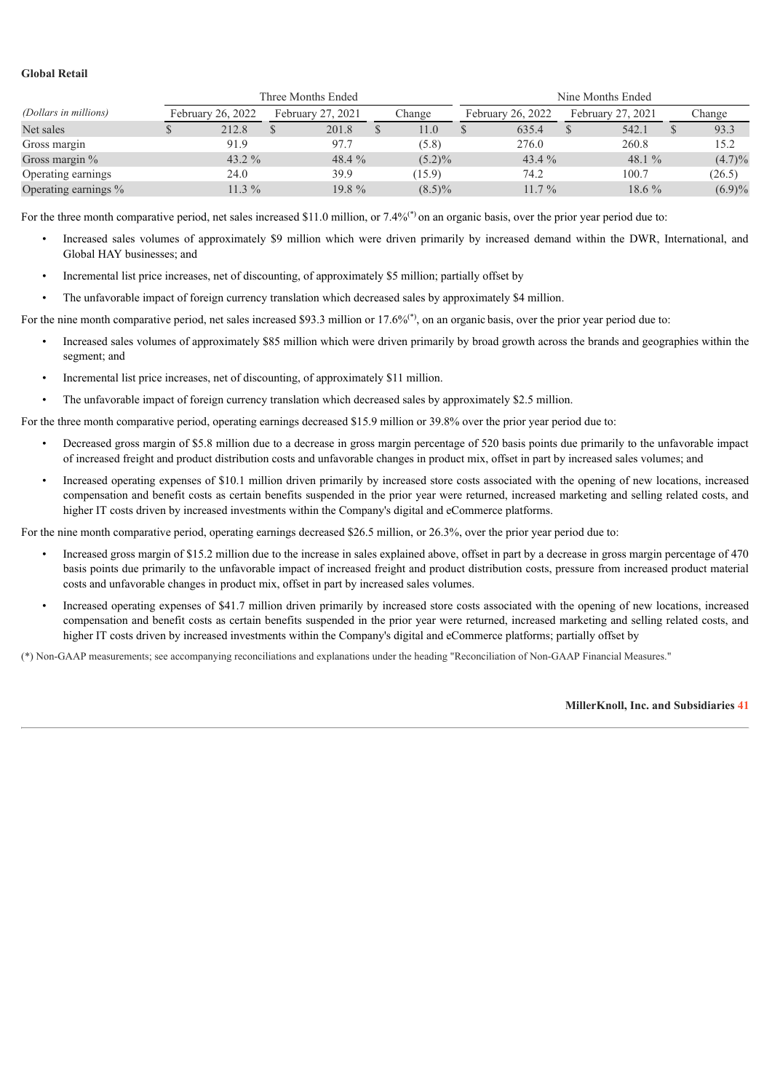#### **Global Retail**

|                       | Three Months Ended |                   |  |                   |  |           |  | Nine Months Ended |  |                   |  |           |  |
|-----------------------|--------------------|-------------------|--|-------------------|--|-----------|--|-------------------|--|-------------------|--|-----------|--|
| (Dollars in millions) |                    | February 26, 2022 |  | February 27, 2021 |  | Change    |  | February 26, 2022 |  | February 27, 2021 |  | Change    |  |
| Net sales             |                    | 212.8             |  | 201.8             |  | 11.0      |  | 635.4             |  | 542.1             |  | 93.3      |  |
| Gross margin          |                    | 91.9              |  | 97.7              |  | (5.8)     |  | 276.0             |  | 260.8             |  | 15.2      |  |
| Gross margin $\%$     |                    | 43.2 $\%$         |  | 48.4 $%$          |  | $(5.2)\%$ |  | 43.4 $%$          |  | 48.1 $%$          |  | $(4.7)\%$ |  |
| Operating earnings    |                    | 24.0              |  | 39.9              |  | (15.9)    |  | 74.2              |  | 100.7             |  | (26.5)    |  |
| Operating earnings %  |                    | $11.3\%$          |  | $19.8 \%$         |  | $(8.5)\%$ |  | $1.7\%$           |  | $18.6\%$          |  | $(6.9)\%$ |  |

For the three month comparative period, net sales increased \$11.0 million, or  $7.4\%$ <sup>\*</sup> on an organic basis, over the prior year period due to:

- Increased sales volumes of approximately \$9 million which were driven primarily by increased demand within the DWR, International, and Global HAY businesses; and
- Incremental list price increases, net of discounting, of approximately \$5 million; partially offset by
- The unfavorable impact of foreign currency translation which decreased sales by approximately \$4 million.

For the nine month comparative period, net sales increased \$93.3 million or  $17.6\%$ <sup>\*</sup>, on an organic basis, over the prior year period due to:

- Increased sales volumes of approximately \$85 million which were driven primarily by broad growth across the brands and geographies within the segment; and
- Incremental list price increases, net of discounting, of approximately \$11 million.
- The unfavorable impact of foreign currency translation which decreased sales by approximately \$2.5 million.

For the three month comparative period, operating earnings decreased \$15.9 million or 39.8% over the prior year period due to:

- Decreased gross margin of \$5.8 million due to a decrease in gross margin percentage of 520 basis points due primarily to the unfavorable impact of increased freight and product distribution costs and unfavorable changes in product mix, offset in part by increased sales volumes; and
- Increased operating expenses of \$10.1 million driven primarily by increased store costs associated with the opening of new locations, increased compensation and benefit costs as certain benefits suspended in the prior year were returned, increased marketing and selling related costs, and higher IT costs driven by increased investments within the Company's digital and eCommerce platforms.

For the nine month comparative period, operating earnings decreased \$26.5 million, or 26.3%, over the prior year period due to:

- Increased gross margin of \$15.2 million due to the increase in sales explained above, offset in part by a decrease in gross margin percentage of 470 basis points due primarily to the unfavorable impact of increased freight and product distribution costs, pressure from increased product material costs and unfavorable changes in product mix, offset in part by increased sales volumes.
- Increased operating expenses of \$41.7 million driven primarily by increased store costs associated with the opening of new locations, increased compensation and benefit costs as certain benefits suspended in the prior year were returned, increased marketing and selling related costs, and higher IT costs driven by increased investments within the Company's digital and eCommerce platforms; partially offset by

(\*) Non-GAAP measurements; see accompanying reconciliations and explanations under the heading "Reconciliation of Non-GAAP Financial Measures."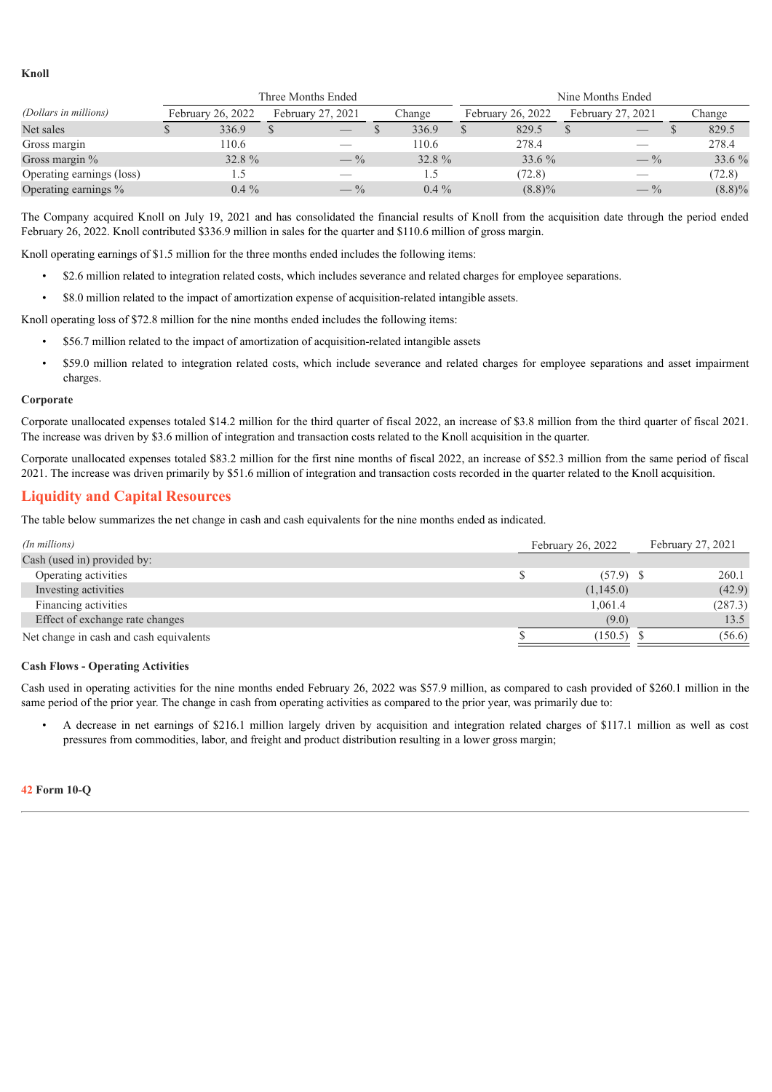#### **Knoll**

|                           |                   | Three Months Ended |                   | Nine Months Ended |          |  |                   |  |                   |  |           |
|---------------------------|-------------------|--------------------|-------------------|-------------------|----------|--|-------------------|--|-------------------|--|-----------|
| (Dollars in millions)     | February 26, 2022 |                    | February 27, 2021 |                   | Change   |  | February 26, 2022 |  | February 27, 2021 |  | Change    |
| Net sales                 | 336.9             |                    |                   |                   | 336.9    |  | 829.5             |  |                   |  | 829.5     |
| Gross margin              | 10.6              |                    |                   |                   | 110.6    |  | 278.4             |  |                   |  | 278.4     |
| Gross margin $\%$         | $32.8 \%$         |                    | $- \frac{9}{6}$   |                   | 32.8 $%$ |  | $33.6\%$          |  | $- \frac{9}{6}$   |  | 33.6 %    |
| Operating earnings (loss) | L.5               |                    |                   |                   | 1.5      |  | (72.8)            |  |                   |  | (72.8)    |
| Operating earnings %      | $0.4\%$           |                    | $- \frac{6}{6}$   |                   | $0.4\%$  |  | $(8.8)\%$         |  | $- \frac{9}{6}$   |  | $(8.8)\%$ |

The Company acquired Knoll on July 19, 2021 and has consolidated the financial results of Knoll from the acquisition date through the period ended February 26, 2022. Knoll contributed \$336.9 million in sales for the quarter and \$110.6 million of gross margin.

Knoll operating earnings of \$1.5 million for the three months ended includes the following items:

- \$2.6 million related to integration related costs, which includes severance and related charges for employee separations.
- \$8.0 million related to the impact of amortization expense of acquisition-related intangible assets.

Knoll operating loss of \$72.8 million for the nine months ended includes the following items:

- \$56.7 million related to the impact of amortization of acquisition-related intangible assets
- \$59.0 million related to integration related costs, which include severance and related charges for employee separations and asset impairment charges.

#### **Corporate**

Corporate unallocated expenses totaled \$14.2 million for the third quarter of fiscal 2022, an increase of \$3.8 million from the third quarter of fiscal 2021. The increase was driven by \$3.6 million of integration and transaction costs related to the Knoll acquisition in the quarter.

Corporate unallocated expenses totaled \$83.2 million for the first nine months of fiscal 2022, an increase of \$52.3 million from the same period of fiscal 2021. The increase was driven primarily by \$51.6 million of integration and transaction costs recorded in the quarter related to the Knoll acquisition.

### **Liquidity and Capital Resources**

The table below summarizes the net change in cash and cash equivalents for the nine months ended as indicated.

| (In millions)                           | February 26, 2022 | February 27, 2021 |  |  |
|-----------------------------------------|-------------------|-------------------|--|--|
| Cash (used in) provided by:             |                   |                   |  |  |
| Operating activities                    | $(57.9)$ \$       | 260.1             |  |  |
| Investing activities                    | (1,145.0)         | (42.9)            |  |  |
| Financing activities                    | 1,061.4           | (287.3)           |  |  |
| Effect of exchange rate changes         | (9.0)             | 13.5              |  |  |
| Net change in cash and cash equivalents | (150.5)           | (56.6)            |  |  |

#### **Cash Flows - Operating Activities**

Cash used in operating activities for the nine months ended February 26, 2022 was \$57.9 million, as compared to cash provided of \$260.1 million in the same period of the prior year. The change in cash from operating activities as compared to the prior year, was primarily due to:

• A decrease in net earnings of \$216.1 million largely driven by acquisition and integration related charges of \$117.1 million as well as cost pressures from commodities, labor, and freight and product distribution resulting in a lower gross margin;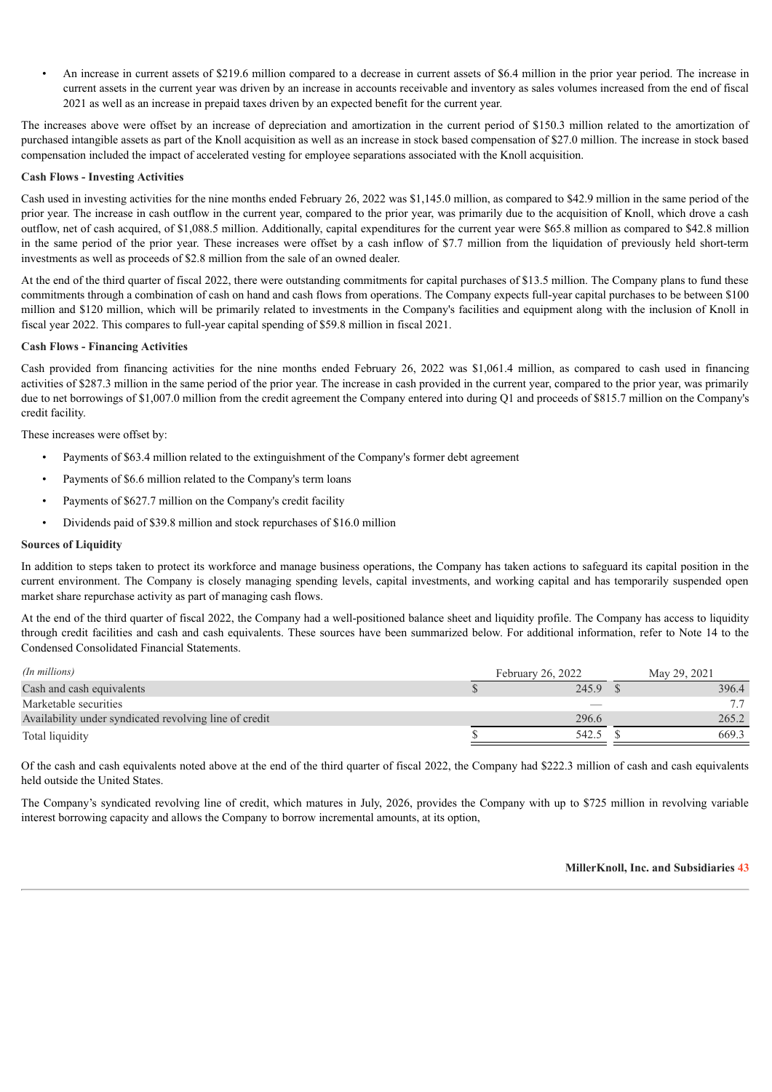• An increase in current assets of \$219.6 million compared to a decrease in current assets of \$6.4 million in the prior year period. The increase in current assets in the current year was driven by an increase in accounts receivable and inventory as sales volumes increased from the end of fiscal 2021 as well as an increase in prepaid taxes driven by an expected benefit for the current year.

The increases above were offset by an increase of depreciation and amortization in the current period of \$150.3 million related to the amortization of purchased intangible assets as part of the Knoll acquisition as well as an increase in stock based compensation of \$27.0 million. The increase in stock based compensation included the impact of accelerated vesting for employee separations associated with the Knoll acquisition.

#### **Cash Flows - Investing Activities**

Cash used in investing activities for the nine months ended February 26, 2022 was \$1,145.0 million, as compared to \$42.9 million in the same period of the prior year. The increase in cash outflow in the current year, compared to the prior year, was primarily due to the acquisition of Knoll, which drove a cash outflow, net of cash acquired, of \$1,088.5 million. Additionally, capital expenditures for the current year were \$65.8 million as compared to \$42.8 million in the same period of the prior year. These increases were offset by a cash inflow of \$7.7 million from the liquidation of previously held short-term investments as well as proceeds of \$2.8 million from the sale of an owned dealer.

At the end of the third quarter of fiscal 2022, there were outstanding commitments for capital purchases of \$13.5 million. The Company plans to fund these commitments through a combination of cash on hand and cash flows from operations. The Company expects full-year capital purchases to be between \$100 million and \$120 million, which will be primarily related to investments in the Company's facilities and equipment along with the inclusion of Knoll in fiscal year 2022. This compares to full-year capital spending of \$59.8 million in fiscal 2021.

#### **Cash Flows - Financing Activities**

Cash provided from financing activities for the nine months ended February 26, 2022 was \$1,061.4 million, as compared to cash used in financing activities of \$287.3 million in the same period of the prior year. The increase in cash provided in the current year, compared to the prior year, was primarily due to net borrowings of \$1,007.0 million from the credit agreement the Company entered into during Q1 and proceeds of \$815.7 million on the Company's credit facility.

These increases were offset by:

- Payments of \$63.4 million related to the extinguishment of the Company's former debt agreement
- Payments of \$6.6 million related to the Company's term loans
- Payments of \$627.7 million on the Company's credit facility
- Dividends paid of \$39.8 million and stock repurchases of \$16.0 million

#### **Sources of Liquidity**

In addition to steps taken to protect its workforce and manage business operations, the Company has taken actions to safeguard its capital position in the current environment. The Company is closely managing spending levels, capital investments, and working capital and has temporarily suspended open market share repurchase activity as part of managing cash flows.

At the end of the third quarter of fiscal 2022, the Company had a well-positioned balance sheet and liquidity profile. The Company has access to liquidity through credit facilities and cash and cash equivalents. These sources have been summarized below. For additional information, refer to Note 14 to the Condensed Consolidated Financial Statements.

| (In millions)                                          | February 26, 2022 | May 29, 2021 |
|--------------------------------------------------------|-------------------|--------------|
| Cash and cash equivalents                              | 245.9             | 396.4        |
| Marketable securities                                  |                   | 77           |
| Availability under syndicated revolving line of credit | 296.6             | 265.2        |
| Total liquidity                                        | 542.5             | 669.3        |

Of the cash and cash equivalents noted above at the end of the third quarter of fiscal 2022, the Company had \$222.3 million of cash and cash equivalents held outside the United States.

The Company's syndicated revolving line of credit, which matures in July, 2026, provides the Company with up to \$725 million in revolving variable interest borrowing capacity and allows the Company to borrow incremental amounts, at its option,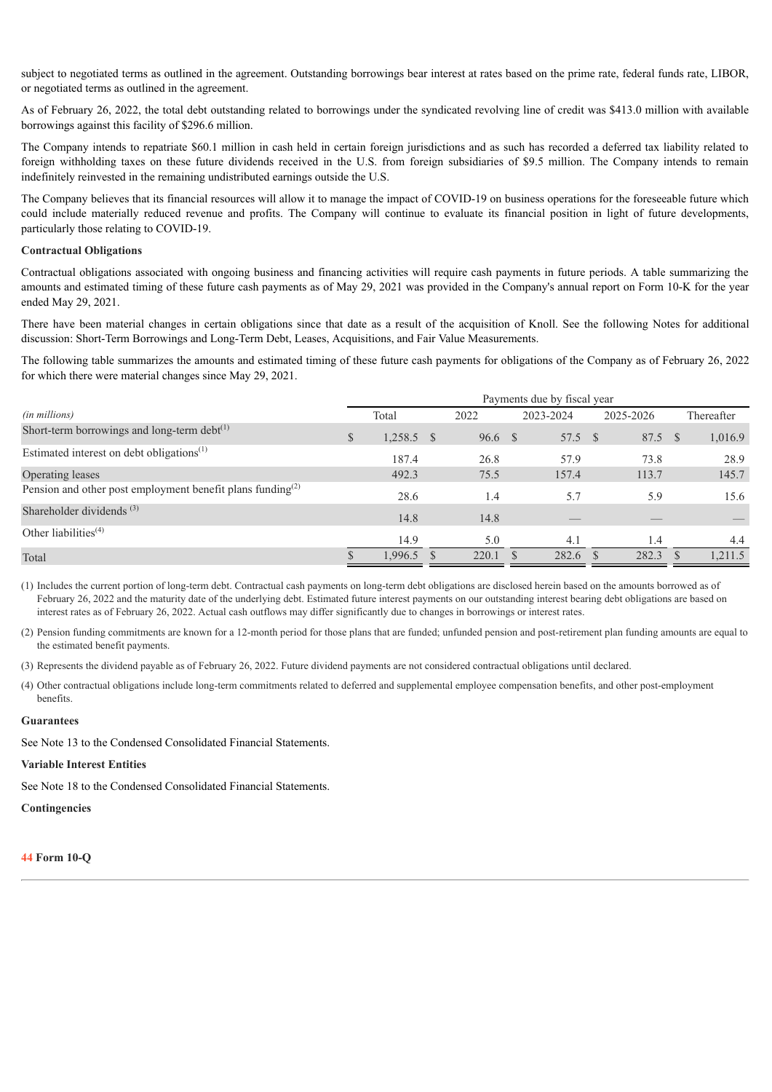subject to negotiated terms as outlined in the agreement. Outstanding borrowings bear interest at rates based on the prime rate, federal funds rate, LIBOR, or negotiated terms as outlined in the agreement.

As of February 26, 2022, the total debt outstanding related to borrowings under the syndicated revolving line of credit was \$413.0 million with available borrowings against this facility of \$296.6 million.

The Company intends to repatriate \$60.1 million in cash held in certain foreign jurisdictions and as such has recorded a deferred tax liability related to foreign withholding taxes on these future dividends received in the U.S. from foreign subsidiaries of \$9.5 million. The Company intends to remain indefinitely reinvested in the remaining undistributed earnings outside the U.S.

The Company believes that its financial resources will allow it to manage the impact of COVID-19 on business operations for the foreseeable future which could include materially reduced revenue and profits. The Company will continue to evaluate its financial position in light of future developments, particularly those relating to COVID-19.

#### **Contractual Obligations**

Contractual obligations associated with ongoing business and financing activities will require cash payments in future periods. A table summarizing the amounts and estimated timing of these future cash payments as of May 29, 2021 was provided in the Company's annual report on Form 10-K for the year ended May 29, 2021.

There have been material changes in certain obligations since that date as a result of the acquisition of Knoll. See the following Notes for additional discussion: Short-Term Borrowings and Long-Term Debt, Leases, Acquisitions, and Fair Value Measurements.

The following table summarizes the amounts and estimated timing of these future cash payments for obligations of the Company as of February 26, 2022 for which there were material changes since May 29, 2021.

|                                                                        | Payments due by fiscal year |         |              |           |  |           |           |       |  |            |  |
|------------------------------------------------------------------------|-----------------------------|---------|--------------|-----------|--|-----------|-----------|-------|--|------------|--|
| (in millions)                                                          |                             | Total   |              | 2022      |  | 2023-2024 | 2025-2026 |       |  | Thereafter |  |
| Short-term borrowings and long-term debt $(1)$                         | $\mathcal{S}$               | 1,258.5 | <sup>S</sup> | $96.6$ \$ |  | 57.5 \$   |           | 87.5  |  | 1,016.9    |  |
| Estimated interest on debt obligations $^{(1)}$                        |                             | 187.4   |              | 26.8      |  | 57.9      |           | 73.8  |  | 28.9       |  |
| Operating leases                                                       |                             | 492.3   |              | 75.5      |  | 157.4     |           | 113.7 |  | 145.7      |  |
| Pension and other post employment benefit plans funding <sup>(2)</sup> |                             | 28.6    |              | 1.4       |  | 5.7       |           | 5.9   |  | 15.6       |  |
| Shareholder dividends $(3)$                                            |                             | 14.8    |              | 14.8      |  |           |           |       |  |            |  |
| Other liabilities <sup><math>(4)</math></sup>                          |                             | 14.9    |              | 5.0       |  | 4.1       |           | 1.4   |  | 4.4        |  |
| Total                                                                  |                             | 1,996.5 |              | 220.1     |  | 282.6     |           | 282.3 |  | 1,211.5    |  |

(1) Includes the current portion of long-term debt. Contractual cash payments on long-term debt obligations are disclosed herein based on the amounts borrowed as of February 26, 2022 and the maturity date of the underlying debt. Estimated future interest payments on our outstanding interest bearing debt obligations are based on interest rates as of February 26, 2022. Actual cash outflows may differ significantly due to changes in borrowings or interest rates.

(2) Pension funding commitments are known for a 12-month period for those plans that are funded; unfunded pension and post-retirement plan funding amounts are equal to the estimated benefit payments.

(3) Represents the dividend payable as of February 26, 2022. Future dividend payments are not considered contractual obligations until declared.

(4) Other contractual obligations include long-term commitments related to deferred and supplemental employee compensation benefits, and other post-employment benefits.

#### **Guarantees**

See Note 13 to the Condensed Consolidated Financial Statements.

#### **Variable Interest Entities**

See Note 18 to the Condensed Consolidated Financial Statements.

**Contingencies**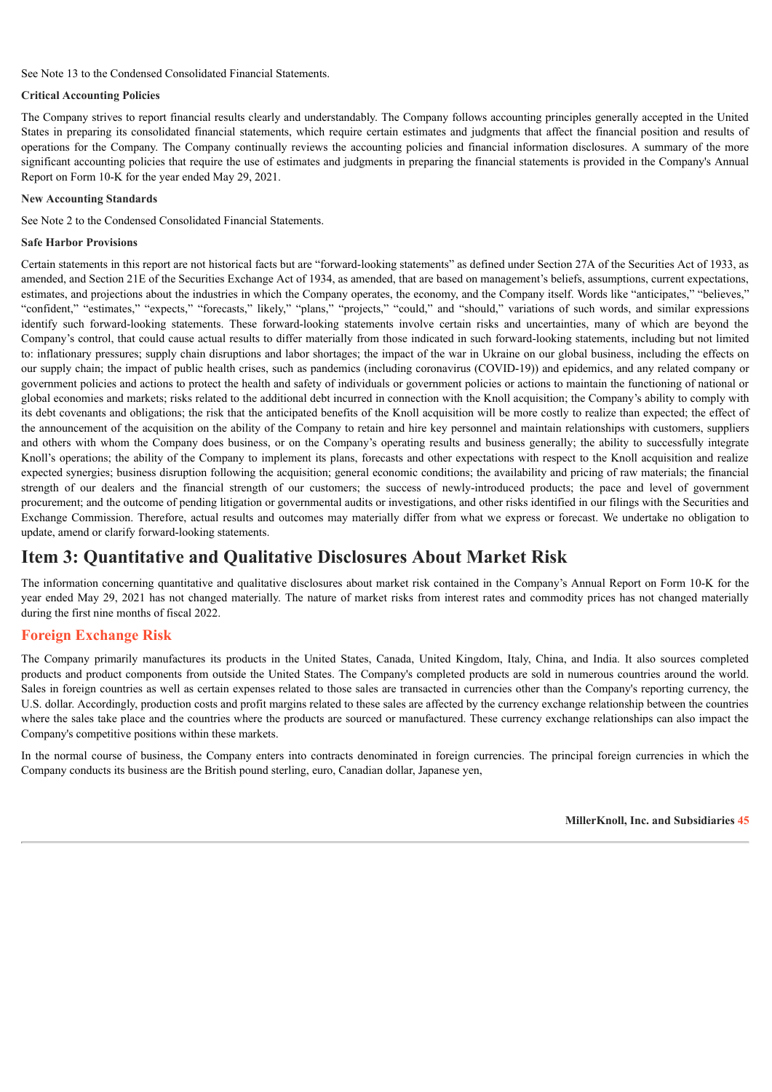#### See Note 13 to the Condensed Consolidated Financial Statements.

#### **Critical Accounting Policies**

The Company strives to report financial results clearly and understandably. The Company follows accounting principles generally accepted in the United States in preparing its consolidated financial statements, which require certain estimates and judgments that affect the financial position and results of operations for the Company. The Company continually reviews the accounting policies and financial information disclosures. A summary of the more significant accounting policies that require the use of estimates and judgments in preparing the financial statements is provided in the Company's Annual Report on Form 10-K for the year ended May 29, 2021.

#### **New Accounting Standards**

See Note 2 to the Condensed Consolidated Financial Statements.

#### **Safe Harbor Provisions**

Certain statements in this report are not historical facts but are "forward-looking statements" as defined under Section 27A of the Securities Act of 1933, as amended, and Section 21E of the Securities Exchange Act of 1934, as amended, that are based on management's beliefs, assumptions, current expectations, estimates, and projections about the industries in which the Company operates, the economy, and the Company itself. Words like "anticipates," "believes," "confident," "estimates," "expects," "forecasts," likely," "plans," "projects," "could," and "should," variations of such words, and similar expressions identify such forward-looking statements. These forward-looking statements involve certain risks and uncertainties, many of which are beyond the Company's control, that could cause actual results to differ materially from those indicated in such forward-looking statements, including but not limited to: inflationary pressures; supply chain disruptions and labor shortages; the impact of the war in Ukraine on our global business, including the effects on our supply chain; the impact of public health crises, such as pandemics (including coronavirus (COVID-19)) and epidemics, and any related company or government policies and actions to protect the health and safety of individuals or government policies or actions to maintain the functioning of national or global economies and markets; risks related to the additional debt incurred in connection with the Knoll acquisition; the Company's ability to comply with its debt covenants and obligations; the risk that the anticipated benefits of the Knoll acquisition will be more costly to realize than expected; the effect of the announcement of the acquisition on the ability of the Company to retain and hire key personnel and maintain relationships with customers, suppliers and others with whom the Company does business, or on the Company's operating results and business generally; the ability to successfully integrate Knoll's operations; the ability of the Company to implement its plans, forecasts and other expectations with respect to the Knoll acquisition and realize expected synergies; business disruption following the acquisition; general economic conditions; the availability and pricing of raw materials; the financial strength of our dealers and the financial strength of our customers; the success of newly-introduced products; the pace and level of government procurement; and the outcome of pending litigation or governmental audits or investigations, and other risks identified in our filings with the Securities and Exchange Commission. Therefore, actual results and outcomes may materially differ from what we express or forecast. We undertake no obligation to update, amend or clarify forward-looking statements.

## <span id="page-44-0"></span>**Item 3: Quantitative and Qualitative Disclosures About Market Risk**

The information concerning quantitative and qualitative disclosures about market risk contained in the Company's Annual Report on Form 10-K for the year ended May 29, 2021 has not changed materially. The nature of market risks from interest rates and commodity prices has not changed materially during the first nine months of fiscal 2022.

### **Foreign Exchange Risk**

The Company primarily manufactures its products in the United States, Canada, United Kingdom, Italy, China, and India. It also sources completed products and product components from outside the United States. The Company's completed products are sold in numerous countries around the world. Sales in foreign countries as well as certain expenses related to those sales are transacted in currencies other than the Company's reporting currency, the U.S. dollar. Accordingly, production costs and profit margins related to these sales are affected by the currency exchange relationship between the countries where the sales take place and the countries where the products are sourced or manufactured. These currency exchange relationships can also impact the Company's competitive positions within these markets.

In the normal course of business, the Company enters into contracts denominated in foreign currencies. The principal foreign currencies in which the Company conducts its business are the British pound sterling, euro, Canadian dollar, Japanese yen,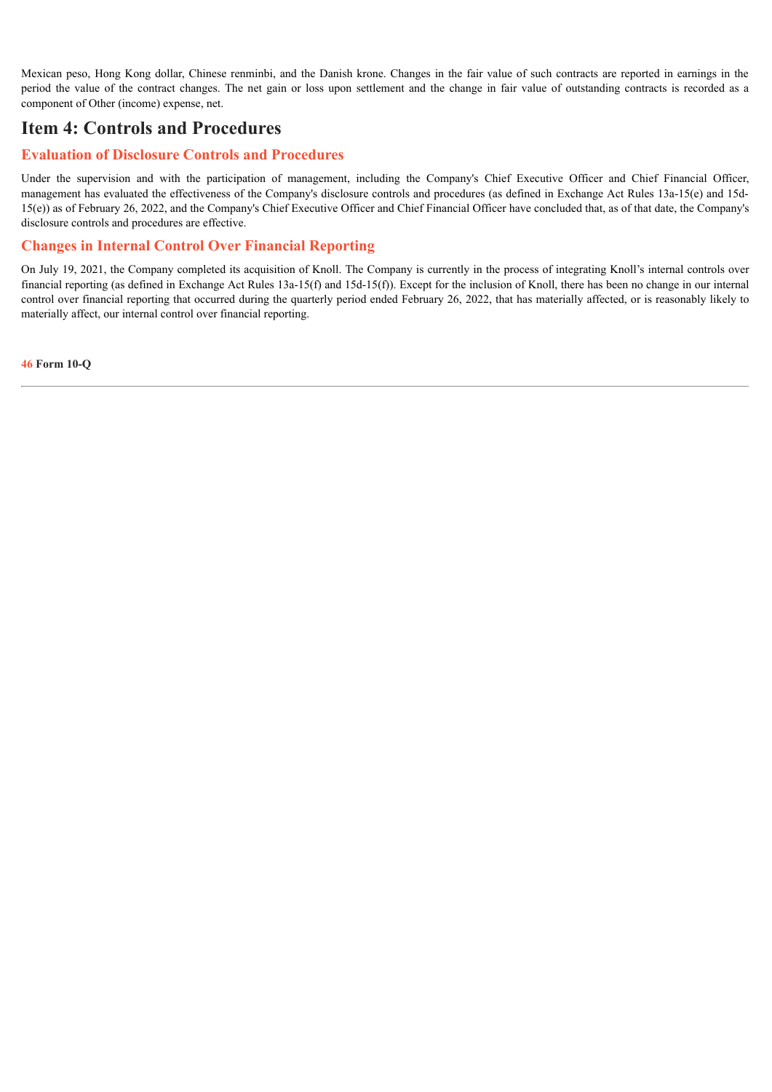Mexican peso, Hong Kong dollar, Chinese renminbi, and the Danish krone. Changes in the fair value of such contracts are reported in earnings in the period the value of the contract changes. The net gain or loss upon settlement and the change in fair value of outstanding contracts is recorded as a component of Other (income) expense, net.

## <span id="page-45-0"></span>**Item 4: Controls and Procedures**

## **Evaluation of Disclosure Controls and Procedures**

Under the supervision and with the participation of management, including the Company's Chief Executive Officer and Chief Financial Officer, management has evaluated the effectiveness of the Company's disclosure controls and procedures (as defined in Exchange Act Rules 13a-15(e) and 15d-15(e)) as of February 26, 2022, and the Company's Chief Executive Officer and Chief Financial Officer have concluded that, as of that date, the Company's disclosure controls and procedures are effective.

## **Changes in Internal Control Over Financial Reporting**

On July 19, 2021, the Company completed its acquisition of Knoll. The Company is currently in the process of integrating Knoll's internal controls over financial reporting (as defined in Exchange Act Rules 13a-15(f) and 15d-15(f)). Except for the inclusion of Knoll, there has been no change in our internal control over financial reporting that occurred during the quarterly period ended February 26, 2022, that has materially affected, or is reasonably likely to materially affect, our internal control over financial reporting.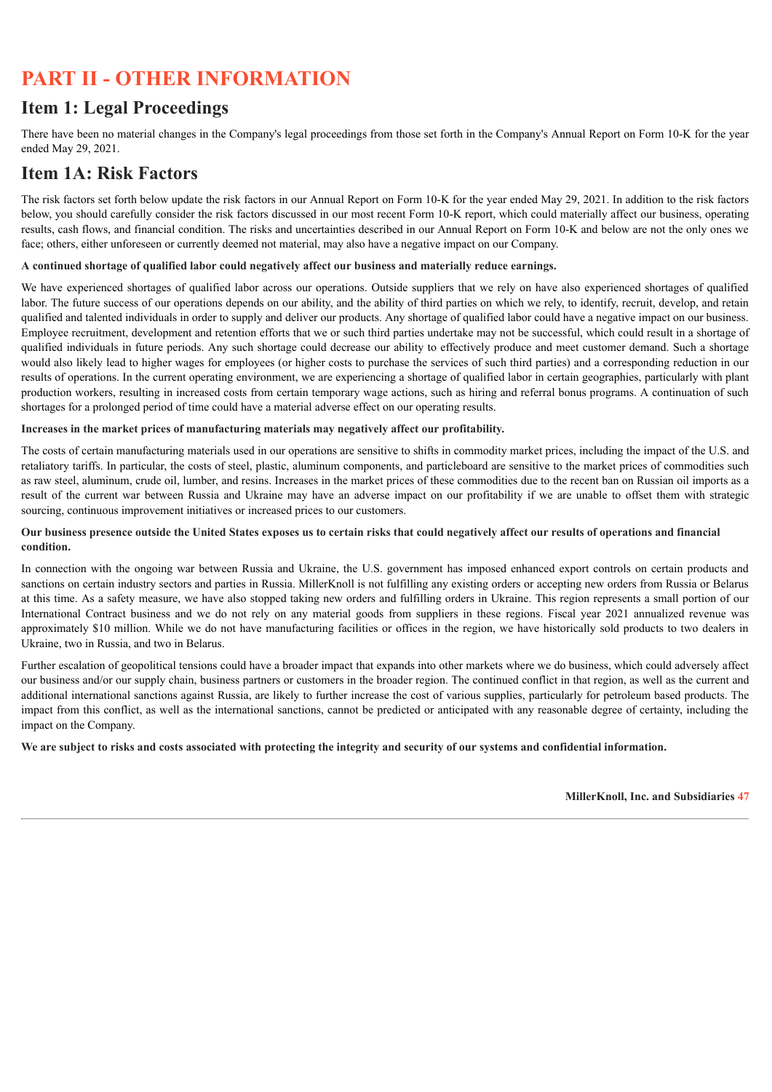# **PART II - OTHER INFORMATION**

## <span id="page-46-0"></span>**Item 1: Legal Proceedings**

There have been no material changes in the Company's legal proceedings from those set forth in the Company's Annual Report on Form 10-K for the year ended May 29, 2021.

## <span id="page-46-1"></span>**Item 1A: Risk Factors**

The risk factors set forth below update the risk factors in our Annual Report on Form 10-K for the year ended May 29, 2021. In addition to the risk factors below, you should carefully consider the risk factors discussed in our most recent Form 10-K report, which could materially affect our business, operating results, cash flows, and financial condition. The risks and uncertainties described in our Annual Report on Form 10-K and below are not the only ones we face; others, either unforeseen or currently deemed not material, may also have a negative impact on our Company.

#### **A continued shortage of qualified labor could negatively affect our business and materially reduce earnings.**

We have experienced shortages of qualified labor across our operations. Outside suppliers that we rely on have also experienced shortages of qualified labor. The future success of our operations depends on our ability, and the ability of third parties on which we rely, to identify, recruit, develop, and retain qualified and talented individuals in order to supply and deliver our products. Any shortage of qualified labor could have a negative impact on our business. Employee recruitment, development and retention efforts that we or such third parties undertake may not be successful, which could result in a shortage of qualified individuals in future periods. Any such shortage could decrease our ability to effectively produce and meet customer demand. Such a shortage would also likely lead to higher wages for employees (or higher costs to purchase the services of such third parties) and a corresponding reduction in our results of operations. In the current operating environment, we are experiencing a shortage of qualified labor in certain geographies, particularly with plant production workers, resulting in increased costs from certain temporary wage actions, such as hiring and referral bonus programs. A continuation of such shortages for a prolonged period of time could have a material adverse effect on our operating results.

**Increases in the market prices of manufacturing materials may negatively affect our profitability.**

The costs of certain manufacturing materials used in our operations are sensitive to shifts in commodity market prices, including the impact of the U.S. and retaliatory tariffs. In particular, the costs of steel, plastic, aluminum components, and particleboard are sensitive to the market prices of commodities such as raw steel, aluminum, crude oil, lumber, and resins. Increases in the market prices of these commodities due to the recent ban on Russian oil imports as a result of the current war between Russia and Ukraine may have an adverse impact on our profitability if we are unable to offset them with strategic sourcing, continuous improvement initiatives or increased prices to our customers.

#### Our business presence outside the United States exposes us to certain risks that could negatively affect our results of operations and financial **condition.**

In connection with the ongoing war between Russia and Ukraine, the U.S. government has imposed enhanced export controls on certain products and sanctions on certain industry sectors and parties in Russia. MillerKnoll is not fulfilling any existing orders or accepting new orders from Russia or Belarus at this time. As a safety measure, we have also stopped taking new orders and fulfilling orders in Ukraine. This region represents a small portion of our International Contract business and we do not rely on any material goods from suppliers in these regions. Fiscal year 2021 annualized revenue was approximately \$10 million. While we do not have manufacturing facilities or offices in the region, we have historically sold products to two dealers in Ukraine, two in Russia, and two in Belarus.

Further escalation of geopolitical tensions could have a broader impact that expands into other markets where we do business, which could adversely affect our business and/or our supply chain, business partners or customers in the broader region. The continued conflict in that region, as well as the current and additional international sanctions against Russia, are likely to further increase the cost of various supplies, particularly for petroleum based products. The impact from this conflict, as well as the international sanctions, cannot be predicted or anticipated with any reasonable degree of certainty, including the impact on the Company.

We are subject to risks and costs associated with protecting the integrity and security of our systems and confidential information.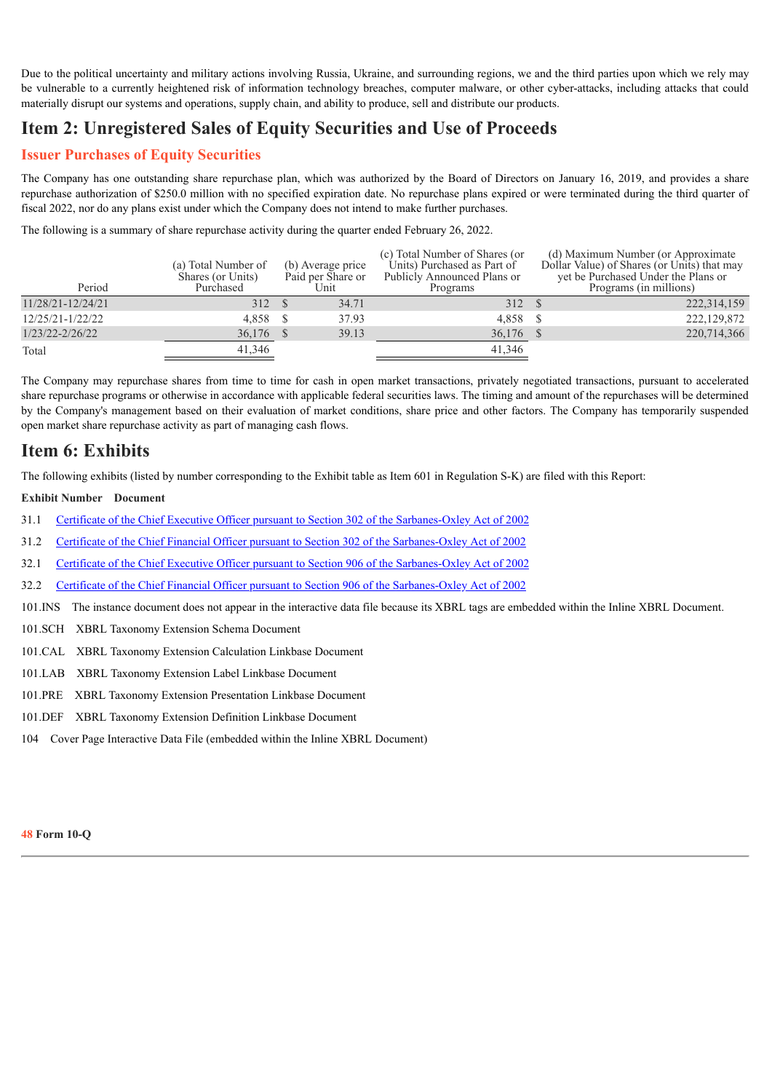Due to the political uncertainty and military actions involving Russia, Ukraine, and surrounding regions, we and the third parties upon which we rely may be vulnerable to a currently heightened risk of information technology breaches, computer malware, or other cyber-attacks, including attacks that could materially disrupt our systems and operations, supply chain, and ability to produce, sell and distribute our products.

## <span id="page-47-0"></span>**Item 2: Unregistered Sales of Equity Securities and Use of Proceeds**

## **Issuer Purchases of Equity Securities**

The Company has one outstanding share repurchase plan, which was authorized by the Board of Directors on January 16, 2019, and provides a share repurchase authorization of \$250.0 million with no specified expiration date. No repurchase plans expired or were terminated during the third quarter of fiscal 2022, nor do any plans exist under which the Company does not intend to make further purchases.

The following is a summary of share repurchase activity during the quarter ended February 26, 2022.

| Period            | (a) Total Number of<br>Shares (or Units)<br>Purchased | (b) Average price<br>Paid per Share or<br>Unit | (c) Total Number of Shares (or<br>Units) Purchased as Part of<br>Publicly Announced Plans or<br>Programs |  | (d) Maximum Number (or Approximate<br>Dollar Value) of Shares (or Units) that may<br>yet be Purchased Under the Plans or<br>Programs (in millions) |
|-------------------|-------------------------------------------------------|------------------------------------------------|----------------------------------------------------------------------------------------------------------|--|----------------------------------------------------------------------------------------------------------------------------------------------------|
| 11/28/21-12/24/21 | 312 \$                                                | 34.71                                          | 312S                                                                                                     |  | 222,314,159                                                                                                                                        |
| 12/25/21-1/22/22  | 4,858                                                 | 37.93                                          | 4,858                                                                                                    |  | 222, 129, 872                                                                                                                                      |
| 1/23/22-2/26/22   | $36,176$ \$                                           | 39.13                                          | 36,176                                                                                                   |  | 220,714,366                                                                                                                                        |
| Total             | 41,346                                                |                                                | 41,346                                                                                                   |  |                                                                                                                                                    |

The Company may repurchase shares from time to time for cash in open market transactions, privately negotiated transactions, pursuant to accelerated share repurchase programs or otherwise in accordance with applicable federal securities laws. The timing and amount of the repurchases will be determined by the Company's management based on their evaluation of market conditions, share price and other factors. The Company has temporarily suspended open market share repurchase activity as part of managing cash flows.

## <span id="page-47-1"></span>**Item 6: Exhibits**

The following exhibits (listed by number corresponding to the Exhibit table as Item 601 in Regulation S-K) are filed with this Report:

**Exhibit Number Document**

- 31.1 Certificate of the Chief Executive Officer pursuant to Section 302 of the [Sarbanes-Oxley](#page-49-0) Act of 2002
- 31.2 Certificate of the Chief Financial Officer pursuant to Section 302 of the [Sarbanes-Oxley](#page-50-0) Act of 2002
- 32.1 Certificate of the Chief Executive Officer pursuant to Section 906 of the [Sarbanes-Oxley](#page-51-0) Act of 2002
- 32.2 Certificate of the Chief Financial Officer pursuant to Section 906 of the [Sarbanes-Oxley](#page-52-0) Act of 2002
- 101.INS The instance document does not appear in the interactive data file because its XBRL tags are embedded within the Inline XBRL Document.
- 101.SCH XBRL Taxonomy Extension Schema Document
- 101.CAL XBRL Taxonomy Extension Calculation Linkbase Document
- 101.LAB XBRL Taxonomy Extension Label Linkbase Document
- 101.PRE XBRL Taxonomy Extension Presentation Linkbase Document
- 101.DEF XBRL Taxonomy Extension Definition Linkbase Document
- <span id="page-47-2"></span>104 Cover Page Interactive Data File (embedded within the Inline XBRL Document)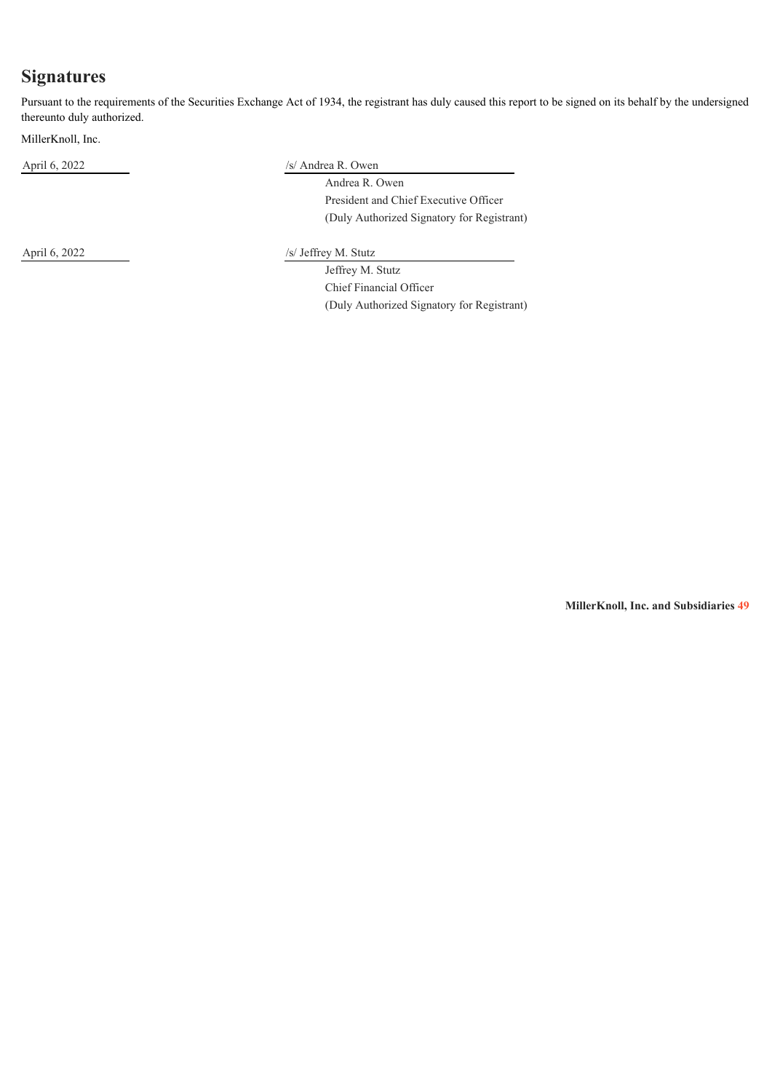## **Signatures**

Pursuant to the requirements of the Securities Exchange Act of 1934, the registrant has duly caused this report to be signed on its behalf by the undersigned thereunto duly authorized.

MillerKnoll, Inc.

April 6, 2022 /s/ Andrea R. Owen

Andrea R. Owen President and Chief Executive Officer (Duly Authorized Signatory for Registrant)

April 6, 2022 /s/ Jeffrey M. Stutz

Jeffrey M. Stutz Chief Financial Officer (Duly Authorized Signatory for Registrant)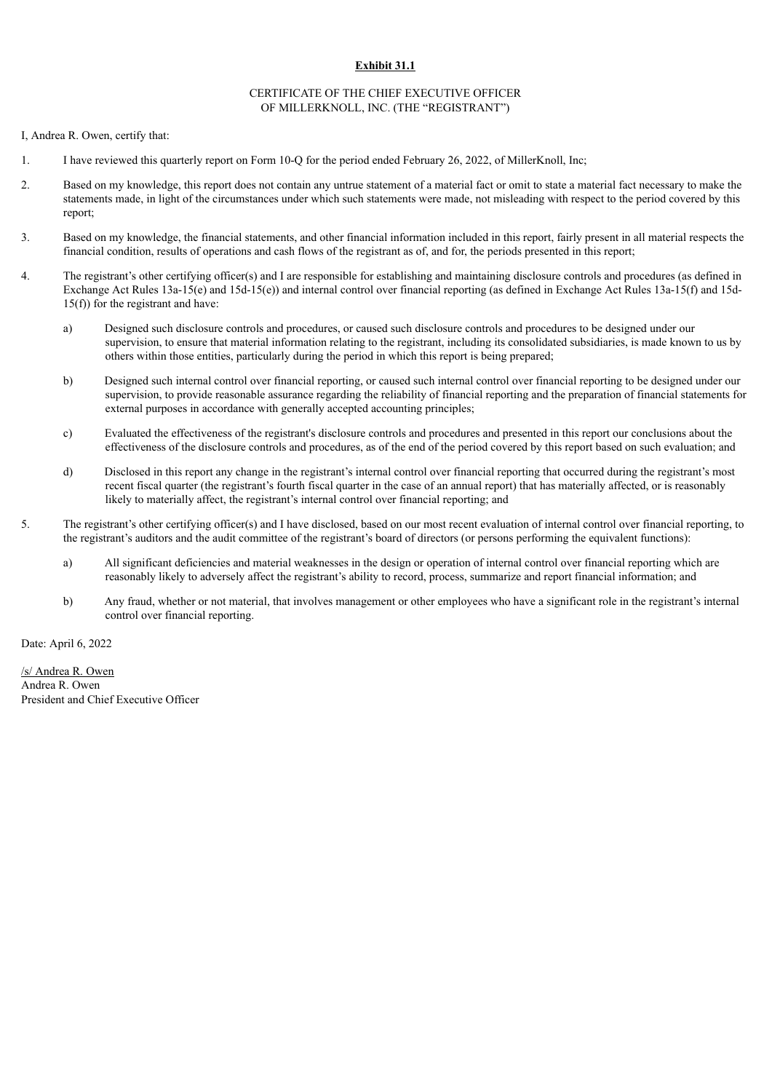#### **Exhibit 31.1**

#### CERTIFICATE OF THE CHIEF EXECUTIVE OFFICER OF MILLERKNOLL, INC. (THE "REGISTRANT")

<span id="page-49-0"></span>I, Andrea R. Owen, certify that:

- 1. I have reviewed this quarterly report on Form 10-Q for the period ended February 26, 2022, of MillerKnoll, Inc;
- 2. Based on my knowledge, this report does not contain any untrue statement of a material fact or omit to state a material fact necessary to make the statements made, in light of the circumstances under which such statements were made, not misleading with respect to the period covered by this report;
- 3. Based on my knowledge, the financial statements, and other financial information included in this report, fairly present in all material respects the financial condition, results of operations and cash flows of the registrant as of, and for, the periods presented in this report;
- 4. The registrant's other certifying officer(s) and I are responsible for establishing and maintaining disclosure controls and procedures (as defined in Exchange Act Rules 13a-15(e) and 15d-15(e)) and internal control over financial reporting (as defined in Exchange Act Rules 13a-15(f) and 15d-15(f)) for the registrant and have:
	- a) Designed such disclosure controls and procedures, or caused such disclosure controls and procedures to be designed under our supervision, to ensure that material information relating to the registrant, including its consolidated subsidiaries, is made known to us by others within those entities, particularly during the period in which this report is being prepared;
	- b) Designed such internal control over financial reporting, or caused such internal control over financial reporting to be designed under our supervision, to provide reasonable assurance regarding the reliability of financial reporting and the preparation of financial statements for external purposes in accordance with generally accepted accounting principles:
	- c) Evaluated the effectiveness of the registrant's disclosure controls and procedures and presented in this report our conclusions about the effectiveness of the disclosure controls and procedures, as of the end of the period covered by this report based on such evaluation; and
	- d) Disclosed in this report any change in the registrant's internal control over financial reporting that occurred during the registrant's most recent fiscal quarter (the registrant's fourth fiscal quarter in the case of an annual report) that has materially affected, or is reasonably likely to materially affect, the registrant's internal control over financial reporting; and
- 5. The registrant's other certifying officer(s) and I have disclosed, based on our most recent evaluation of internal control over financial reporting, to the registrant's auditors and the audit committee of the registrant's board of directors (or persons performing the equivalent functions):
	- a) All significant deficiencies and material weaknesses in the design or operation of internal control over financial reporting which are reasonably likely to adversely affect the registrant's ability to record, process, summarize and report financial information; and
	- b) Any fraud, whether or not material, that involves management or other employees who have a significant role in the registrant's internal control over financial reporting.

Date: April 6, 2022

/s/ Andrea R. Owen Andrea R. Owen President and Chief Executive Officer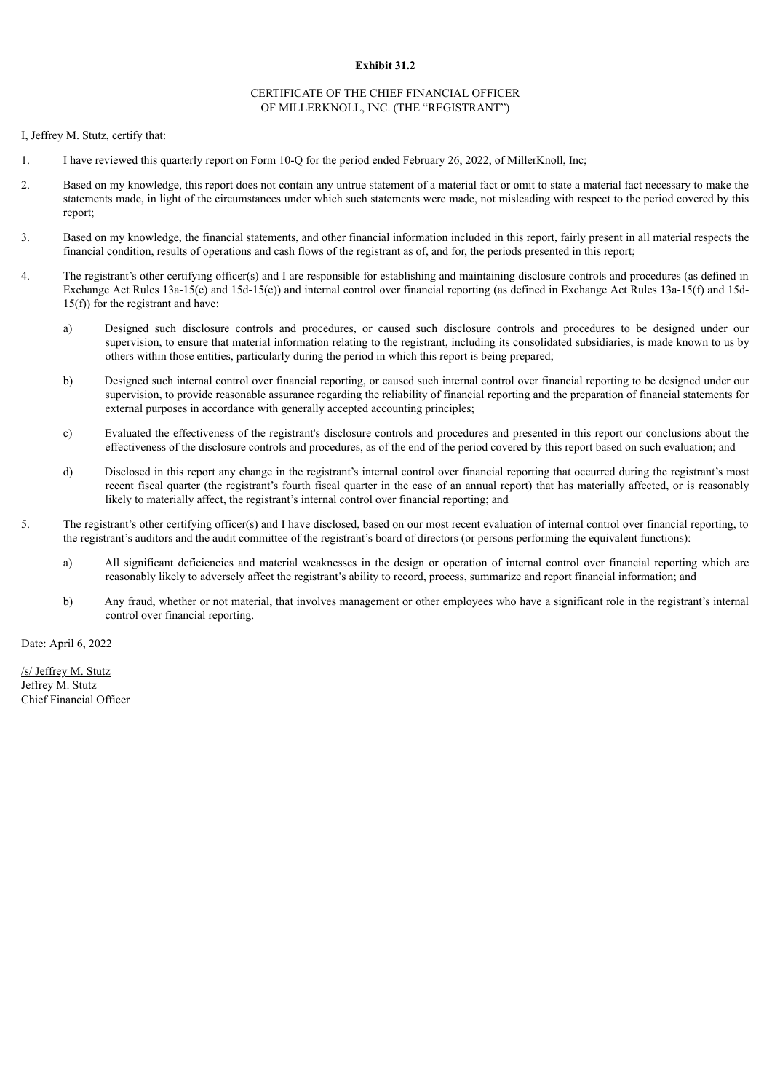#### **Exhibit 31.2**

#### CERTIFICATE OF THE CHIEF FINANCIAL OFFICER OF MILLERKNOLL, INC. (THE "REGISTRANT")

<span id="page-50-0"></span>I, Jeffrey M. Stutz, certify that:

- 1. I have reviewed this quarterly report on Form 10-Q for the period ended February 26, 2022, of MillerKnoll, Inc;
- 2. Based on my knowledge, this report does not contain any untrue statement of a material fact or omit to state a material fact necessary to make the statements made, in light of the circumstances under which such statements were made, not misleading with respect to the period covered by this report;
- 3. Based on my knowledge, the financial statements, and other financial information included in this report, fairly present in all material respects the financial condition, results of operations and cash flows of the registrant as of, and for, the periods presented in this report;
- 4. The registrant's other certifying officer(s) and I are responsible for establishing and maintaining disclosure controls and procedures (as defined in Exchange Act Rules 13a-15(e) and 15d-15(e)) and internal control over financial reporting (as defined in Exchange Act Rules 13a-15(f) and 15d-15(f)) for the registrant and have:
	- a) Designed such disclosure controls and procedures, or caused such disclosure controls and procedures to be designed under our supervision, to ensure that material information relating to the registrant, including its consolidated subsidiaries, is made known to us by others within those entities, particularly during the period in which this report is being prepared;
	- b) Designed such internal control over financial reporting, or caused such internal control over financial reporting to be designed under our supervision, to provide reasonable assurance regarding the reliability of financial reporting and the preparation of financial statements for external purposes in accordance with generally accepted accounting principles:
	- c) Evaluated the effectiveness of the registrant's disclosure controls and procedures and presented in this report our conclusions about the effectiveness of the disclosure controls and procedures, as of the end of the period covered by this report based on such evaluation; and
	- d) Disclosed in this report any change in the registrant's internal control over financial reporting that occurred during the registrant's most recent fiscal quarter (the registrant's fourth fiscal quarter in the case of an annual report) that has materially affected, or is reasonably likely to materially affect, the registrant's internal control over financial reporting; and
- 5. The registrant's other certifying officer(s) and I have disclosed, based on our most recent evaluation of internal control over financial reporting, to the registrant's auditors and the audit committee of the registrant's board of directors (or persons performing the equivalent functions):
	- a) All significant deficiencies and material weaknesses in the design or operation of internal control over financial reporting which are reasonably likely to adversely affect the registrant's ability to record, process, summarize and report financial information; and
	- b) Any fraud, whether or not material, that involves management or other employees who have a significant role in the registrant's internal control over financial reporting.

Date: April 6, 2022

/s/ Jeffrey M. Stutz Jeffrey M. Stutz Chief Financial Officer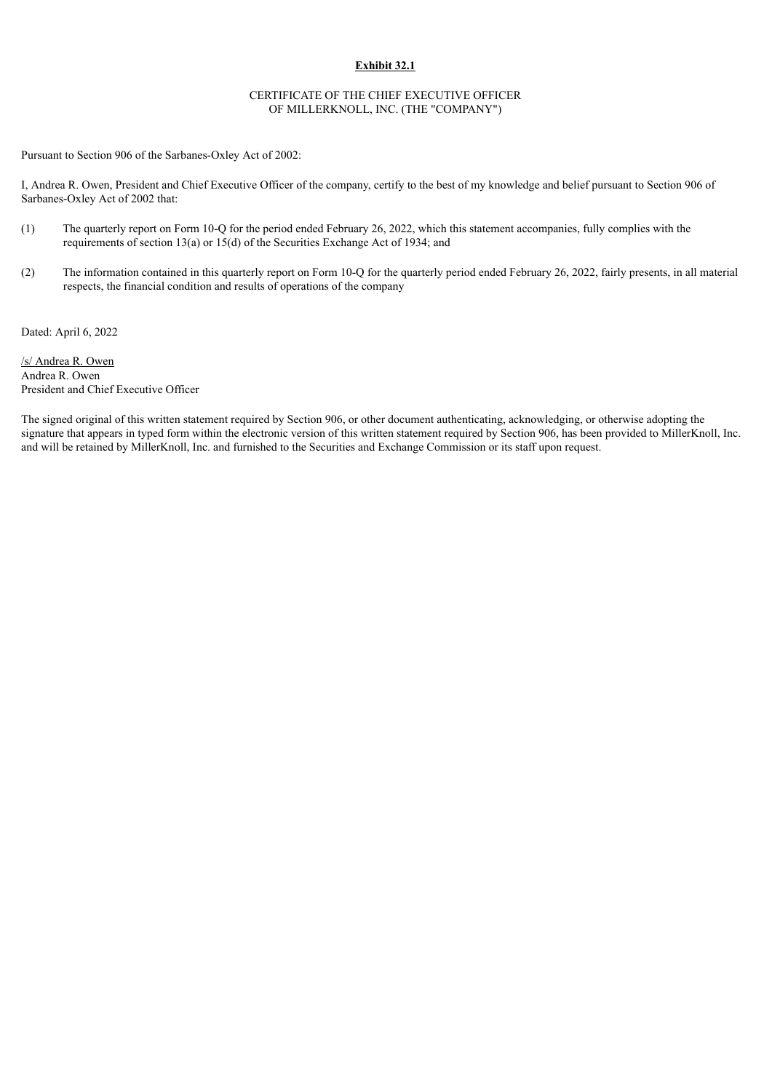#### **Exhibit 32.1**

#### CERTIFICATE OF THE CHIEF EXECUTIVE OFFICER OF MILLERKNOLL, INC. (THE "COMPANY")

<span id="page-51-0"></span>Pursuant to Section 906 of the Sarbanes-Oxley Act of 2002:

I, Andrea R. Owen, President and Chief Executive Officer of the company, certify to the best of my knowledge and belief pursuant to Section 906 of Sarbanes-Oxley Act of 2002 that:

- (1) The quarterly report on Form 10-Q for the period ended February 26, 2022, which this statement accompanies, fully complies with the requirements of section 13(a) or 15(d) of the Securities Exchange Act of 1934; and
- (2) The information contained in this quarterly report on Form 10-Q for the quarterly period ended February 26, 2022, fairly presents, in all material respects, the financial condition and results of operations of the company

Dated: April 6, 2022

/s/ Andrea R. Owen Andrea R. Owen President and Chief Executive Officer

The signed original of this written statement required by Section 906, or other document authenticating, acknowledging, or otherwise adopting the signature that appears in typed form within the electronic version of this written statement required by Section 906, has been provided to MillerKnoll, Inc. and will be retained by MillerKnoll, Inc. and furnished to the Securities and Exchange Commission or its staff upon request.